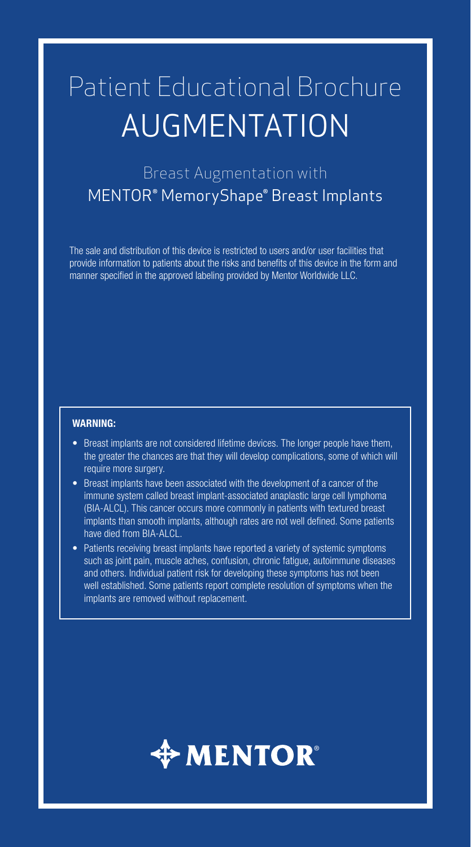# Patient Educational Brochure AUGMENTATION

## Breast Augmentation with MENTOR® MemoryShape® Breast Implants

The sale and distribution of this device is restricted to users and/or user facilities that provide information to patients about the risks and benefits of this device in the form and manner specified in the approved labeling provided by Mentor Worldwide LLC.

#### WARNING:

- Breast implants are not considered lifetime devices. The longer people have them, the greater the chances are that they will develop complications, some of which will require more surgery.
- Breast implants have been associated with the development of a cancer of the immune system called breast implant-associated anaplastic large cell lymphoma (BIA-ALCL). This cancer occurs more commonly in patients with textured breast implants than smooth implants, although rates are not well defined. Some patients have died from BIA-ALCL.
- Patients receiving breast implants have reported a variety of systemic symptoms such as joint pain, muscle aches, confusion, chronic fatigue, autoimmune diseases and others. Individual patient risk for developing these symptoms has not been well established. Some patients report complete resolution of symptoms when the implants are removed without replacement.

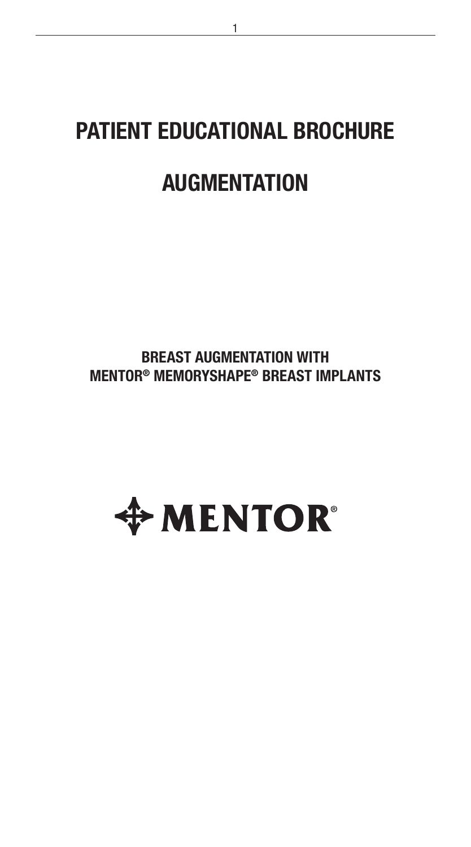## PATIENT EDUCATIONAL BROCHURE **AUGMENTATION**

1

BREAST AUGMENTATION WITH MENTOR® MEMORYSHAPE® BREAST IMPLANTS

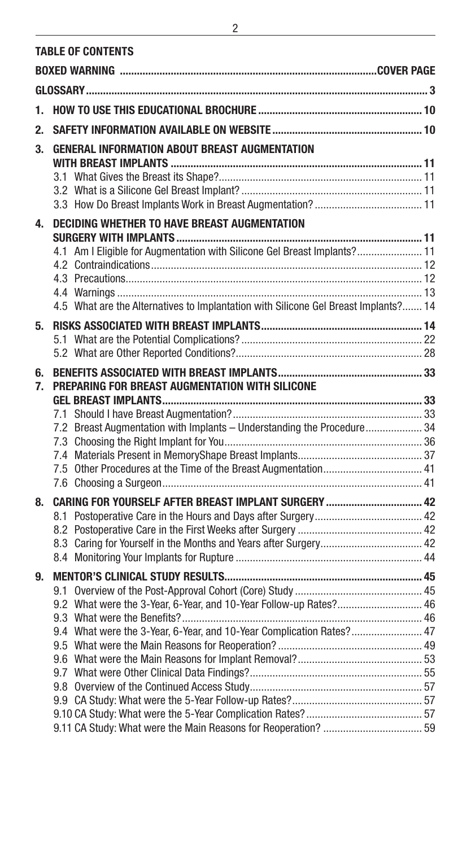## TABLE OF CONTENTS

| 1.                     |                                                                                                                                                                                                                 |  |  |  |  |  |  |
|------------------------|-----------------------------------------------------------------------------------------------------------------------------------------------------------------------------------------------------------------|--|--|--|--|--|--|
| 2.                     |                                                                                                                                                                                                                 |  |  |  |  |  |  |
| 3.                     | <b>GENERAL INFORMATION ABOUT BREAST AUGMENTATION</b>                                                                                                                                                            |  |  |  |  |  |  |
| 4.                     | DECIDING WHETHER TO HAVE BREAST AUGMENTATION<br>4.1 Am I Eligible for Augmentation with Silicone Gel Breast Implants? 11<br>4.5 What are the Alternatives to Implantation with Silicone Gel Breast Implants? 14 |  |  |  |  |  |  |
| 5.                     |                                                                                                                                                                                                                 |  |  |  |  |  |  |
| 6.<br>$\overline{7}$ . | PREPARING FOR BREAST AUGMENTATION WITH SILICONE<br>7.2 Breast Augmentation with Implants - Understanding the Procedure 34                                                                                       |  |  |  |  |  |  |
| 8.                     | CARING FOR YOURSELF AFTER BREAST IMPLANT SURGERY  42                                                                                                                                                            |  |  |  |  |  |  |
| 9.                     | 9.2 What were the 3-Year, 6-Year, and 10-Year Follow-up Rates? 46<br>9.4 What were the 3-Year, 6-Year, and 10-Year Complication Rates? 47                                                                       |  |  |  |  |  |  |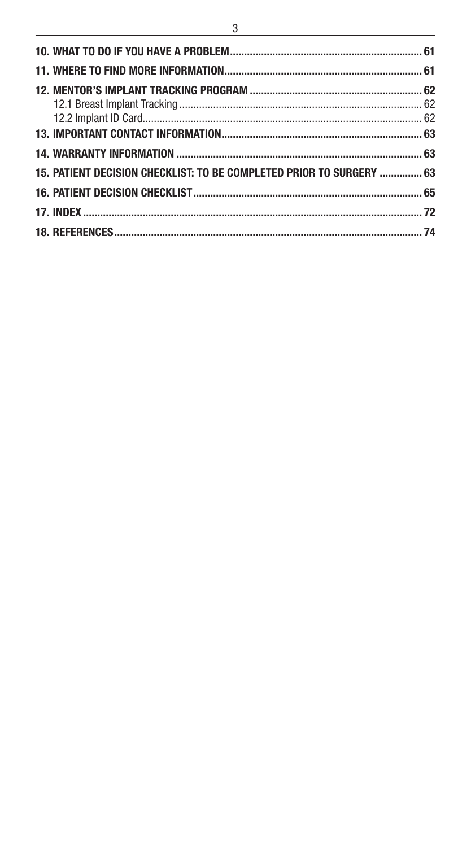| 15. PATIENT DECISION CHECKLIST: TO BE COMPLETED PRIOR TO SURGERY  63 |  |
|----------------------------------------------------------------------|--|
|                                                                      |  |
|                                                                      |  |
|                                                                      |  |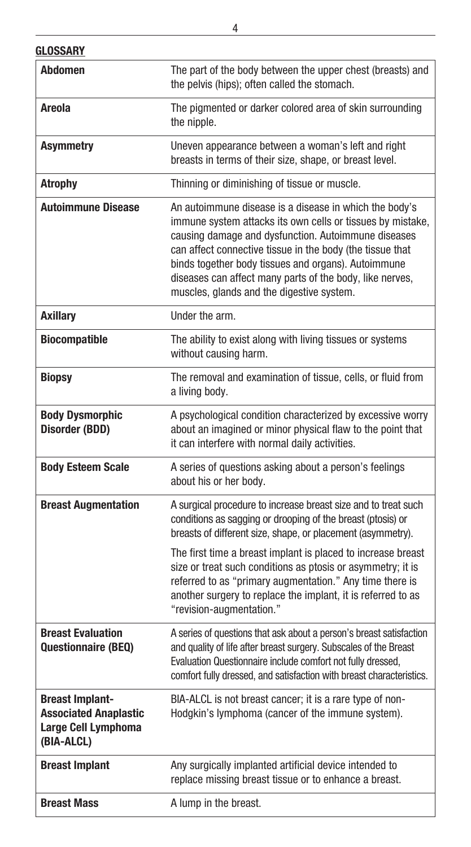| <b>GLOSSARY</b>                                                                             |                                                                                                                                                                                                                                                                                                                                                                                                          |  |  |  |
|---------------------------------------------------------------------------------------------|----------------------------------------------------------------------------------------------------------------------------------------------------------------------------------------------------------------------------------------------------------------------------------------------------------------------------------------------------------------------------------------------------------|--|--|--|
| <b>Abdomen</b>                                                                              | The part of the body between the upper chest (breasts) and<br>the pelvis (hips); often called the stomach.                                                                                                                                                                                                                                                                                               |  |  |  |
| Areola                                                                                      | The pigmented or darker colored area of skin surrounding<br>the nipple.                                                                                                                                                                                                                                                                                                                                  |  |  |  |
| <b>Asymmetry</b>                                                                            | Uneven appearance between a woman's left and right<br>breasts in terms of their size, shape, or breast level.                                                                                                                                                                                                                                                                                            |  |  |  |
| <b>Atrophy</b>                                                                              | Thinning or diminishing of tissue or muscle.                                                                                                                                                                                                                                                                                                                                                             |  |  |  |
| <b>Autoimmune Disease</b>                                                                   | An autoimmune disease is a disease in which the body's<br>immune system attacks its own cells or tissues by mistake,<br>causing damage and dysfunction. Autoimmune diseases<br>can affect connective tissue in the body (the tissue that<br>binds together body tissues and organs). Autoimmune<br>diseases can affect many parts of the body, like nerves,<br>muscles, glands and the digestive system. |  |  |  |
| <b>Axillary</b>                                                                             | Under the arm.                                                                                                                                                                                                                                                                                                                                                                                           |  |  |  |
| <b>Biocompatible</b>                                                                        | The ability to exist along with living tissues or systems<br>without causing harm.                                                                                                                                                                                                                                                                                                                       |  |  |  |
| <b>Biopsy</b>                                                                               | The removal and examination of tissue, cells, or fluid from<br>a living body.                                                                                                                                                                                                                                                                                                                            |  |  |  |
| <b>Body Dysmorphic</b><br>Disorder (BDD)                                                    | A psychological condition characterized by excessive worry<br>about an imagined or minor physical flaw to the point that<br>it can interfere with normal daily activities.                                                                                                                                                                                                                               |  |  |  |
| <b>Body Esteem Scale</b>                                                                    | A series of questions asking about a person's feelings<br>about his or her body.                                                                                                                                                                                                                                                                                                                         |  |  |  |
| <b>Breast Augmentation</b>                                                                  | A surgical procedure to increase breast size and to treat such<br>conditions as sagging or drooping of the breast (ptosis) or<br>breasts of different size, shape, or placement (asymmetry).                                                                                                                                                                                                             |  |  |  |
|                                                                                             | The first time a breast implant is placed to increase breast<br>size or treat such conditions as ptosis or asymmetry; it is<br>referred to as "primary augmentation." Any time there is<br>another surgery to replace the implant, it is referred to as<br>"revision-augmentation."                                                                                                                      |  |  |  |
| <b>Breast Evaluation</b><br><b>Questionnaire (BEQ)</b>                                      | A series of questions that ask about a person's breast satisfaction<br>and quality of life after breast surgery. Subscales of the Breast<br>Evaluation Questionnaire include comfort not fully dressed,<br>comfort fully dressed, and satisfaction with breast characteristics.                                                                                                                          |  |  |  |
| <b>Breast Implant-</b><br><b>Associated Anaplastic</b><br>Large Cell Lymphoma<br>(BIA-ALCL) | BIA-ALCL is not breast cancer; it is a rare type of non-<br>Hodgkin's lymphoma (cancer of the immune system).                                                                                                                                                                                                                                                                                            |  |  |  |
| <b>Breast Implant</b>                                                                       | Any surgically implanted artificial device intended to<br>replace missing breast tissue or to enhance a breast.                                                                                                                                                                                                                                                                                          |  |  |  |
| <b>Breast Mass</b>                                                                          | A lump in the breast.                                                                                                                                                                                                                                                                                                                                                                                    |  |  |  |

<u> 1980 - Johann Barnett, fransk politik (</u>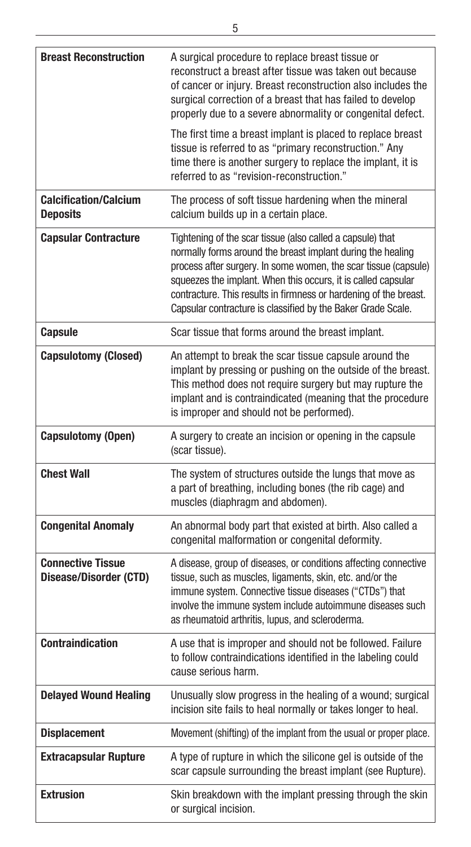| <b>Breast Reconstruction</b>                              | A surgical procedure to replace breast tissue or<br>reconstruct a breast after tissue was taken out because<br>of cancer or injury. Breast reconstruction also includes the<br>surgical correction of a breast that has failed to develop<br>properly due to a severe abnormality or congenital defect.<br>The first time a breast implant is placed to replace breast<br>tissue is referred to as "primary reconstruction." Any<br>time there is another surgery to replace the implant, it is<br>referred to as "revision-reconstruction." |
|-----------------------------------------------------------|----------------------------------------------------------------------------------------------------------------------------------------------------------------------------------------------------------------------------------------------------------------------------------------------------------------------------------------------------------------------------------------------------------------------------------------------------------------------------------------------------------------------------------------------|
| <b>Calcification/Calcium</b><br><b>Deposits</b>           | The process of soft tissue hardening when the mineral<br>calcium builds up in a certain place.                                                                                                                                                                                                                                                                                                                                                                                                                                               |
| <b>Capsular Contracture</b>                               | Tightening of the scar tissue (also called a capsule) that<br>normally forms around the breast implant during the healing<br>process after surgery. In some women, the scar tissue (capsule)<br>squeezes the implant. When this occurs, it is called capsular<br>contracture. This results in firmness or hardening of the breast.<br>Capsular contracture is classified by the Baker Grade Scale.                                                                                                                                           |
| <b>Capsule</b>                                            | Scar tissue that forms around the breast implant.                                                                                                                                                                                                                                                                                                                                                                                                                                                                                            |
| <b>Capsulotomy (Closed)</b>                               | An attempt to break the scar tissue capsule around the<br>implant by pressing or pushing on the outside of the breast.<br>This method does not require surgery but may rupture the<br>implant and is contraindicated (meaning that the procedure<br>is improper and should not be performed).                                                                                                                                                                                                                                                |
| <b>Capsulotomy (Open)</b>                                 | A surgery to create an incision or opening in the capsule<br>(scar tissue).                                                                                                                                                                                                                                                                                                                                                                                                                                                                  |
| <b>Chest Wall</b>                                         | The system of structures outside the lungs that move as<br>a part of breathing, including bones (the rib cage) and<br>muscles (diaphragm and abdomen).                                                                                                                                                                                                                                                                                                                                                                                       |
| <b>Congenital Anomaly</b>                                 | An abnormal body part that existed at birth. Also called a<br>congenital malformation or congenital deformity.                                                                                                                                                                                                                                                                                                                                                                                                                               |
| <b>Connective Tissue</b><br><b>Disease/Disorder (CTD)</b> | A disease, group of diseases, or conditions affecting connective<br>tissue, such as muscles, ligaments, skin, etc. and/or the<br>immune system. Connective tissue diseases ("CTDs") that<br>involve the immune system include autoimmune diseases such<br>as rheumatoid arthritis, lupus, and scleroderma.                                                                                                                                                                                                                                   |
| <b>Contraindication</b>                                   | A use that is improper and should not be followed. Failure<br>to follow contraindications identified in the labeling could<br>cause serious harm.                                                                                                                                                                                                                                                                                                                                                                                            |
| <b>Delayed Wound Healing</b>                              | Unusually slow progress in the healing of a wound; surgical<br>incision site fails to heal normally or takes longer to heal.                                                                                                                                                                                                                                                                                                                                                                                                                 |
| <b>Displacement</b>                                       | Movement (shifting) of the implant from the usual or proper place.                                                                                                                                                                                                                                                                                                                                                                                                                                                                           |
| <b>Extracapsular Rupture</b>                              | A type of rupture in which the silicone gel is outside of the<br>scar capsule surrounding the breast implant (see Rupture).                                                                                                                                                                                                                                                                                                                                                                                                                  |
| <b>Extrusion</b>                                          | Skin breakdown with the implant pressing through the skin<br>or surgical incision.                                                                                                                                                                                                                                                                                                                                                                                                                                                           |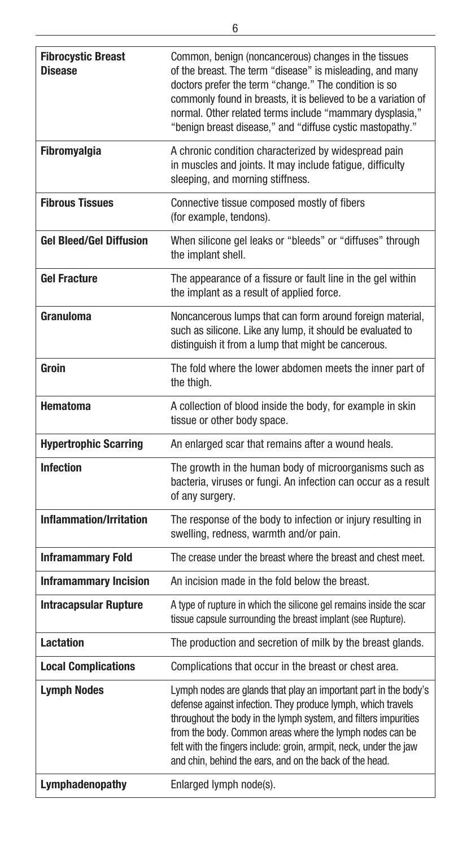| <b>Fibrocystic Breast</b><br><b>Disease</b> | Common, benign (noncancerous) changes in the tissues<br>of the breast. The term "disease" is misleading, and many<br>doctors prefer the term "change." The condition is so<br>commonly found in breasts, it is believed to be a variation of<br>normal. Other related terms include "mammary dysplasia,"<br>"benign breast disease," and "diffuse cystic mastopathy."                           |  |  |  |
|---------------------------------------------|-------------------------------------------------------------------------------------------------------------------------------------------------------------------------------------------------------------------------------------------------------------------------------------------------------------------------------------------------------------------------------------------------|--|--|--|
| Fibromyalgia                                | A chronic condition characterized by widespread pain<br>in muscles and joints. It may include fatigue, difficulty<br>sleeping, and morning stiffness.                                                                                                                                                                                                                                           |  |  |  |
| <b>Fibrous Tissues</b>                      | Connective tissue composed mostly of fibers<br>(for example, tendons).                                                                                                                                                                                                                                                                                                                          |  |  |  |
| <b>Gel Bleed/Gel Diffusion</b>              | When silicone gel leaks or "bleeds" or "diffuses" through<br>the implant shell.                                                                                                                                                                                                                                                                                                                 |  |  |  |
| <b>Gel Fracture</b>                         | The appearance of a fissure or fault line in the gel within<br>the implant as a result of applied force.                                                                                                                                                                                                                                                                                        |  |  |  |
| Granuloma                                   | Noncancerous lumps that can form around foreign material,<br>such as silicone. Like any lump, it should be evaluated to<br>distinguish it from a lump that might be cancerous.                                                                                                                                                                                                                  |  |  |  |
| Groin                                       | The fold where the lower abdomen meets the inner part of<br>the thigh.                                                                                                                                                                                                                                                                                                                          |  |  |  |
| <b>Hematoma</b>                             | A collection of blood inside the body, for example in skin<br>tissue or other body space.                                                                                                                                                                                                                                                                                                       |  |  |  |
| <b>Hypertrophic Scarring</b>                | An enlarged scar that remains after a wound heals.                                                                                                                                                                                                                                                                                                                                              |  |  |  |
| <b>Infection</b>                            | The growth in the human body of microorganisms such as<br>bacteria, viruses or fungi. An infection can occur as a result<br>of any surgery.                                                                                                                                                                                                                                                     |  |  |  |
| <b>Inflammation/Irritation</b>              | The response of the body to infection or injury resulting in<br>swelling, redness, warmth and/or pain.                                                                                                                                                                                                                                                                                          |  |  |  |
| <b>Inframammary Fold</b>                    | The crease under the breast where the breast and chest meet.                                                                                                                                                                                                                                                                                                                                    |  |  |  |
| <b>Inframammary Incision</b>                | An incision made in the fold below the breast.                                                                                                                                                                                                                                                                                                                                                  |  |  |  |
| <b>Intracapsular Rupture</b>                | A type of rupture in which the silicone gel remains inside the scar<br>tissue capsule surrounding the breast implant (see Rupture).                                                                                                                                                                                                                                                             |  |  |  |
| <b>Lactation</b>                            | The production and secretion of milk by the breast glands.                                                                                                                                                                                                                                                                                                                                      |  |  |  |
| <b>Local Complications</b>                  | Complications that occur in the breast or chest area.                                                                                                                                                                                                                                                                                                                                           |  |  |  |
| <b>Lymph Nodes</b>                          | Lymph nodes are glands that play an important part in the body's<br>defense against infection. They produce lymph, which travels<br>throughout the body in the lymph system, and filters impurities<br>from the body. Common areas where the lymph nodes can be<br>felt with the fingers include: groin, armpit, neck, under the jaw<br>and chin, behind the ears, and on the back of the head. |  |  |  |
| Lymphadenopathy                             | Enlarged lymph node(s).                                                                                                                                                                                                                                                                                                                                                                         |  |  |  |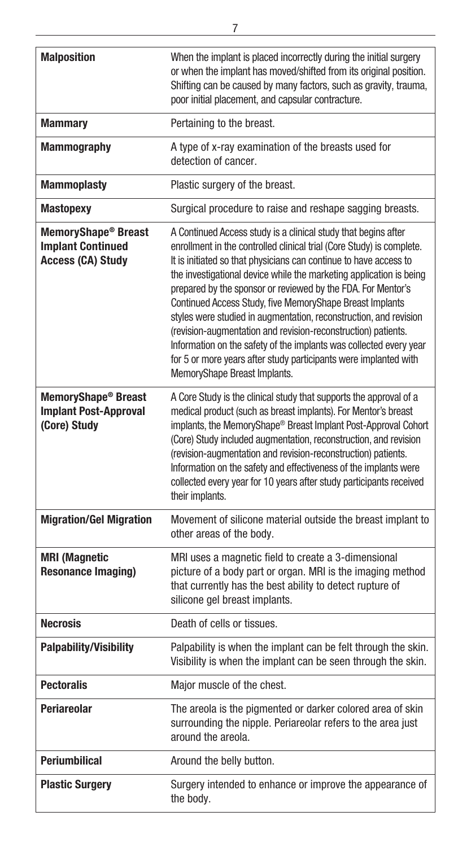| 7                                                                                                                                                                                                                                                                   |                                                                                                                                                                                                                                                                                                                                                                                                                                                                                                                                                                                                                                                                                                                                 |  |  |  |
|---------------------------------------------------------------------------------------------------------------------------------------------------------------------------------------------------------------------------------------------------------------------|---------------------------------------------------------------------------------------------------------------------------------------------------------------------------------------------------------------------------------------------------------------------------------------------------------------------------------------------------------------------------------------------------------------------------------------------------------------------------------------------------------------------------------------------------------------------------------------------------------------------------------------------------------------------------------------------------------------------------------|--|--|--|
| <b>Malposition</b>                                                                                                                                                                                                                                                  | When the implant is placed incorrectly during the initial surgery<br>or when the implant has moved/shifted from its original position.<br>Shifting can be caused by many factors, such as gravity, trauma,<br>poor initial placement, and capsular contracture.                                                                                                                                                                                                                                                                                                                                                                                                                                                                 |  |  |  |
| <b>Mammary</b>                                                                                                                                                                                                                                                      | Pertaining to the breast.                                                                                                                                                                                                                                                                                                                                                                                                                                                                                                                                                                                                                                                                                                       |  |  |  |
| <b>Mammography</b>                                                                                                                                                                                                                                                  | A type of x-ray examination of the breasts used for<br>detection of cancer.                                                                                                                                                                                                                                                                                                                                                                                                                                                                                                                                                                                                                                                     |  |  |  |
| <b>Mammoplasty</b>                                                                                                                                                                                                                                                  | Plastic surgery of the breast.                                                                                                                                                                                                                                                                                                                                                                                                                                                                                                                                                                                                                                                                                                  |  |  |  |
| <b>Mastopexy</b>                                                                                                                                                                                                                                                    | Surgical procedure to raise and reshape sagging breasts.                                                                                                                                                                                                                                                                                                                                                                                                                                                                                                                                                                                                                                                                        |  |  |  |
| MemoryShape® Breast<br><b>Implant Continued</b><br><b>Access (CA) Study</b>                                                                                                                                                                                         | A Continued Access study is a clinical study that begins after<br>enrollment in the controlled clinical trial (Core Study) is complete.<br>It is initiated so that physicians can continue to have access to<br>the investigational device while the marketing application is being<br>prepared by the sponsor or reviewed by the FDA. For Mentor's<br>Continued Access Study, five MemoryShape Breast Implants<br>styles were studied in augmentation, reconstruction, and revision<br>(revision-augmentation and revision-reconstruction) patients.<br>Information on the safety of the implants was collected every year<br>for 5 or more years after study participants were implanted with<br>MemoryShape Breast Implants. |  |  |  |
| MemoryShape <sup>®</sup> Breast<br><b>Implant Post-Approval</b><br>(Core) Study                                                                                                                                                                                     | A Core Study is the clinical study that supports the approval of a<br>medical product (such as breast implants). For Mentor's breast<br>implants, the MemoryShape® Breast Implant Post-Approval Cohort<br>(Core) Study included augmentation, reconstruction, and revision<br>(revision-augmentation and revision-reconstruction) patients.<br>Information on the safety and effectiveness of the implants were<br>collected every year for 10 years after study participants received<br>their implants.                                                                                                                                                                                                                       |  |  |  |
| <b>Migration/Gel Migration</b>                                                                                                                                                                                                                                      | Movement of silicone material outside the breast implant to<br>other areas of the body.                                                                                                                                                                                                                                                                                                                                                                                                                                                                                                                                                                                                                                         |  |  |  |
| <b>MRI (Magnetic</b><br>MRI uses a magnetic field to create a 3-dimensional<br><b>Resonance Imaging)</b><br>picture of a body part or organ. MRI is the imaging method<br>that currently has the best ability to detect rupture of<br>silicone gel breast implants. |                                                                                                                                                                                                                                                                                                                                                                                                                                                                                                                                                                                                                                                                                                                                 |  |  |  |
| <b>Necrosis</b>                                                                                                                                                                                                                                                     | Death of cells or tissues.                                                                                                                                                                                                                                                                                                                                                                                                                                                                                                                                                                                                                                                                                                      |  |  |  |
| <b>Palpability/Visibility</b>                                                                                                                                                                                                                                       | Palpability is when the implant can be felt through the skin.<br>Visibility is when the implant can be seen through the skin.                                                                                                                                                                                                                                                                                                                                                                                                                                                                                                                                                                                                   |  |  |  |
| <b>Pectoralis</b>                                                                                                                                                                                                                                                   | Major muscle of the chest.                                                                                                                                                                                                                                                                                                                                                                                                                                                                                                                                                                                                                                                                                                      |  |  |  |
| <b>Periareolar</b>                                                                                                                                                                                                                                                  | The areola is the pigmented or darker colored area of skin<br>surrounding the nipple. Periareolar refers to the area just<br>around the areola.                                                                                                                                                                                                                                                                                                                                                                                                                                                                                                                                                                                 |  |  |  |
| <b>Periumbilical</b>                                                                                                                                                                                                                                                | Around the belly button.                                                                                                                                                                                                                                                                                                                                                                                                                                                                                                                                                                                                                                                                                                        |  |  |  |
| <b>Plastic Surgery</b>                                                                                                                                                                                                                                              | Surgery intended to enhance or improve the appearance of<br>the body.                                                                                                                                                                                                                                                                                                                                                                                                                                                                                                                                                                                                                                                           |  |  |  |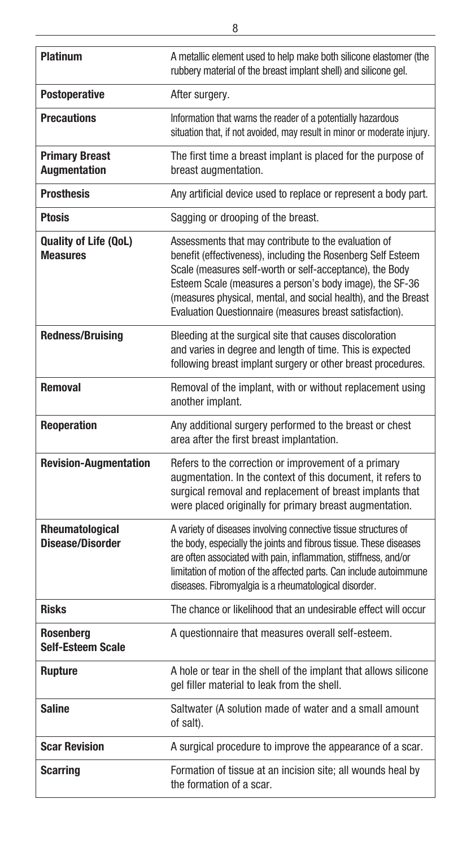| <b>Platinum</b>                                 | A metallic element used to help make both silicone elastomer (the<br>rubbery material of the breast implant shell) and silicone gel.                                                                                                                                                                                                                                       |  |  |  |
|-------------------------------------------------|----------------------------------------------------------------------------------------------------------------------------------------------------------------------------------------------------------------------------------------------------------------------------------------------------------------------------------------------------------------------------|--|--|--|
| <b>Postoperative</b>                            | After surgery.                                                                                                                                                                                                                                                                                                                                                             |  |  |  |
| <b>Precautions</b>                              | Information that warns the reader of a potentially hazardous<br>situation that, if not avoided, may result in minor or moderate injury.                                                                                                                                                                                                                                    |  |  |  |
| <b>Primary Breast</b><br><b>Augmentation</b>    | The first time a breast implant is placed for the purpose of<br>breast augmentation.                                                                                                                                                                                                                                                                                       |  |  |  |
| <b>Prosthesis</b>                               | Any artificial device used to replace or represent a body part.                                                                                                                                                                                                                                                                                                            |  |  |  |
| <b>Ptosis</b>                                   | Sagging or drooping of the breast.                                                                                                                                                                                                                                                                                                                                         |  |  |  |
| <b>Quality of Life (QoL)</b><br><b>Measures</b> | Assessments that may contribute to the evaluation of<br>benefit (effectiveness), including the Rosenberg Self Esteem<br>Scale (measures self-worth or self-acceptance), the Body<br>Esteem Scale (measures a person's body image), the SF-36<br>(measures physical, mental, and social health), and the Breast<br>Evaluation Questionnaire (measures breast satisfaction). |  |  |  |
| <b>Redness/Bruising</b>                         | Bleeding at the surgical site that causes discoloration<br>and varies in degree and length of time. This is expected<br>following breast implant surgery or other breast procedures.                                                                                                                                                                                       |  |  |  |
| <b>Removal</b>                                  | Removal of the implant, with or without replacement using<br>another implant.                                                                                                                                                                                                                                                                                              |  |  |  |
| <b>Reoperation</b>                              | Any additional surgery performed to the breast or chest<br>area after the first breast implantation.                                                                                                                                                                                                                                                                       |  |  |  |
| <b>Revision-Augmentation</b>                    | Refers to the correction or improvement of a primary<br>augmentation. In the context of this document, it refers to<br>surgical removal and replacement of breast implants that<br>were placed originally for primary breast augmentation.                                                                                                                                 |  |  |  |
| Rheumatological<br><b>Disease/Disorder</b>      | A variety of diseases involving connective tissue structures of<br>the body, especially the joints and fibrous tissue. These diseases<br>are often associated with pain, inflammation, stiffness, and/or<br>limitation of motion of the affected parts. Can include autoimmune<br>diseases. Fibromyalgia is a rheumatological disorder.                                    |  |  |  |
| <b>Risks</b>                                    | The chance or likelihood that an undesirable effect will occur                                                                                                                                                                                                                                                                                                             |  |  |  |
| <b>Rosenberg</b><br>Self-Esteem Scale           | A questionnaire that measures overall self-esteem.                                                                                                                                                                                                                                                                                                                         |  |  |  |
| <b>Rupture</b>                                  | A hole or tear in the shell of the implant that allows silicone<br>gel filler material to leak from the shell.                                                                                                                                                                                                                                                             |  |  |  |
| Saline                                          | Saltwater (A solution made of water and a small amount<br>of salt).                                                                                                                                                                                                                                                                                                        |  |  |  |
| <b>Scar Revision</b>                            | A surgical procedure to improve the appearance of a scar.                                                                                                                                                                                                                                                                                                                  |  |  |  |
| <b>Scarring</b>                                 | Formation of tissue at an incision site; all wounds heal by<br>the formation of a scar.                                                                                                                                                                                                                                                                                    |  |  |  |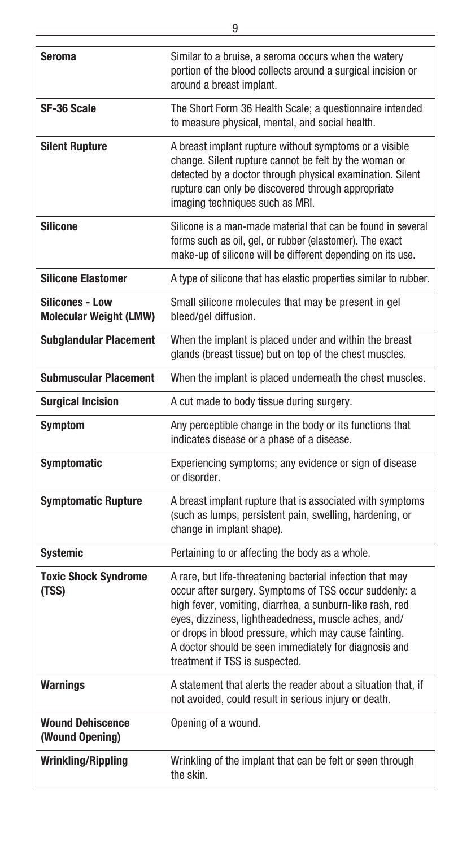| Seroma                                                  | Similar to a bruise, a seroma occurs when the watery<br>portion of the blood collects around a surgical incision or<br>around a breast implant.                                                                                                                                                                                                                                             |  |  |  |
|---------------------------------------------------------|---------------------------------------------------------------------------------------------------------------------------------------------------------------------------------------------------------------------------------------------------------------------------------------------------------------------------------------------------------------------------------------------|--|--|--|
| SF-36 Scale                                             | The Short Form 36 Health Scale; a questionnaire intended<br>to measure physical, mental, and social health.                                                                                                                                                                                                                                                                                 |  |  |  |
| <b>Silent Rupture</b>                                   | A breast implant rupture without symptoms or a visible<br>change. Silent rupture cannot be felt by the woman or<br>detected by a doctor through physical examination. Silent<br>rupture can only be discovered through appropriate<br>imaging techniques such as MRI.                                                                                                                       |  |  |  |
| Silicone                                                | Silicone is a man-made material that can be found in several<br>forms such as oil, gel, or rubber (elastomer). The exact<br>make-up of silicone will be different depending on its use.                                                                                                                                                                                                     |  |  |  |
| <b>Silicone Elastomer</b>                               | A type of silicone that has elastic properties similar to rubber.                                                                                                                                                                                                                                                                                                                           |  |  |  |
| <b>Silicones - Low</b><br><b>Molecular Weight (LMW)</b> | Small silicone molecules that may be present in gel<br>bleed/gel diffusion.                                                                                                                                                                                                                                                                                                                 |  |  |  |
| <b>Subglandular Placement</b>                           | When the implant is placed under and within the breast<br>glands (breast tissue) but on top of the chest muscles.                                                                                                                                                                                                                                                                           |  |  |  |
| <b>Submuscular Placement</b>                            | When the implant is placed underneath the chest muscles.                                                                                                                                                                                                                                                                                                                                    |  |  |  |
| <b>Surgical Incision</b>                                | A cut made to body tissue during surgery.                                                                                                                                                                                                                                                                                                                                                   |  |  |  |
| <b>Symptom</b>                                          | Any perceptible change in the body or its functions that<br>indicates disease or a phase of a disease.                                                                                                                                                                                                                                                                                      |  |  |  |
| <b>Symptomatic</b>                                      | Experiencing symptoms; any evidence or sign of disease<br>or disorder.                                                                                                                                                                                                                                                                                                                      |  |  |  |
| <b>Symptomatic Rupture</b>                              | A breast implant rupture that is associated with symptoms<br>(such as lumps, persistent pain, swelling, hardening, or<br>change in implant shape).                                                                                                                                                                                                                                          |  |  |  |
| <b>Systemic</b>                                         | Pertaining to or affecting the body as a whole.                                                                                                                                                                                                                                                                                                                                             |  |  |  |
| <b>Toxic Shock Syndrome</b><br>(TSS)                    | A rare, but life-threatening bacterial infection that may<br>occur after surgery. Symptoms of TSS occur suddenly: a<br>high fever, vomiting, diarrhea, a sunburn-like rash, red<br>eyes, dizziness, lightheadedness, muscle aches, and/<br>or drops in blood pressure, which may cause fainting.<br>A doctor should be seen immediately for diagnosis and<br>treatment if TSS is suspected. |  |  |  |
| <b>Warnings</b>                                         | A statement that alerts the reader about a situation that, if<br>not avoided, could result in serious injury or death.                                                                                                                                                                                                                                                                      |  |  |  |
| <b>Wound Dehiscence</b><br>(Wound Opening)              | Opening of a wound.                                                                                                                                                                                                                                                                                                                                                                         |  |  |  |
| <b>Wrinkling/Rippling</b>                               | Wrinkling of the implant that can be felt or seen through<br>the skin.                                                                                                                                                                                                                                                                                                                      |  |  |  |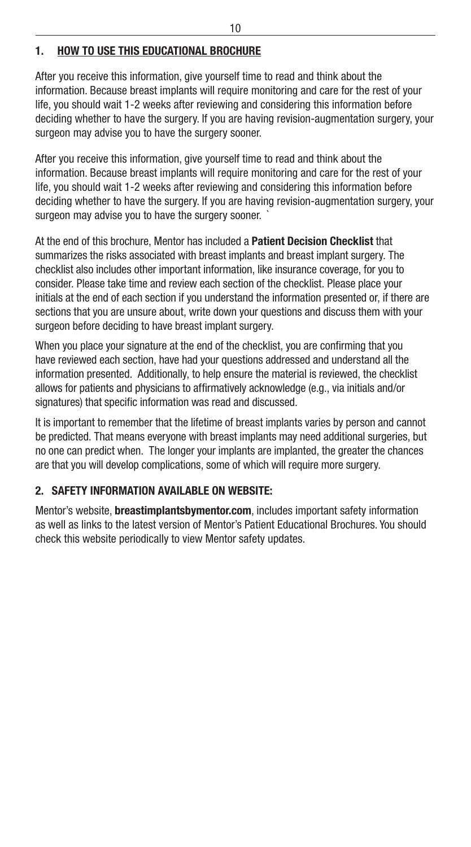## 1. HOW TO USE THIS EDUCATIONAL BROCHURE

After you receive this information, give yourself time to read and think about the information. Because breast implants will require monitoring and care for the rest of your life, you should wait 1-2 weeks after reviewing and considering this information before deciding whether to have the surgery. If you are having revision-augmentation surgery, your surgeon may advise you to have the surgery sooner.

After you receive this information, give yourself time to read and think about the information. Because breast implants will require monitoring and care for the rest of your life, you should wait 1-2 weeks after reviewing and considering this information before deciding whether to have the surgery. If you are having revision-augmentation surgery, your surgeon may advise you to have the surgery sooner.

At the end of this brochure, Mentor has included a Patient Decision Checklist that summarizes the risks associated with breast implants and breast implant surgery. The checklist also includes other important information, like insurance coverage, for you to consider. Please take time and review each section of the checklist. Please place your initials at the end of each section if you understand the information presented or, if there are sections that you are unsure about, write down your questions and discuss them with your surgeon before deciding to have breast implant surgery.

When you place your signature at the end of the checklist, you are confirming that you have reviewed each section, have had your questions addressed and understand all the information presented. Additionally, to help ensure the material is reviewed, the checklist allows for patients and physicians to affirmatively acknowledge (e.g., via initials and/or signatures) that specific information was read and discussed.

It is important to remember that the lifetime of breast implants varies by person and cannot be predicted. That means everyone with breast implants may need additional surgeries, but no one can predict when. The longer your implants are implanted, the greater the chances are that you will develop complications, some of which will require more surgery.

#### 2. SAFETY INFORMATION AVAILABLE ON WEBSITE:

Mentor's website, breastimplantsbymentor.com, includes important safety information as well as links to the latest version of Mentor's Patient Educational Brochures. You should check this website periodically to view Mentor safety updates.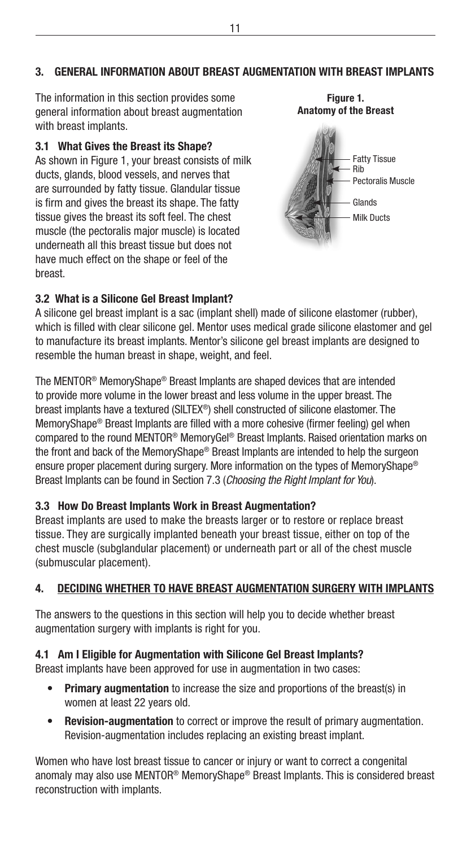#### 3. GENERAL INFORMATION ABOUT BREAST AUGMENTATION WITH BREAST IMPLANTS

The information in this section provides some general information about breast augmentation with breast implants.

#### 3.1 What Gives the Breast its Shape?

As shown in Figure 1, your breast consists of milk ducts, glands, blood vessels, and nerves that are surrounded by fatty tissue. Glandular tissue is firm and gives the breast its shape. The fatty tissue gives the breast its soft feel. The chest muscle (the pectoralis major muscle) is located underneath all this breast tissue but does not have much effect on the shape or feel of the breast.





A silicone gel breast implant is a sac (implant shell) made of silicone elastomer (rubber), which is filled with clear silicone gel. Mentor uses medical grade silicone elastomer and gel to manufacture its breast implants. Mentor's silicone gel breast implants are designed to resemble the human breast in shape, weight, and feel.

The MENTOR® MemoryShape® Breast Implants are shaped devices that are intended to provide more volume in the lower breast and less volume in the upper breast. The breast implants have a textured (SILTEX®) shell constructed of silicone elastomer. The MemoryShape® Breast Implants are filled with a more cohesive (firmer feeling) gel when compared to the round MENTOR® MemoryGel® Breast Implants. Raised orientation marks on the front and back of the MemoryShape® Breast Implants are intended to help the surgeon ensure proper placement during surgery. More information on the types of MemoryShape® Breast Implants can be found in Section 7.3 (*Choosing the Right Implant for You*).

#### 3.3 How Do Breast Implants Work in Breast Augmentation?

Breast implants are used to make the breasts larger or to restore or replace breast tissue. They are surgically implanted beneath your breast tissue, either on top of the chest muscle (subglandular placement) or underneath part or all of the chest muscle (submuscular placement).

#### 4. DECIDING WHETHER TO HAVE BREAST AUGMENTATION SURGERY WITH IMPLANTS

The answers to the questions in this section will help you to decide whether breast augmentation surgery with implants is right for you.

#### 4.1 Am I Eligible for Augmentation with Silicone Gel Breast Implants?

Breast implants have been approved for use in augmentation in two cases:

- **Primary augmentation** to increase the size and proportions of the breast(s) in women at least 22 years old.
- **Revision-augmentation** to correct or improve the result of primary augmentation. Revision-augmentation includes replacing an existing breast implant.

Women who have lost breast tissue to cancer or injury or want to correct a congenital anomaly may also use MENTOR® MemoryShape® Breast Implants. This is considered breast reconstruction with implants.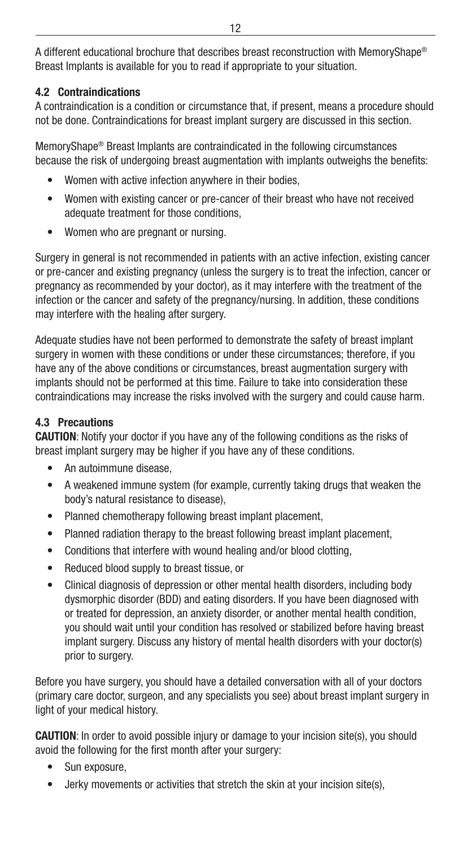A different educational brochure that describes breast reconstruction with MemoryShape® Breast Implants is available for you to read if appropriate to your situation.

#### 4.2 Contraindications

A contraindication is a condition or circumstance that, if present, means a procedure should not be done. Contraindications for breast implant surgery are discussed in this section.

MemoryShape® Breast Implants are contraindicated in the following circumstances because the risk of undergoing breast augmentation with implants outweighs the benefits:

- Women with active infection anywhere in their bodies,
- Women with existing cancer or pre-cancer of their breast who have not received adequate treatment for those conditions,
- Women who are pregnant or nursing.

Surgery in general is not recommended in patients with an active infection, existing cancer or pre-cancer and existing pregnancy (unless the surgery is to treat the infection, cancer or pregnancy as recommended by your doctor), as it may interfere with the treatment of the infection or the cancer and safety of the pregnancy/nursing. In addition, these conditions may interfere with the healing after surgery.

Adequate studies have not been performed to demonstrate the safety of breast implant surgery in women with these conditions or under these circumstances; therefore, if you have any of the above conditions or circumstances, breast augmentation surgery with implants should not be performed at this time. Failure to take into consideration these contraindications may increase the risks involved with the surgery and could cause harm.

#### 4.3 Precautions

CAUTION: Notify your doctor if you have any of the following conditions as the risks of breast implant surgery may be higher if you have any of these conditions.

- An autoimmune disease,
- A weakened immune system (for example, currently taking drugs that weaken the body's natural resistance to disease),
- Planned chemotherapy following breast implant placement,
- Planned radiation therapy to the breast following breast implant placement,
- Conditions that interfere with wound healing and/or blood clotting,
- Reduced blood supply to breast tissue, or
- Clinical diagnosis of depression or other mental health disorders, including body dysmorphic disorder (BDD) and eating disorders. If you have been diagnosed with or treated for depression, an anxiety disorder, or another mental health condition, you should wait until your condition has resolved or stabilized before having breast implant surgery. Discuss any history of mental health disorders with your doctor(s) prior to surgery.

Before you have surgery, you should have a detailed conversation with all of your doctors (primary care doctor, surgeon, and any specialists you see) about breast implant surgery in light of your medical history.

**CAUTION:** In order to avoid possible injury or damage to your incision site(s), you should avoid the following for the first month after your surgery:

- Sun exposure,
- Jerky movements or activities that stretch the skin at your incision site(s),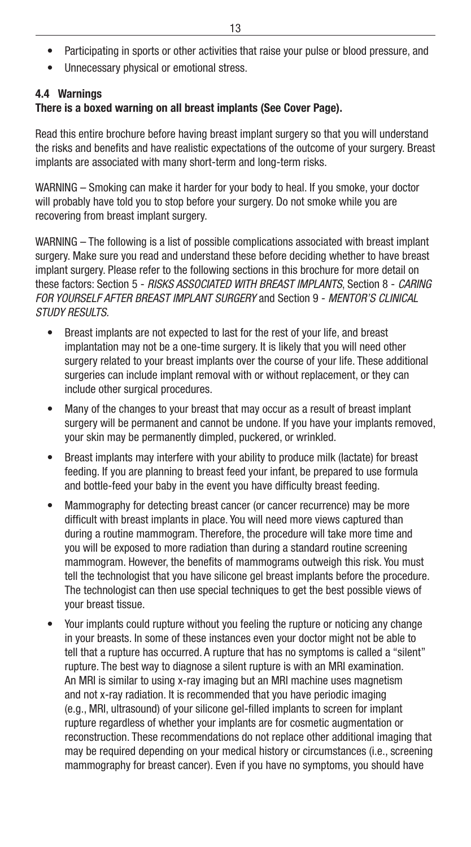- Participating in sports or other activities that raise your pulse or blood pressure, and
- Unnecessary physical or emotional stress.

#### 4.4 Warnings

#### There is a boxed warning on all breast implants (See Cover Page).

Read this entire brochure before having breast implant surgery so that you will understand the risks and benefits and have realistic expectations of the outcome of your surgery. Breast implants are associated with many short-term and long-term risks.

WARNING – Smoking can make it harder for your body to heal. If you smoke, your doctor will probably have told you to stop before your surgery. Do not smoke while you are recovering from breast implant surgery.

WARNING – The following is a list of possible complications associated with breast implant surgery. Make sure you read and understand these before deciding whether to have breast implant surgery. Please refer to the following sections in this brochure for more detail on these factors: Section 5 - *RISKS ASSOCIATED WITH BREAST IMPLANTS*, Section 8 - *CARING FOR YOURSELF AFTER BREAST IMPLANT SURGERY* and Section 9 - *MENTOR'S CLINICAL STUDY RESULTS.* 

- Breast implants are not expected to last for the rest of your life, and breast implantation may not be a one-time surgery. It is likely that you will need other surgery related to your breast implants over the course of your life. These additional surgeries can include implant removal with or without replacement, or they can include other surgical procedures.
- Many of the changes to your breast that may occur as a result of breast implant surgery will be permanent and cannot be undone. If you have your implants removed, your skin may be permanently dimpled, puckered, or wrinkled.
- Breast implants may interfere with your ability to produce milk (lactate) for breast feeding. If you are planning to breast feed your infant, be prepared to use formula and bottle-feed your baby in the event you have difficulty breast feeding.
- Mammography for detecting breast cancer (or cancer recurrence) may be more difficult with breast implants in place. You will need more views captured than during a routine mammogram. Therefore, the procedure will take more time and you will be exposed to more radiation than during a standard routine screening mammogram. However, the benefits of mammograms outweigh this risk. You must tell the technologist that you have silicone gel breast implants before the procedure. The technologist can then use special techniques to get the best possible views of your breast tissue.
- Your implants could rupture without you feeling the rupture or noticing any change in your breasts. In some of these instances even your doctor might not be able to tell that a rupture has occurred. A rupture that has no symptoms is called a "silent" rupture. The best way to diagnose a silent rupture is with an MRI examination. An MRI is similar to using x-ray imaging but an MRI machine uses magnetism and not x-ray radiation. It is recommended that you have periodic imaging (e.g., MRI, ultrasound) of your silicone gel-filled implants to screen for implant rupture regardless of whether your implants are for cosmetic augmentation or reconstruction. These recommendations do not replace other additional imaging that may be required depending on your medical history or circumstances (i.e., screening mammography for breast cancer). Even if you have no symptoms, you should have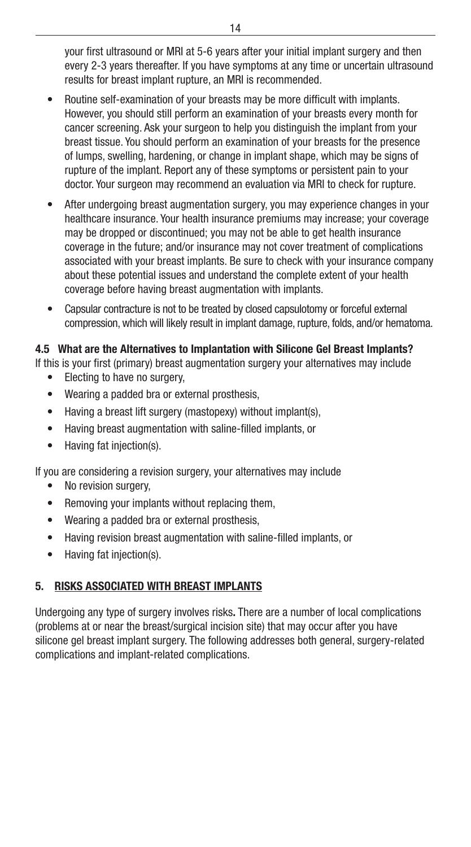your first ultrasound or MRI at 5-6 years after your initial implant surgery and then every 2-3 years thereafter. If you have symptoms at any time or uncertain ultrasound results for breast implant rupture, an MRI is recommended.

- Routine self-examination of your breasts may be more difficult with implants. However, you should still perform an examination of your breasts every month for cancer screening. Ask your surgeon to help you distinguish the implant from your breast tissue. You should perform an examination of your breasts for the presence of lumps, swelling, hardening, or change in implant shape, which may be signs of rupture of the implant. Report any of these symptoms or persistent pain to your doctor. Your surgeon may recommend an evaluation via MRI to check for rupture.
- After undergoing breast augmentation surgery, you may experience changes in your healthcare insurance. Your health insurance premiums may increase; your coverage may be dropped or discontinued; you may not be able to get health insurance coverage in the future; and/or insurance may not cover treatment of complications associated with your breast implants. Be sure to check with your insurance company about these potential issues and understand the complete extent of your health coverage before having breast augmentation with implants.
- Capsular contracture is not to be treated by closed capsulotomy or forceful external compression, which will likely result in implant damage, rupture, folds, and/or hematoma.

#### 4.5 What are the Alternatives to Implantation with Silicone Gel Breast Implants?

If this is your first (primary) breast augmentation surgery your alternatives may include

- Electing to have no surgery,
- Wearing a padded bra or external prosthesis.
- Having a breast lift surgery (mastopexy) without implant(s),
- Having breast augmentation with saline-filled implants, or
- Having fat injection(s).

If you are considering a revision surgery, your alternatives may include

- No revision surgery,
- Removing your implants without replacing them,
- Wearing a padded bra or external prosthesis,
- Having revision breast augmentation with saline-filled implants, or
- Having fat injection(s).

#### 5. RISKS ASSOCIATED WITH BREAST IMPLANTS

Undergoing any type of surgery involves risks. There are a number of local complications (problems at or near the breast/surgical incision site) that may occur after you have silicone gel breast implant surgery. The following addresses both general, surgery-related complications and implant-related complications.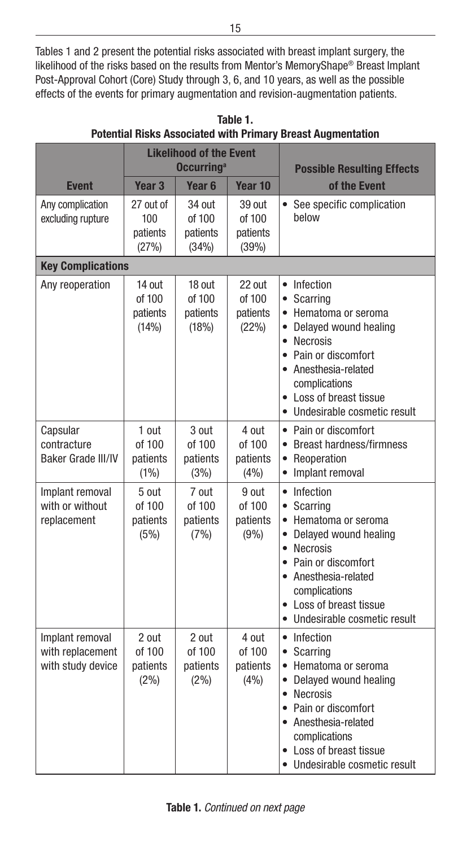Tables 1 and 2 present the potential risks associated with breast implant surgery, the likelihood of the risks based on the results from Mentor's MemoryShape® Breast Implant Post-Approval Cohort (Core) Study through 3, 6, and 10 years, as well as the possible effects of the events for primary augmentation and revision-augmentation patients.

|                                                          | <b>Likelihood of the Event</b><br><b>Occurring</b> <sup>a</sup> |                                        |                                       | <b>Possible Resulting Effects</b>                                                                                                                                                                                       |  |
|----------------------------------------------------------|-----------------------------------------------------------------|----------------------------------------|---------------------------------------|-------------------------------------------------------------------------------------------------------------------------------------------------------------------------------------------------------------------------|--|
| <b>Event</b>                                             | Year <sub>3</sub>                                               | Year <sub>6</sub>                      | Year 10                               | of the Event                                                                                                                                                                                                            |  |
| Any complication<br>excluding rupture                    | 27 out of<br>100<br>patients<br>(27%)                           | 34 out<br>of 100<br>patients<br>(34%)  | 39 out<br>of 100<br>patients<br>(39%) | • See specific complication<br>below                                                                                                                                                                                    |  |
| <b>Key Complications</b>                                 |                                                                 |                                        |                                       |                                                                                                                                                                                                                         |  |
| Any reoperation                                          | 14 out<br>of 100<br>patients<br>(14%)                           | 18 out<br>of 100<br>patients<br>(18%)  | 22 out<br>of 100<br>patients<br>(22%) | • Infection<br>• Scarring<br>• Hematoma or seroma<br>• Delayed wound healing<br>• Necrosis<br>• Pain or discomfort<br>Anesthesia-related<br>complications<br>• Loss of breast tissue<br>Undesirable cosmetic result     |  |
| Capsular<br>contracture<br><b>Baker Grade III/IV</b>     | 1 out<br>of 100<br>patients<br>$(1\%)$                          | 3 out<br>of 100<br>patients<br>(3%)    | 4 out<br>of 100<br>patients<br>(4%)   | • Pain or discomfort<br>• Breast hardness/firmness<br>Reoperation<br>$\bullet$<br>Implant removal<br>٠                                                                                                                  |  |
| Implant removal<br>with or without<br>replacement        | 5 out<br>of 100<br>patients<br>(5%)                             | 7 out<br>of 100<br>patients<br>(7%)    | 9 out<br>of 100<br>patients<br>(9%)   | • Infection<br>• Scarring<br>• Hematoma or seroma<br>• Delayed wound healing<br>• Necrosis<br>• Pain or discomfort<br>• Anesthesia-related<br>complications<br>• Loss of breast tissue<br>• Undesirable cosmetic result |  |
| Implant removal<br>with replacement<br>with study device | 2 out<br>of 100<br>patients<br>$(2\%)$                          | 2 out<br>of 100<br>patients<br>$(2\%)$ | 4 out<br>of 100<br>patients<br>(4%)   | • Infection<br>• Scarring<br>• Hematoma or seroma<br>• Delayed wound healing<br>• Necrosis<br>Pain or discomfort<br>Anesthesia-related<br>complications<br>• Loss of breast tissue<br>• Undesirable cosmetic result     |  |

Table 1. Potential Risks Associated with Primary Breast Augmentation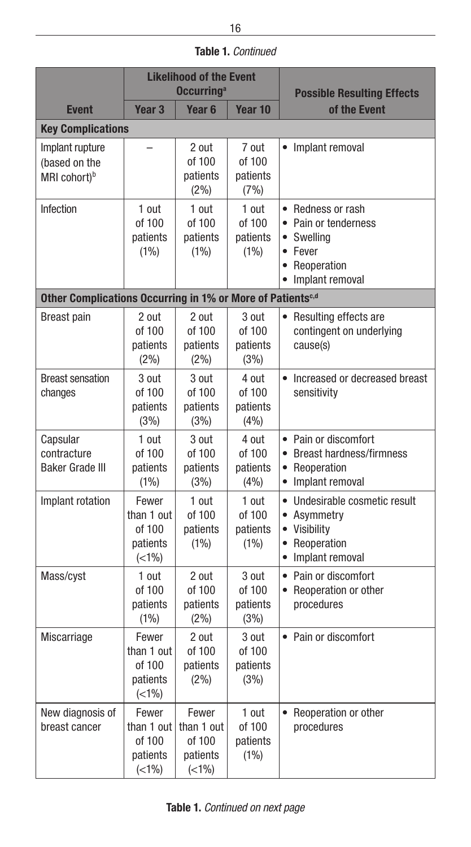|                                                                        | <b>Likelihood of the Event</b><br><b>Occurring</b> <sup>a</sup> |                                                    |                                        | <b>Possible Resulting Effects</b>                                                                                                       |  |  |
|------------------------------------------------------------------------|-----------------------------------------------------------------|----------------------------------------------------|----------------------------------------|-----------------------------------------------------------------------------------------------------------------------------------------|--|--|
| <b>Event</b>                                                           | Year <sub>3</sub>                                               | Year <sub>6</sub>                                  | Year <sub>10</sub>                     | of the Event                                                                                                                            |  |  |
| <b>Key Complications</b>                                               |                                                                 |                                                    |                                        |                                                                                                                                         |  |  |
| Implant rupture<br>(based on the<br>MRI cohort) <sup>b</sup>           |                                                                 | 2 out<br>of 100<br>patients<br>(2%)                | 7 out<br>of 100<br>patients<br>(7%)    | • Implant removal                                                                                                                       |  |  |
| Infection                                                              | 1 out<br>of 100<br>patients<br>(1%)                             | 1 out<br>of 100<br>patients<br>$(1\%)$             | 1 out<br>of 100<br>patients<br>$(1\%)$ | • Redness or rash<br>• Pain or tenderness<br>Swelling<br>$\bullet$<br>Fever<br>$\bullet$<br>Reoperation<br>$\bullet$<br>Implant removal |  |  |
| Other Complications Occurring in 1% or More of Patients <sup>c,d</sup> |                                                                 |                                                    |                                        |                                                                                                                                         |  |  |
| <b>Breast pain</b>                                                     | 2 out<br>of 100<br>patients<br>(2%)                             | 2 out<br>of 100<br>patients<br>(2%)                | 3 out<br>of 100<br>patients<br>(3%)    | • Resulting effects are<br>contingent on underlying<br>cause(s)                                                                         |  |  |
| <b>Breast sensation</b><br>changes                                     | 3 out<br>of 100<br>patients<br>(3%)                             | 3 out<br>of 100<br>patients<br>(3%)                | 4 out<br>of 100<br>patients<br>(4% )   | • Increased or decreased breast<br>sensitivity                                                                                          |  |  |
| Capsular<br>contracture<br><b>Baker Grade III</b>                      | $1$ out<br>of 100<br>patients<br>$(1\%)$                        | 3 out<br>of 100<br>patients<br>(3%)                | 4 out<br>of 100<br>patients<br>(4% )   | • Pain or discomfort<br>• Breast hardness/firmness<br>• Reoperation<br>Implant removal<br>٠                                             |  |  |
| Implant rotation                                                       | Fewer<br>than 1 out<br>of 100<br>patients<br>(<1%)              | 1 out<br>of 100<br>patients<br>$(1\%)$             | 1 out<br>of 100<br>patients<br>$(1\%)$ | Undesirable cosmetic result<br>$\bullet$<br>Asymmetry<br>٠<br>• Visibility<br>Reoperation<br>$\bullet$<br>Implant removal<br>$\bullet$  |  |  |
| Mass/cyst                                                              | 1 out<br>of 100<br>patients<br>$(1\%)$                          | 2 out<br>of 100<br>patients<br>$(2\%)$             | 3 out<br>of 100<br>patients<br>(3%)    | • Pain or discomfort<br>• Reoperation or other<br>procedures                                                                            |  |  |
| Miscarriage                                                            | Fewer<br>than 1 out<br>of 100<br>patients<br>(<1%)              | 2 out<br>of 100<br>patients<br>$(2\%)$             | 3 out<br>of 100<br>patients<br>(3%)    | • Pain or discomfort                                                                                                                    |  |  |
| New diagnosis of<br>breast cancer                                      | Fewer<br>than 1 out<br>of 100<br>patients<br>(<1%)              | Fewer<br>than 1 out<br>of 100<br>patients<br>(<1%) | 1 out<br>of 100<br>patients<br>$(1\%)$ | Reoperation or other<br>procedures                                                                                                      |  |  |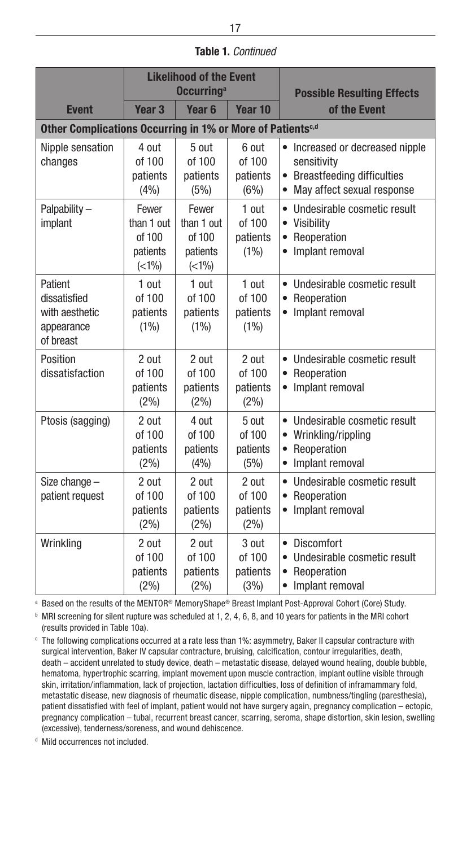|  | <b>Table 1.</b> Continued |
|--|---------------------------|
|--|---------------------------|

|                                                                        | <b>Likelihood of the Event</b><br><b>Occurring</b> <sup>a</sup> |                                                    |                                        | <b>Possible Resulting Effects</b>                                                                                                      |
|------------------------------------------------------------------------|-----------------------------------------------------------------|----------------------------------------------------|----------------------------------------|----------------------------------------------------------------------------------------------------------------------------------------|
| <b>Event</b>                                                           | Year <sub>3</sub>                                               | Year <sub>6</sub>                                  | Year <sub>10</sub>                     | of the Event                                                                                                                           |
| Other Complications Occurring in 1% or More of Patients <sup>c,d</sup> |                                                                 |                                                    |                                        |                                                                                                                                        |
| Nipple sensation<br>changes                                            | 4 out<br>of 100<br>patients<br>(4%)                             | 5 out<br>of 100<br>patients<br>(5%)                | 6 out<br>of 100<br>patients<br>(6%)    | • Increased or decreased nipple<br>sensitivity<br>• Breastfeeding difficulties<br>May affect sexual response<br>$\bullet$              |
| Palpability-<br>implant                                                | Fewer<br>than 1 out<br>of 100<br>patients<br>(<1%)              | Fewer<br>than 1 out<br>of 100<br>patients<br>(<1%) | 1 out<br>of 100<br>patients<br>$(1\%)$ | Undesirable cosmetic result<br>$\bullet$<br>Visibility<br>$\bullet$<br>Reoperation<br>$\bullet$<br>Implant removal<br>$\bullet$        |
| Patient<br>dissatisfied<br>with aesthetic<br>appearance<br>of breast   | 1 out<br>of 100<br>patients<br>$(1\%)$                          | 1 out<br>of 100<br>patients<br>$(1\%)$             | 1 out<br>of 100<br>patients<br>(1%)    | • Undesirable cosmetic result<br>Reoperation<br>$\bullet$<br>• Implant removal                                                         |
| Position<br>dissatisfaction                                            | 2 out<br>of 100<br>patients<br>$(2\%)$                          | 2 out<br>of 100<br>patients<br>$(2\%)$             | 2 out<br>of 100<br>patients<br>$(2\%)$ | • Undesirable cosmetic result<br>Reoperation<br>$\bullet$<br>Implant removal<br>٠                                                      |
| Ptosis (sagging)                                                       | 2 out<br>of 100<br>patients<br>(2%)                             | 4 out<br>of 100<br>patients<br>(4%)                | 5 out<br>of 100<br>patients<br>(5%)    | Undesirable cosmetic result<br>$\bullet$<br>Wrinkling/rippling<br>٠<br>Reoperation<br>$\bullet$<br>Implant removal<br>٠                |
| Size change -<br>patient request                                       | 2 out<br>of 100<br>patients<br>$(2\%)$                          | 2 out<br>of 100<br>patients<br>$(2\%)$             | 2 out<br>of 100<br>patients<br>$(2\%)$ | Undesirable cosmetic result<br>$\bullet$<br>Reoperation<br>$\bullet$<br>• Implant removal                                              |
| Wrinkling                                                              | 2 out<br>of 100<br>patients<br>$(2\%)$                          | 2 out<br>of 100<br>patients<br>$(2\%)$             | 3 out<br>of 100<br>patients<br>(3%)    | <b>Discomfort</b><br>$\bullet$<br>Undesirable cosmetic result<br>$\bullet$<br>Reoperation<br>$\bullet$<br>Implant removal<br>$\bullet$ |

<sup>a</sup> Based on the results of the MENTOR® MemoryShape® Breast Implant Post-Approval Cohort (Core) Study.

**b** MRI screening for silent rupture was scheduled at 1, 2, 4, 6, 8, and 10 years for patients in the MRI cohort (results provided in Table 10a).

<sup>c</sup> The following complications occurred at a rate less than 1%: asymmetry, Baker II capsular contracture with surgical intervention, Baker IV capsular contracture, bruising, calcification, contour irregularities, death, death – accident unrelated to study device, death – metastatic disease, delayed wound healing, double bubble, hematoma, hypertrophic scarring, implant movement upon muscle contraction, implant outline visible through skin, irritation/inflammation, lack of projection, lactation difficulties, loss of definition of inframammary fold, metastatic disease, new diagnosis of rheumatic disease, nipple complication, numbness/tingling (paresthesia), patient dissatisfied with feel of implant, patient would not have surgery again, pregnancy complication – ectopic, pregnancy complication – tubal, recurrent breast cancer, scarring, seroma, shape distortion, skin lesion, swelling (excessive), tenderness/soreness, and wound dehiscence.

<sup>d</sup> Mild occurrences not included.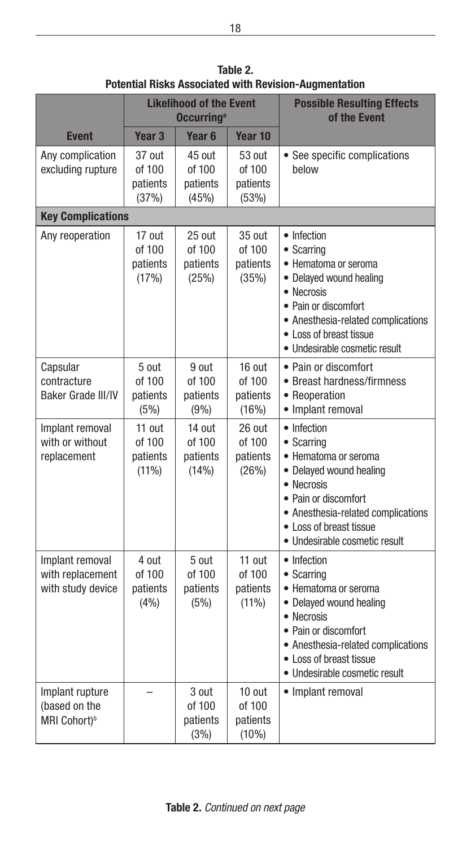|                                                              |                                          | <b>Likelihood of the Event</b><br><b>Occurring</b> <sup>a</sup> |                                          | <b>Possible Resulting Effects</b><br>of the Event                                                                                                                                                                    |  |  |  |
|--------------------------------------------------------------|------------------------------------------|-----------------------------------------------------------------|------------------------------------------|----------------------------------------------------------------------------------------------------------------------------------------------------------------------------------------------------------------------|--|--|--|
| <b>Event</b>                                                 | Year <sub>3</sub>                        | Year <sub>6</sub>                                               | Year <sub>10</sub>                       |                                                                                                                                                                                                                      |  |  |  |
| Any complication<br>excluding rupture                        | 37 out<br>of 100<br>patients<br>(37%)    | 45 out<br>of 100<br>patients<br>(45%)                           | 53 out<br>of 100<br>patients<br>(53%)    | • See specific complications<br>below                                                                                                                                                                                |  |  |  |
| <b>Key Complications</b>                                     |                                          |                                                                 |                                          |                                                                                                                                                                                                                      |  |  |  |
| Any reoperation                                              | 17 out<br>of 100<br>patients<br>(17%)    | 25 out<br>of 100<br>patients<br>(25%)                           | 35 out<br>of 100<br>patients<br>(35%)    | • Infection<br>• Scarring<br>• Hematoma or seroma<br>• Delayed wound healing<br>• Necrosis<br>• Pain or discomfort<br>• Anesthesia-related complications<br>• Loss of breast tissue<br>• Undesirable cosmetic result |  |  |  |
| Capsular<br>contracture<br><b>Baker Grade III/IV</b>         | 5 out<br>of 100<br>patients<br>(5%)      | 9 out<br>of 100<br>patients<br>(9%)                             | 16 out<br>of 100<br>patients<br>(16%)    | • Pain or discomfort<br>• Breast hardness/firmness<br>• Reoperation<br>• Implant removal                                                                                                                             |  |  |  |
| Implant removal<br>with or without<br>replacement            | 11 out<br>of 100<br>patients<br>$(11\%)$ | 14 out<br>of 100<br>patients<br>(14%)                           | 26 out<br>of 100<br>patients<br>(26%)    | • Infection<br>• Scarring<br>• Hematoma or seroma<br>• Delayed wound healing<br>• Necrosis<br>• Pain or discomfort<br>• Anesthesia-related complications<br>• Loss of breast tissue<br>• Undesirable cosmetic result |  |  |  |
| Implant removal<br>with replacement<br>with study device     | 4 out<br>of 100<br>patients<br>(4%)      | 5 out<br>of 100<br>patients<br>(5%)                             | 11 out<br>of 100<br>patients<br>$(11\%)$ | • Infection<br>• Scarring<br>• Hematoma or seroma<br>• Delayed wound healing<br>• Necrosis<br>• Pain or discomfort<br>• Anesthesia-related complications<br>• Loss of breast tissue<br>• Undesirable cosmetic result |  |  |  |
| Implant rupture<br>(based on the<br>MRI Cohort) <sup>b</sup> |                                          | 3 out<br>of 100<br>patients<br>(3%)                             | 10 out<br>of 100<br>patients<br>(10%)    | • Implant removal                                                                                                                                                                                                    |  |  |  |

Table 2. Potential Risks Associated with Revision-Augmentation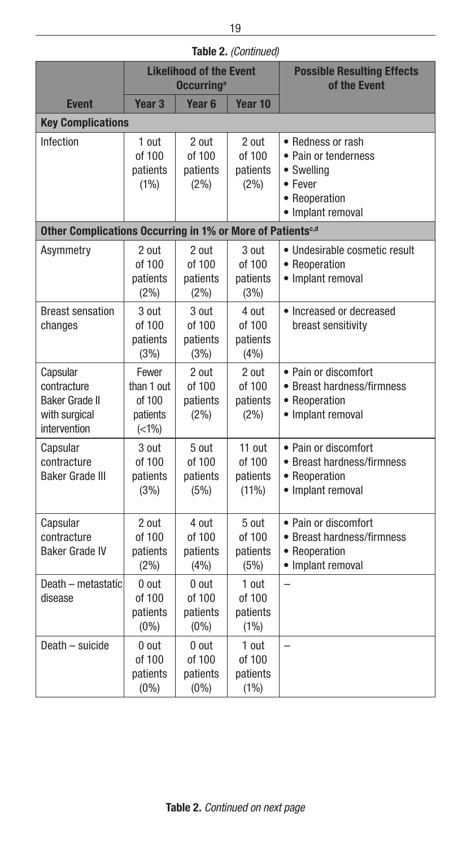| $I$ auit $L$ . ( <i>CONTENTINGU)</i>                                              |                                                              |                                                                 |                                          |                                                                                                          |  |  |  |  |  |
|-----------------------------------------------------------------------------------|--------------------------------------------------------------|-----------------------------------------------------------------|------------------------------------------|----------------------------------------------------------------------------------------------------------|--|--|--|--|--|
|                                                                                   |                                                              | <b>Likelihood of the Event</b><br><b>Occurring</b> <sup>a</sup> |                                          | <b>Possible Resulting Effects</b><br>of the Event                                                        |  |  |  |  |  |
| <b>Event</b>                                                                      | Year <sub>3</sub><br>Year <sub>6</sub><br>Year <sub>10</sub> |                                                                 |                                          |                                                                                                          |  |  |  |  |  |
| <b>Key Complications</b>                                                          |                                                              |                                                                 |                                          |                                                                                                          |  |  |  |  |  |
| Infection                                                                         | 1 out<br>of 100<br>patients<br>$(1\%)$                       | 2 out<br>of 100<br>patients<br>$(2\%)$                          | 2 out<br>of 100<br>patients<br>$(2\%)$   | • Redness or rash<br>• Pain or tenderness<br>• Swelling<br>• Fever<br>• Reoperation<br>• Implant removal |  |  |  |  |  |
| Other Complications Occurring in 1% or More of Patients <sup>c,d</sup>            |                                                              |                                                                 |                                          |                                                                                                          |  |  |  |  |  |
| Asymmetry                                                                         | 2 out<br>of 100<br>patients<br>(2%)                          | 2 out<br>of 100<br>patients<br>$(2\%)$                          | 3 out<br>of 100<br>patients<br>(3%)      | • Undesirable cosmetic result<br>• Reoperation<br>• Implant removal                                      |  |  |  |  |  |
| <b>Breast sensation</b><br>changes                                                | 3 out<br>of 100<br>patients<br>(3%)                          | 3 out<br>of 100<br>patients<br>(3%)                             | 4 out<br>of 100<br>patients<br>(4%)      | • Increased or decreased<br>breast sensitivity                                                           |  |  |  |  |  |
| Capsular<br>contracture<br><b>Baker Grade II</b><br>with surgical<br>intervention | Fewer<br>than 1 out<br>of 100<br>patients<br>(<1%)           | 2 out<br>of 100<br>patients<br>(2%)                             | 2 out<br>of 100<br>patients<br>(2%)      | • Pain or discomfort<br>• Breast hardness/firmness<br>• Reoperation<br>• Implant removal                 |  |  |  |  |  |
| Capsular<br>contracture<br><b>Baker Grade III</b>                                 | 3 out<br>of 100<br>patients<br>(3%)                          | 5 out<br>of 100<br>patients<br>(5%)                             | 11 out<br>of 100<br>patients<br>$(11\%)$ | • Pain or discomfort<br>• Breast hardness/firmness<br>• Reoperation<br>• Implant removal                 |  |  |  |  |  |
| Capsular<br>contracture<br><b>Baker Grade IV</b>                                  | 2 out<br>of 100<br>patients<br>(2%)                          | 4 out<br>of 100<br>patients<br>(4%)                             | 5 out<br>of 100<br>patients<br>(5%)      | • Pain or discomfort<br>• Breast hardness/firmness<br>• Reoperation<br>• Implant removal                 |  |  |  |  |  |
| Death - metastatic<br>disease                                                     | $0$ out<br>of 100<br>patients<br>$(0\%)$                     | $0$ out<br>of 100<br>patients<br>$(0\%)$                        | 1 out<br>of 100<br>patients<br>$(1\%)$   |                                                                                                          |  |  |  |  |  |
| Death - suicide                                                                   | 0 out<br>of 100<br>patients<br>$(0\%)$                       | 0 out<br>of 100<br>patients<br>$(0\%)$                          | 1 out<br>of 100<br>patients<br>$(1\%)$   | $\overline{\phantom{0}}$                                                                                 |  |  |  |  |  |

Table 2. *(Continued)*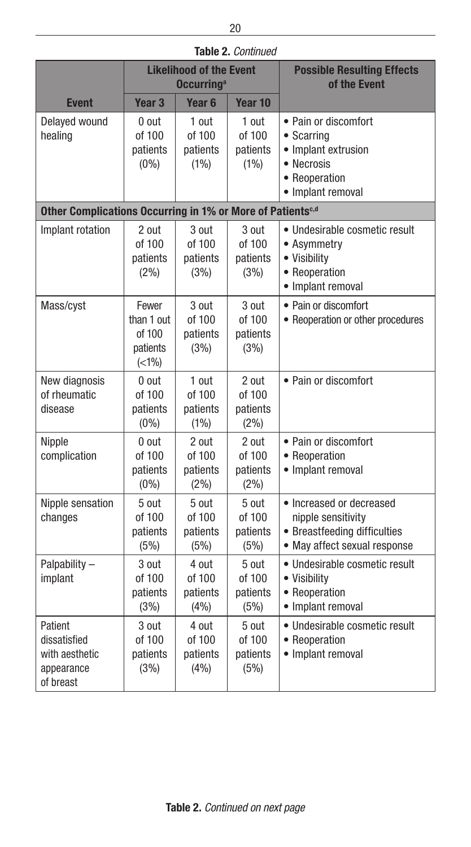| z. uviililutu                                                          |                                                    |                                                                 |                                        |                                                                                                                |  |  |  |  |  |  |
|------------------------------------------------------------------------|----------------------------------------------------|-----------------------------------------------------------------|----------------------------------------|----------------------------------------------------------------------------------------------------------------|--|--|--|--|--|--|
|                                                                        |                                                    | <b>Likelihood of the Event</b><br><b>Occurring</b> <sup>a</sup> |                                        | <b>Possible Resulting Effects</b><br>of the Event                                                              |  |  |  |  |  |  |
| <b>Event</b>                                                           | Year <sub>3</sub>                                  | Year <sub>6</sub>                                               | Year <sub>10</sub>                     |                                                                                                                |  |  |  |  |  |  |
| Delayed wound<br>healing                                               | $0$ out<br>of 100<br>patients<br>$(0\%)$           | 1 out<br>of 100<br>patients<br>$(1\%)$                          | 1 out<br>of 100<br>patients<br>(1%)    | • Pain or discomfort<br>• Scarring<br>• Implant extrusion<br>• Necrosis<br>• Reoperation<br>• Implant removal  |  |  |  |  |  |  |
| Other Complications Occurring in 1% or More of Patients <sup>c,d</sup> |                                                    |                                                                 |                                        |                                                                                                                |  |  |  |  |  |  |
| Implant rotation                                                       | 2 out<br>of 100<br>patients<br>$(2\%)$             | 3 out<br>of 100<br>patients<br>(3%)                             | 3 out<br>of 100<br>patients<br>(3%)    | • Undesirable cosmetic result<br>• Asymmetry<br>• Visibility<br>• Reoperation<br>• Implant removal             |  |  |  |  |  |  |
| Mass/cyst                                                              | Fewer<br>than 1 out<br>of 100<br>patients<br>(<1%) | 3 out<br>of 100<br>patients<br>(3%)                             | 3 out<br>of 100<br>patients<br>(3%)    | • Pain or discomfort<br>• Reoperation or other procedures                                                      |  |  |  |  |  |  |
| New diagnosis<br>of rheumatic<br>disease                               | $0$ out<br>of 100<br>patients<br>$(0\%)$           | 1 out<br>of 100<br>patients<br>$(1\%)$                          | 2 out<br>of 100<br>patients<br>$(2\%)$ | • Pain or discomfort                                                                                           |  |  |  |  |  |  |
| Nipple<br>complication                                                 | 0 out<br>of 100<br>patients<br>$(0\%)$             | 2 out<br>of 100<br>patients<br>$(2\%)$                          | 2 out<br>of 100<br>patients<br>(2%)    | • Pain or discomfort<br>• Reoperation<br>• Implant removal                                                     |  |  |  |  |  |  |
| Nipple sensation<br>changes                                            | 5 out<br>of 100<br>patients<br>(5%)                | 5 out<br>of 100<br>patients<br>(5%)                             | 5 out<br>of 100<br>patients<br>(5%)    | • Increased or decreased<br>nipple sensitivity<br>• Breastfeeding difficulties<br>• May affect sexual response |  |  |  |  |  |  |
| Palpability -<br>implant                                               | 3 out<br>of 100<br>patients<br>(3%)                | 4 out<br>of 100<br>patients<br>(4%)                             | 5 out<br>of 100<br>patients<br>(5%)    | • Undesirable cosmetic result<br>• Visibility<br>• Reoperation<br>• Implant removal                            |  |  |  |  |  |  |
| Patient<br>dissatisfied<br>with aesthetic<br>appearance<br>of breast   | 3 out<br>of 100<br>patients<br>(3%)                | 4 out<br>of 100<br>patients<br>(4%)                             | 5 out<br>of 100<br>patients<br>(5%)    | • Undesirable cosmetic result<br>• Reoperation<br>• Implant removal                                            |  |  |  |  |  |  |

## Table 2. *Continued*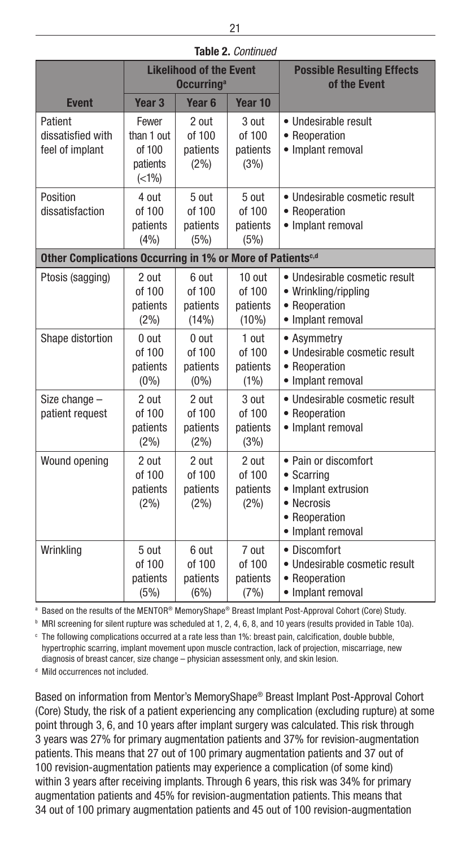|                                                                        | <b>Likelihood of the Event</b><br><b>Occurring</b> <sup>a</sup> |                                        |                                        | <b>Possible Resulting Effects</b><br>of the Event                                                             |  |  |  |  |  |  |
|------------------------------------------------------------------------|-----------------------------------------------------------------|----------------------------------------|----------------------------------------|---------------------------------------------------------------------------------------------------------------|--|--|--|--|--|--|
| <b>Event</b>                                                           | Year <sub>3</sub>                                               | Year <sub>6</sub>                      | Year <sub>10</sub>                     |                                                                                                               |  |  |  |  |  |  |
| Patient<br>dissatisfied with<br>feel of implant                        | Fewer<br>than 1 out<br>of 100<br>patients<br>(<1%)              | 2 out<br>of 100<br>patients<br>$(2\%)$ | 3 out<br>of 100<br>patients<br>(3%)    | • Undesirable result<br>• Reoperation<br>• Implant removal                                                    |  |  |  |  |  |  |
| Position<br>dissatisfaction                                            | 4 out<br>of 100<br>patients<br>(4%)                             | 5 out<br>of 100<br>patients<br>(5%)    | 5 out<br>of 100<br>patients<br>(5%)    | • Undesirable cosmetic result<br>• Reoperation<br>• Implant removal                                           |  |  |  |  |  |  |
| Other Complications Occurring in 1% or More of Patients <sup>c,d</sup> |                                                                 |                                        |                                        |                                                                                                               |  |  |  |  |  |  |
| Ptosis (sagging)                                                       | 2 out<br>of 100<br>patients<br>$(2\%)$                          | 6 out<br>of 100<br>patients<br>(14%)   | 10 out<br>of 100<br>patients<br>(10%)  | • Undesirable cosmetic result<br>• Wrinkling/rippling<br>• Reoperation<br>• Implant removal                   |  |  |  |  |  |  |
| Shape distortion                                                       | 0 out<br>of 100<br>patients<br>$(0\%)$                          | 0 out<br>of 100<br>patients<br>$(0\%)$ | 1 out<br>of 100<br>patients<br>$(1\%)$ | • Asymmetry<br>· Undesirable cosmetic result<br>• Reoperation<br>• Implant removal                            |  |  |  |  |  |  |
| Size change -<br>patient request                                       | 2 out<br>of 100<br>patients<br>(2%)                             | 2 out<br>of 100<br>patients<br>$(2\%)$ | 3 out<br>of 100<br>patients<br>(3%)    | • Undesirable cosmetic result<br>• Reoperation<br>• Implant removal                                           |  |  |  |  |  |  |
| Wound opening                                                          | 2 out<br>of 100<br>patients<br>$(2\%)$                          | 2 out<br>of 100<br>patients<br>$(2\%)$ | 2 out<br>of 100<br>patients<br>$(2\%)$ | • Pain or discomfort<br>• Scarring<br>• Implant extrusion<br>• Necrosis<br>• Reoperation<br>• Implant removal |  |  |  |  |  |  |
| Wrinkling                                                              | 5 out<br>of 100<br>patients<br>(5%)                             | 6 out<br>of 100<br>patients<br>(6%)    | 7 out<br>of 100<br>patients<br>(7%)    | • Discomfort<br>• Undesirable cosmetic result<br>• Reoperation<br>• Implant removal                           |  |  |  |  |  |  |

Table 2. *Continued*

<sup>a</sup> Based on the results of the MENTOR® MemoryShape® Breast Implant Post-Approval Cohort (Core) Study.

 $b$  MRI screening for silent rupture was scheduled at 1, 2, 4, 6, 8, and 10 years (results provided in Table 10a).

<sup>c</sup> The following complications occurred at a rate less than 1%: breast pain, calcification, double bubble, hypertrophic scarring, implant movement upon muscle contraction, lack of projection, miscarriage, new diagnosis of breast cancer, size change – physician assessment only, and skin lesion.

<sup>d</sup> Mild occurrences not included.

Based on information from Mentor's MemoryShape® Breast Implant Post-Approval Cohort (Core) Study, the risk of a patient experiencing any complication (excluding rupture) at some point through 3, 6, and 10 years after implant surgery was calculated. This risk through 3 years was 27% for primary augmentation patients and 37% for revision-augmentation patients. This means that 27 out of 100 primary augmentation patients and 37 out of 100 revision-augmentation patients may experience a complication (of some kind) within 3 years after receiving implants. Through 6 years, this risk was 34% for primary augmentation patients and 45% for revision-augmentation patients. This means that 34 out of 100 primary augmentation patients and 45 out of 100 revision-augmentation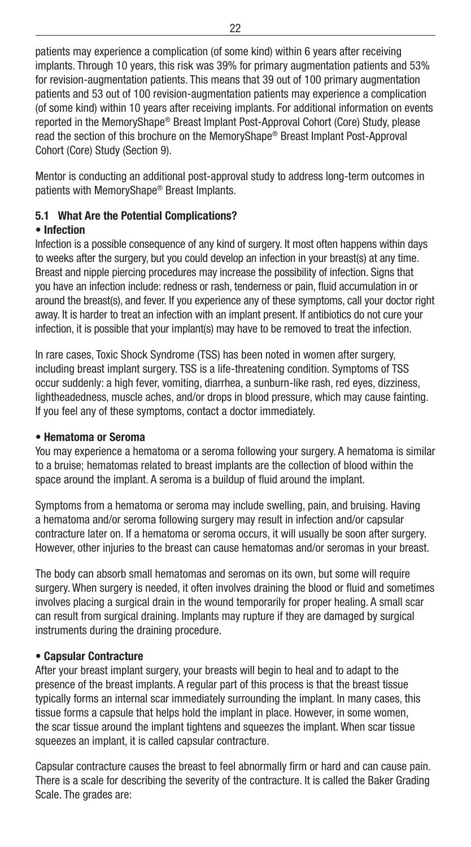patients may experience a complication (of some kind) within 6 years after receiving implants. Through 10 years, this risk was 39% for primary augmentation patients and 53% for revision-augmentation patients. This means that 39 out of 100 primary augmentation patients and 53 out of 100 revision-augmentation patients may experience a complication (of some kind) within 10 years after receiving implants. For additional information on events reported in the MemoryShape® Breast Implant Post-Approval Cohort (Core) Study, please read the section of this brochure on the MemoryShape® Breast Implant Post-Approval Cohort (Core) Study (Section 9).

Mentor is conducting an additional post-approval study to address long-term outcomes in patients with MemoryShape® Breast Implants.

#### 5.1 What Are the Potential Complications?

#### • Infection

Infection is a possible consequence of any kind of surgery. It most often happens within days to weeks after the surgery, but you could develop an infection in your breast(s) at any time. Breast and nipple piercing procedures may increase the possibility of infection. Signs that you have an infection include: redness or rash, tenderness or pain, fluid accumulation in or around the breast(s), and fever. If you experience any of these symptoms, call your doctor right away. It is harder to treat an infection with an implant present. If antibiotics do not cure your infection, it is possible that your implant(s) may have to be removed to treat the infection.

In rare cases, Toxic Shock Syndrome (TSS) has been noted in women after surgery, including breast implant surgery. TSS is a life-threatening condition. Symptoms of TSS occur suddenly: a high fever, vomiting, diarrhea, a sunburn-like rash, red eyes, dizziness, lightheadedness, muscle aches, and/or drops in blood pressure, which may cause fainting. If you feel any of these symptoms, contact a doctor immediately.

#### • Hematoma or Seroma

You may experience a hematoma or a seroma following your surgery. A hematoma is similar to a bruise; hematomas related to breast implants are the collection of blood within the space around the implant. A seroma is a buildup of fluid around the implant.

Symptoms from a hematoma or seroma may include swelling, pain, and bruising. Having a hematoma and/or seroma following surgery may result in infection and/or capsular contracture later on. If a hematoma or seroma occurs, it will usually be soon after surgery. However, other injuries to the breast can cause hematomas and/or seromas in your breast.

The body can absorb small hematomas and seromas on its own, but some will require surgery. When surgery is needed, it often involves draining the blood or fluid and sometimes involves placing a surgical drain in the wound temporarily for proper healing. A small scar can result from surgical draining. Implants may rupture if they are damaged by surgical instruments during the draining procedure.

#### • Capsular Contracture

After your breast implant surgery, your breasts will begin to heal and to adapt to the presence of the breast implants. A regular part of this process is that the breast tissue typically forms an internal scar immediately surrounding the implant. In many cases, this tissue forms a capsule that helps hold the implant in place. However, in some women, the scar tissue around the implant tightens and squeezes the implant. When scar tissue squeezes an implant, it is called capsular contracture.

Capsular contracture causes the breast to feel abnormally firm or hard and can cause pain. There is a scale for describing the severity of the contracture. It is called the Baker Grading Scale. The grades are: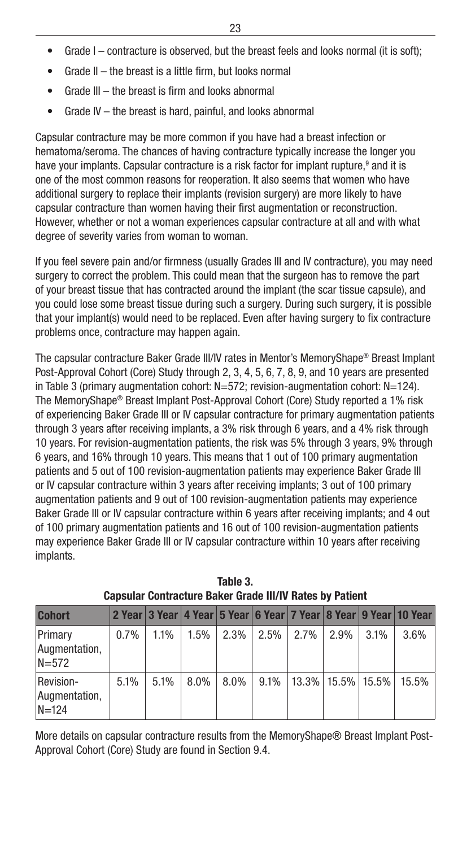- Grade I contracture is observed, but the breast feels and looks normal (it is soft):
- Grade II the breast is a little firm, but looks normal
- Grade III the breast is firm and looks abnormal
- Grade  $IV$  the breast is hard, painful, and looks abnormal

Capsular contracture may be more common if you have had a breast infection or hematoma/seroma. The chances of having contracture typically increase the longer you have your implants. Capsular contracture is a risk factor for implant rupture,<sup>9</sup> and it is one of the most common reasons for reoperation. It also seems that women who have additional surgery to replace their implants (revision surgery) are more likely to have capsular contracture than women having their first augmentation or reconstruction. However, whether or not a woman experiences capsular contracture at all and with what degree of severity varies from woman to woman.

If you feel severe pain and/or firmness (usually Grades III and IV contracture), you may need surgery to correct the problem. This could mean that the surgeon has to remove the part of your breast tissue that has contracted around the implant (the scar tissue capsule), and you could lose some breast tissue during such a surgery. During such surgery, it is possible that your implant(s) would need to be replaced. Even after having surgery to fix contracture problems once, contracture may happen again.

The capsular contracture Baker Grade III/IV rates in Mentor's MemoryShape® Breast Implant Post-Approval Cohort (Core) Study through 2, 3, 4, 5, 6, 7, 8, 9, and 10 years are presented in Table 3 (primary augmentation cohort:  $N=572$ ; revision-augmentation cohort:  $N=124$ ). The MemoryShape® Breast Implant Post-Approval Cohort (Core) Study reported a 1% risk of experiencing Baker Grade III or IV capsular contracture for primary augmentation patients through 3 years after receiving implants, a 3% risk through 6 years, and a 4% risk through 10 years. For revision-augmentation patients, the risk was 5% through 3 years, 9% through 6 years, and 16% through 10 years. This means that 1 out of 100 primary augmentation patients and 5 out of 100 revision-augmentation patients may experience Baker Grade III or IV capsular contracture within 3 years after receiving implants; 3 out of 100 primary augmentation patients and 9 out of 100 revision-augmentation patients may experience Baker Grade III or IV capsular contracture within 6 years after receiving implants; and 4 out of 100 primary augmentation patients and 16 out of 100 revision-augmentation patients may experience Baker Grade III or IV capsular contracture within 10 years after receiving implants.

| <b>Cohort</b>                           |         |         |         |         |                       |         |                                 | 2 Year 3 Year 4 Year 5 Year 6 Year 7 Year 8 Year 9 Year 10 Year |
|-----------------------------------------|---------|---------|---------|---------|-----------------------|---------|---------------------------------|-----------------------------------------------------------------|
| Primary<br>Augmentation,<br>$N = 572$   | $0.7\%$ | $1.1\%$ | 1.5%    |         | $2.3\%$   2.5%   2.7% | $2.9\%$ | $3.1\%$                         | $3.6\%$                                                         |
| Revision-<br>Augmentation,<br>$N = 124$ | $5.1\%$ | $5.1\%$ | $8.0\%$ | $8.0\%$ |                       |         | $9.1\%$   13.3%   15.5%   15.5% | 15.5% l                                                         |

Table 3. Capsular Contracture Baker Grade III/IV Rates by Patient

More details on capsular contracture results from the MemoryShape® Breast Implant Post-Approval Cohort (Core) Study are found in Section 9.4.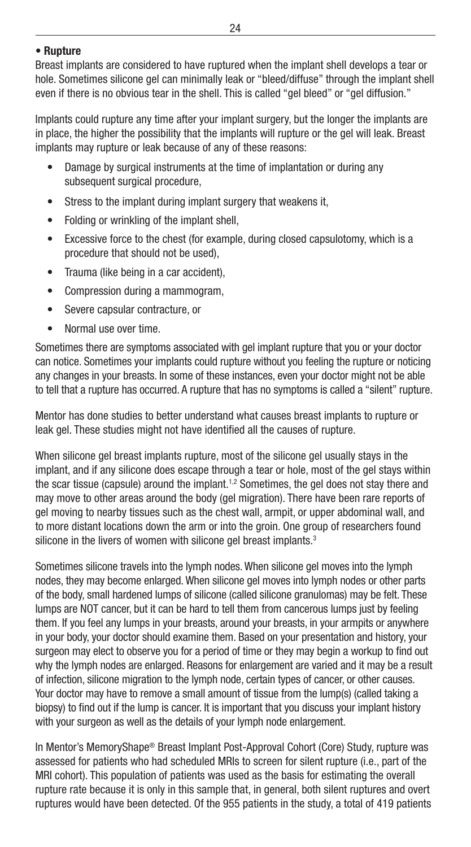#### • Rupture

Breast implants are considered to have ruptured when the implant shell develops a tear or hole. Sometimes silicone gel can minimally leak or "bleed/diffuse" through the implant shell even if there is no obvious tear in the shell. This is called "gel bleed" or "gel diffusion."

Implants could rupture any time after your implant surgery, but the longer the implants are in place, the higher the possibility that the implants will rupture or the gel will leak. Breast implants may rupture or leak because of any of these reasons:

- Damage by surgical instruments at the time of implantation or during any subsequent surgical procedure,
- Stress to the implant during implant surgery that weakens it.
- Folding or wrinkling of the implant shell,
- Excessive force to the chest (for example, during closed capsulotomy, which is a procedure that should not be used),
- Trauma (like being in a car accident),
- Compression during a mammogram,
- Severe capsular contracture, or
- Normal use over time.

Sometimes there are symptoms associated with gel implant rupture that you or your doctor can notice. Sometimes your implants could rupture without you feeling the rupture or noticing any changes in your breasts. In some of these instances, even your doctor might not be able to tell that a rupture has occurred. A rupture that has no symptoms is called a "silent" rupture.

Mentor has done studies to better understand what causes breast implants to rupture or leak gel. These studies might not have identified all the causes of rupture.

When silicone gel breast implants rupture, most of the silicone gel usually stays in the implant, and if any silicone does escape through a tear or hole, most of the gel stays within the scar tissue (capsule) around the implant.<sup>1,2</sup> Sometimes, the gel does not stay there and may move to other areas around the body (gel migration). There have been rare reports of gel moving to nearby tissues such as the chest wall, armpit, or upper abdominal wall, and to more distant locations down the arm or into the groin. One group of researchers found silicone in the livers of women with silicone gel breast implants.<sup>3</sup>

Sometimes silicone travels into the lymph nodes. When silicone gel moves into the lymph nodes, they may become enlarged. When silicone gel moves into lymph nodes or other parts of the body, small hardened lumps of silicone (called silicone granulomas) may be felt. These lumps are NOT cancer, but it can be hard to tell them from cancerous lumps just by feeling them. If you feel any lumps in your breasts, around your breasts, in your armpits or anywhere in your body, your doctor should examine them. Based on your presentation and history, your surgeon may elect to observe you for a period of time or they may begin a workup to find out why the lymph nodes are enlarged. Reasons for enlargement are varied and it may be a result of infection, silicone migration to the lymph node, certain types of cancer, or other causes. Your doctor may have to remove a small amount of tissue from the lump(s) (called taking a biopsy) to find out if the lump is cancer. It is important that you discuss your implant history with your surgeon as well as the details of your lymph node enlargement.

In Mentor's MemoryShape® Breast Implant Post-Approval Cohort (Core) Study, rupture was assessed for patients who had scheduled MRIs to screen for silent rupture (i.e., part of the MRI cohort). This population of patients was used as the basis for estimating the overall rupture rate because it is only in this sample that, in general, both silent ruptures and overt ruptures would have been detected. Of the 955 patients in the study, a total of 419 patients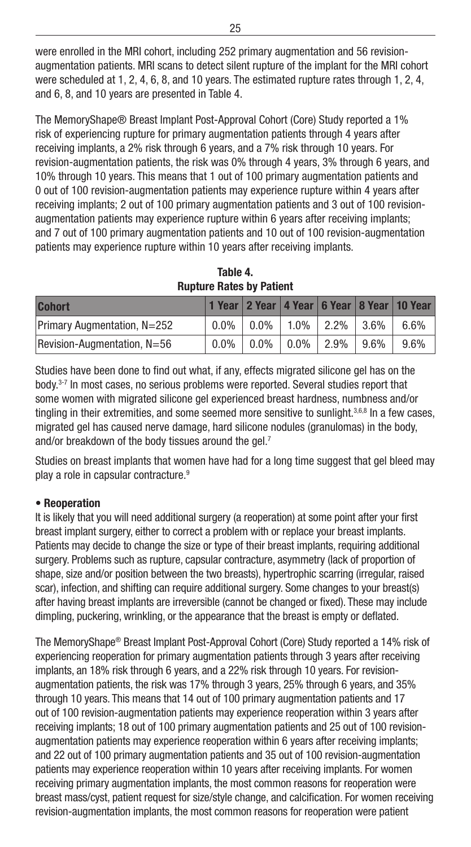were enrolled in the MRI cohort, including 252 primary augmentation and 56 revisionaugmentation patients. MRI scans to detect silent rupture of the implant for the MRI cohort were scheduled at 1, 2, 4, 6, 8, and 10 years. The estimated rupture rates through 1, 2, 4, and 6, 8, and 10 years are presented in Table 4.

The MemoryShape® Breast Implant Post-Approval Cohort (Core) Study reported a 1% risk of experiencing rupture for primary augmentation patients through 4 years after receiving implants, a 2% risk through 6 years, and a 7% risk through 10 years. For revision-augmentation patients, the risk was 0% through 4 years, 3% through 6 years, and 10% through 10 years. This means that 1 out of 100 primary augmentation patients and 0 out of 100 revision-augmentation patients may experience rupture within 4 years after receiving implants; 2 out of 100 primary augmentation patients and 3 out of 100 revisionaugmentation patients may experience rupture within 6 years after receiving implants; and 7 out of 100 primary augmentation patients and 10 out of 100 revision-augmentation patients may experience rupture within 10 years after receiving implants.

Table 4. Rupture Rates by Patient

| <b>Cohort</b>               |                                                        |  | 1 Year   2 Year   4 Year   6 Year   8 Year   10 Year |
|-----------------------------|--------------------------------------------------------|--|------------------------------------------------------|
| Primary Augmentation, N=252 | $0.0\%$   $0.0\%$   $1.0\%$   $2.2\%$   $3.6\%$   6.6% |  |                                                      |
| Revision-Augmentation, N=56 | $0.0\%$   0.0%   0.0%   2.9%   9.6%                    |  | 9.6%                                                 |

Studies have been done to find out what, if any, effects migrated silicone gel has on the body.3-7 In most cases, no serious problems were reported. Several studies report that some women with migrated silicone gel experienced breast hardness, numbness and/or tingling in their extremities, and some seemed more sensitive to sunlight. $3,6,8$  In a few cases, migrated gel has caused nerve damage, hard silicone nodules (granulomas) in the body, and/or breakdown of the body tissues around the gel.<sup>7</sup>

Studies on breast implants that women have had for a long time suggest that gel bleed may play a role in capsular contracture.<sup>9</sup>

#### • Reoperation

It is likely that you will need additional surgery (a reoperation) at some point after your first breast implant surgery, either to correct a problem with or replace your breast implants. Patients may decide to change the size or type of their breast implants, requiring additional surgery. Problems such as rupture, capsular contracture, asymmetry (lack of proportion of shape, size and/or position between the two breasts), hypertrophic scarring (irregular, raised scar), infection, and shifting can require additional surgery. Some changes to your breast(s) after having breast implants are irreversible (cannot be changed or fixed). These may include dimpling, puckering, wrinkling, or the appearance that the breast is empty or deflated.

The MemoryShape® Breast Implant Post-Approval Cohort (Core) Study reported a 14% risk of experiencing reoperation for primary augmentation patients through 3 years after receiving implants, an 18% risk through 6 years, and a 22% risk through 10 years. For revisionaugmentation patients, the risk was 17% through 3 years, 25% through 6 years, and 35% through 10 years. This means that 14 out of 100 primary augmentation patients and 17 out of 100 revision-augmentation patients may experience reoperation within 3 years after receiving implants; 18 out of 100 primary augmentation patients and 25 out of 100 revisionaugmentation patients may experience reoperation within 6 years after receiving implants; and 22 out of 100 primary augmentation patients and 35 out of 100 revision-augmentation patients may experience reoperation within 10 years after receiving implants. For women receiving primary augmentation implants, the most common reasons for reoperation were breast mass/cyst, patient request for size/style change, and calcification. For women receiving revision-augmentation implants, the most common reasons for reoperation were patient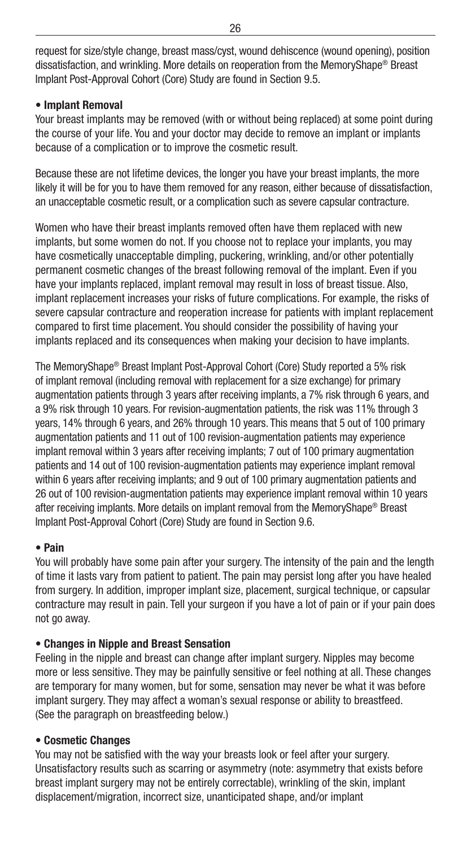request for size/style change, breast mass/cyst, wound dehiscence (wound opening), position dissatisfaction, and wrinkling. More details on reoperation from the MemoryShape® Breast Implant Post-Approval Cohort (Core) Study are found in Section 9.5.

#### • Implant Removal

Your breast implants may be removed (with or without being replaced) at some point during the course of your life. You and your doctor may decide to remove an implant or implants because of a complication or to improve the cosmetic result.

Because these are not lifetime devices, the longer you have your breast implants, the more likely it will be for you to have them removed for any reason, either because of dissatisfaction, an unacceptable cosmetic result, or a complication such as severe capsular contracture.

Women who have their breast implants removed often have them replaced with new implants, but some women do not. If you choose not to replace your implants, you may have cosmetically unacceptable dimpling, puckering, wrinkling, and/or other potentially permanent cosmetic changes of the breast following removal of the implant. Even if you have your implants replaced, implant removal may result in loss of breast tissue. Also, implant replacement increases your risks of future complications. For example, the risks of severe capsular contracture and reoperation increase for patients with implant replacement compared to first time placement. You should consider the possibility of having your implants replaced and its consequences when making your decision to have implants.

The MemoryShape® Breast Implant Post-Approval Cohort (Core) Study reported a 5% risk of implant removal (including removal with replacement for a size exchange) for primary augmentation patients through 3 years after receiving implants, a 7% risk through 6 years, and a 9% risk through 10 years. For revision-augmentation patients, the risk was 11% through 3 years, 14% through 6 years, and 26% through 10 years. This means that 5 out of 100 primary augmentation patients and 11 out of 100 revision-augmentation patients may experience implant removal within 3 years after receiving implants; 7 out of 100 primary augmentation patients and 14 out of 100 revision-augmentation patients may experience implant removal within 6 years after receiving implants; and 9 out of 100 primary augmentation patients and 26 out of 100 revision-augmentation patients may experience implant removal within 10 years after receiving implants. More details on implant removal from the MemoryShape® Breast Implant Post-Approval Cohort (Core) Study are found in Section 9.6.

#### • Pain

You will probably have some pain after your surgery. The intensity of the pain and the length of time it lasts vary from patient to patient. The pain may persist long after you have healed from surgery. In addition, improper implant size, placement, surgical technique, or capsular contracture may result in pain. Tell your surgeon if you have a lot of pain or if your pain does not go away.

#### • Changes in Nipple and Breast Sensation

Feeling in the nipple and breast can change after implant surgery. Nipples may become more or less sensitive. They may be painfully sensitive or feel nothing at all. These changes are temporary for many women, but for some, sensation may never be what it was before implant surgery. They may affect a woman's sexual response or ability to breastfeed. (See the paragraph on breastfeeding below.)

#### • Cosmetic Changes

You may not be satisfied with the way your breasts look or feel after your surgery. Unsatisfactory results such as scarring or asymmetry (note: asymmetry that exists before breast implant surgery may not be entirely correctable), wrinkling of the skin, implant displacement/migration, incorrect size, unanticipated shape, and/or implant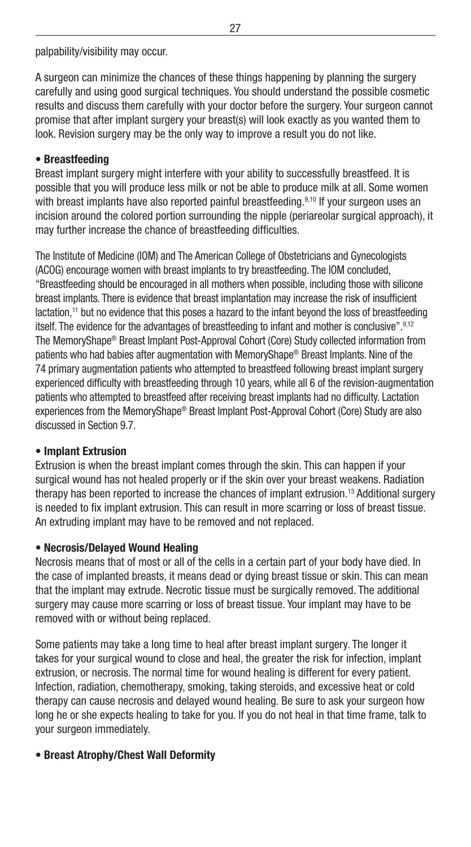palpability/visibility may occur.

A surgeon can minimize the chances of these things happening by planning the surgery carefully and using good surgical techniques. You should understand the possible cosmetic results and discuss them carefully with your doctor before the surgery. Your surgeon cannot promise that after implant surgery your breast(s) will look exactly as you wanted them to look. Revision surgery may be the only way to improve a result you do not like.

#### • Breastfeeding

Breast implant surgery might interfere with your ability to successfully breastfeed. It is possible that you will produce less milk or not be able to produce milk at all. Some women with breast implants have also reported painful breastfeeding.<sup>9,10</sup> If your surgeon uses an incision around the colored portion surrounding the nipple (periareolar surgical approach), it may further increase the chance of breastfeeding difficulties.

The Institute of Medicine (IOM) and The American College of Obstetricians and Gynecologists (ACOG) encourage women with breast implants to try breastfeeding. The IOM concluded, "Breastfeeding should be encouraged in all mothers when possible, including those with silicone breast implants. There is evidence that breast implantation may increase the risk of insufficient lactation,<sup>11</sup> but no evidence that this poses a hazard to the infant beyond the loss of breastfeeding itself. The evidence for the advantages of breastfeeding to infant and mother is conclusive".<sup>9,12</sup> The MemoryShape® Breast Implant Post-Approval Cohort (Core) Study collected information from patients who had babies after augmentation with MemoryShape® Breast Implants. Nine of the 74 primary augmentation patients who attempted to breastfeed following breast implant surgery experienced difficulty with breastfeeding through 10 years, while all 6 of the revision-augmentation patients who attempted to breastfeed after receiving breast implants had no difficulty. Lactation experiences from the MemoryShape® Breast Implant Post-Approval Cohort (Core) Study are also discussed in Section 9.7.

#### • Implant Extrusion

Extrusion is when the breast implant comes through the skin. This can happen if your surgical wound has not healed properly or if the skin over your breast weakens. Radiation therapy has been reported to increase the chances of implant extrusion.13 Additional surgery is needed to fix implant extrusion. This can result in more scarring or loss of breast tissue. An extruding implant may have to be removed and not replaced.

#### • Necrosis/Delayed Wound Healing

Necrosis means that of most or all of the cells in a certain part of your body have died. In the case of implanted breasts, it means dead or dying breast tissue or skin. This can mean that the implant may extrude. Necrotic tissue must be surgically removed. The additional surgery may cause more scarring or loss of breast tissue. Your implant may have to be removed with or without being replaced.

Some patients may take a long time to heal after breast implant surgery. The longer it takes for your surgical wound to close and heal, the greater the risk for infection, implant extrusion, or necrosis. The normal time for wound healing is different for every patient. Infection, radiation, chemotherapy, smoking, taking steroids, and excessive heat or cold therapy can cause necrosis and delayed wound healing. Be sure to ask your surgeon how long he or she expects healing to take for you. If you do not heal in that time frame, talk to your surgeon immediately.

#### • Breast Atrophy/Chest Wall Deformity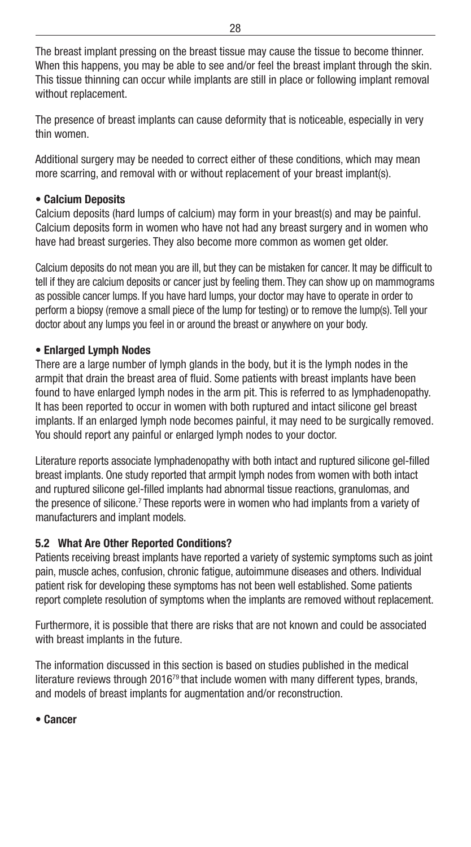The breast implant pressing on the breast tissue may cause the tissue to become thinner. When this happens, you may be able to see and/or feel the breast implant through the skin. This tissue thinning can occur while implants are still in place or following implant removal without replacement.

The presence of breast implants can cause deformity that is noticeable, especially in very thin women.

Additional surgery may be needed to correct either of these conditions, which may mean more scarring, and removal with or without replacement of your breast implant(s).

#### • Calcium Deposits

Calcium deposits (hard lumps of calcium) may form in your breast(s) and may be painful. Calcium deposits form in women who have not had any breast surgery and in women who have had breast surgeries. They also become more common as women get older.

Calcium deposits do not mean you are ill, but they can be mistaken for cancer. It may be difficult to tell if they are calcium deposits or cancer just by feeling them. They can show up on mammograms as possible cancer lumps. If you have hard lumps, your doctor may have to operate in order to perform a biopsy (remove a small piece of the lump for testing) or to remove the lump(s). Tell your doctor about any lumps you feel in or around the breast or anywhere on your body.

#### • Enlarged Lymph Nodes

There are a large number of lymph glands in the body, but it is the lymph nodes in the armpit that drain the breast area of fluid. Some patients with breast implants have been found to have enlarged lymph nodes in the arm pit. This is referred to as lymphadenopathy. It has been reported to occur in women with both ruptured and intact silicone gel breast implants. If an enlarged lymph node becomes painful, it may need to be surgically removed. You should report any painful or enlarged lymph nodes to your doctor.

Literature reports associate lymphadenopathy with both intact and ruptured silicone gel-filled breast implants. One study reported that armpit lymph nodes from women with both intact and ruptured silicone gel-filled implants had abnormal tissue reactions, granulomas, and the presence of silicone.<sup>7</sup> These reports were in women who had implants from a variety of manufacturers and implant models.

#### 5.2 What Are Other Reported Conditions?

Patients receiving breast implants have reported a variety of systemic symptoms such as joint pain, muscle aches, confusion, chronic fatigue, autoimmune diseases and others. Individual patient risk for developing these symptoms has not been well established. Some patients report complete resolution of symptoms when the implants are removed without replacement.

Furthermore, it is possible that there are risks that are not known and could be associated with breast implants in the future.

The information discussed in this section is based on studies published in the medical literature reviews through 2016<sup>79</sup> that include women with many different types, brands, and models of breast implants for augmentation and/or reconstruction.

• Cancer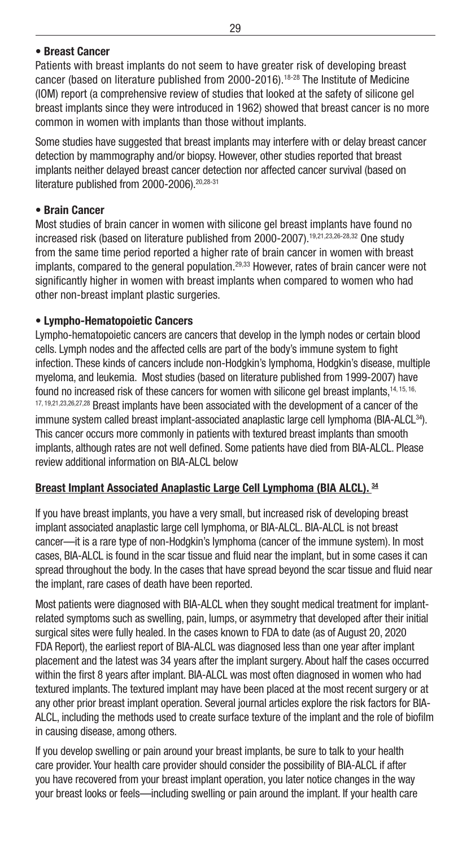#### • Breast Cancer

Patients with breast implants do not seem to have greater risk of developing breast cancer (based on literature published from 2000-2016).18-28 The Institute of Medicine (IOM) report (a comprehensive review of studies that looked at the safety of silicone gel breast implants since they were introduced in 1962) showed that breast cancer is no more common in women with implants than those without implants.

Some studies have suggested that breast implants may interfere with or delay breast cancer detection by mammography and/or biopsy. However, other studies reported that breast implants neither delayed breast cancer detection nor affected cancer survival (based on literature published from 2000-2006).<sup>20,28-31</sup>

#### • Brain Cancer

Most studies of brain cancer in women with silicone gel breast implants have found no increased risk (based on literature published from 2000-2007).<sup>19,21,23,26-28,32</sup> One study from the same time period reported a higher rate of brain cancer in women with breast implants, compared to the general population.<sup>29,33</sup> However, rates of brain cancer were not significantly higher in women with breast implants when compared to women who had other non-breast implant plastic surgeries.

#### • Lympho-Hematopoietic Cancers

Lympho-hematopoietic cancers are cancers that develop in the lymph nodes or certain blood cells. Lymph nodes and the affected cells are part of the body's immune system to fight infection. These kinds of cancers include non-Hodgkin's lymphoma, Hodgkin's disease, multiple myeloma, and leukemia. Most studies (based on literature published from 1999-2007) have found no increased risk of these cancers for women with silicone gel breast implants, 14, 15, 16, 17, 19,21,23,26,27,28 Breast implants have been associated with the development of a cancer of the immune system called breast implant-associated anaplastic large cell lymphoma (BIA-ALCL<sup>34</sup>). This cancer occurs more commonly in patients with textured breast implants than smooth implants, although rates are not well defined. Some patients have died from BIA-ALCL. Please review additional information on BIA-ALCL below

#### Breast Implant Associated Anaplastic Large Cell Lymphoma (BIA ALCL). 34

If you have breast implants, you have a very small, but increased risk of developing breast implant associated anaplastic large cell lymphoma, or BIA-ALCL. BIA-ALCL is not breast cancer—it is a rare type of non-Hodgkin's lymphoma (cancer of the immune system). In most cases, BIA-ALCL is found in the scar tissue and fluid near the implant, but in some cases it can spread throughout the body. In the cases that have spread beyond the scar tissue and fluid near the implant, rare cases of death have been reported.

Most patients were diagnosed with BIA-ALCL when they sought medical treatment for implantrelated symptoms such as swelling, pain, lumps, or asymmetry that developed after their initial surgical sites were fully healed. In the cases known to FDA to date (as of August 20, 2020 FDA Report), the earliest report of BIA-ALCL was diagnosed less than one year after implant placement and the latest was 34 years after the implant surgery. About half the cases occurred within the first 8 years after implant. BIA-ALCL was most often diagnosed in women who had textured implants. The textured implant may have been placed at the most recent surgery or at any other prior breast implant operation. Several journal articles explore the risk factors for BIA-ALCL, including the methods used to create surface texture of the implant and the role of biofilm in causing disease, among others.

If you develop swelling or pain around your breast implants, be sure to talk to your health care provider. Your health care provider should consider the possibility of BIA-ALCL if after you have recovered from your breast implant operation, you later notice changes in the way your breast looks or feels—including swelling or pain around the implant. If your health care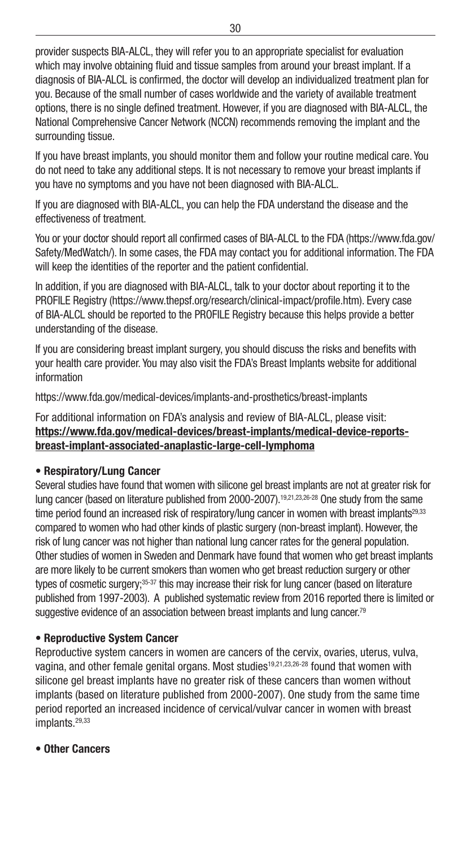provider suspects BIA-ALCL, they will refer you to an appropriate specialist for evaluation which may involve obtaining fluid and tissue samples from around your breast implant. If a diagnosis of BIA-ALCL is confirmed, the doctor will develop an individualized treatment plan for you. Because of the small number of cases worldwide and the variety of available treatment options, there is no single defined treatment. However, if you are diagnosed with BIA-ALCL, the National Comprehensive Cancer Network (NCCN) recommends removing the implant and the surrounding tissue.

If you have breast implants, you should monitor them and follow your routine medical care. You do not need to take any additional steps. It is not necessary to remove your breast implants if you have no symptoms and you have not been diagnosed with BIA-ALCL.

If you are diagnosed with BIA-ALCL, you can help the FDA understand the disease and the effectiveness of treatment.

You or your doctor should report all confirmed cases of BIA-ALCL to the FDA (https://www.fda.gov/ Safety/MedWatch/). In some cases, the FDA may contact you for additional information. The FDA will keep the identities of the reporter and the patient confidential.

In addition, if you are diagnosed with BIA-ALCL, talk to your doctor about reporting it to the PROFILE Registry (https://www.thepsf.org/research/clinical-impact/profile.htm). Every case of BIA-ALCL should be reported to the PROFILE Registry because this helps provide a better understanding of the disease.

If you are considering breast implant surgery, you should discuss the risks and benefits with your health care provider. You may also visit the FDA's Breast Implants website for additional information

https://www.fda.gov/medical-devices/implants-and-prosthetics/breast-implants

For additional information on FDA's analysis and review of BIA-ALCL, please visit: https://www.fda.gov/medical-devices/breast-implants/medical-device-reportsbreast-implant-associated-anaplastic-large-cell-lymphoma

#### • Respiratory/Lung Cancer

Several studies have found that women with silicone gel breast implants are not at greater risk for lung cancer (based on literature published from 2000-2007).19,21,23,26-28 One study from the same time period found an increased risk of respiratory/lung cancer in women with breast implants<sup>29,33</sup> compared to women who had other kinds of plastic surgery (non-breast implant). However, the risk of lung cancer was not higher than national lung cancer rates for the general population. Other studies of women in Sweden and Denmark have found that women who get breast implants are more likely to be current smokers than women who get breast reduction surgery or other types of cosmetic surgery;35-37 this may increase their risk for lung cancer (based on literature published from 1997-2003). A published systematic review from 2016 reported there is limited or suggestive evidence of an association between breast implants and lung cancer.<sup>79</sup>

#### • Reproductive System Cancer

Reproductive system cancers in women are cancers of the cervix, ovaries, uterus, vulva, vagina, and other female genital organs. Most studies<sup>19,21,23,26-28</sup> found that women with silicone gel breast implants have no greater risk of these cancers than women without implants (based on literature published from 2000-2007). One study from the same time period reported an increased incidence of cervical/vulvar cancer in women with breast implants.<sup>29,33</sup>

• Other Cancers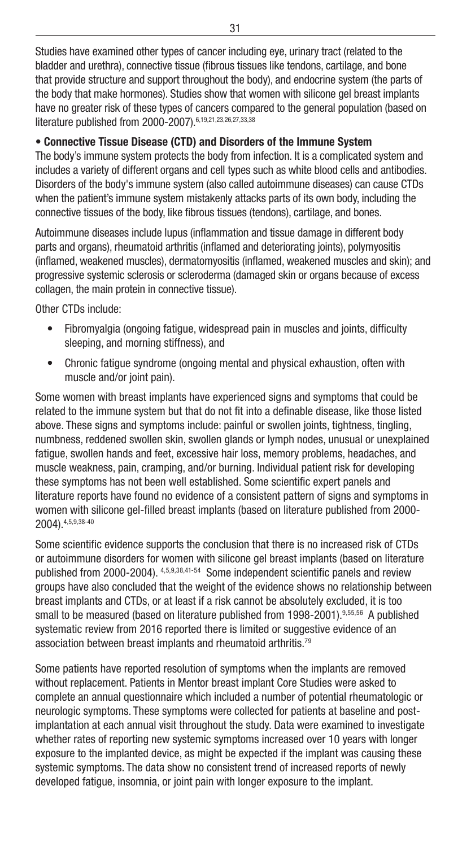Studies have examined other types of cancer including eye, urinary tract (related to the bladder and urethra), connective tissue (fibrous tissues like tendons, cartilage, and bone that provide structure and support throughout the body), and endocrine system (the parts of the body that make hormones). Studies show that women with silicone gel breast implants have no greater risk of these types of cancers compared to the general population (based on literature published from 2000-2007).6,19,21,23,26,27,33,38

#### • Connective Tissue Disease (CTD) and Disorders of the Immune System

The body's immune system protects the body from infection. It is a complicated system and includes a variety of different organs and cell types such as white blood cells and antibodies. Disorders of the body's immune system (also called autoimmune diseases) can cause CTDs when the patient's immune system mistakenly attacks parts of its own body, including the connective tissues of the body, like fibrous tissues (tendons), cartilage, and bones.

Autoimmune diseases include lupus (inflammation and tissue damage in different body parts and organs), rheumatoid arthritis (inflamed and deteriorating joints), polymyositis (inflamed, weakened muscles), dermatomyositis (inflamed, weakened muscles and skin); and progressive systemic sclerosis or scleroderma (damaged skin or organs because of excess collagen, the main protein in connective tissue).

Other CTDs include:

- Fibromyalgia (ongoing fatigue, widespread pain in muscles and joints, difficulty sleeping, and morning stiffness), and
- Chronic fatigue syndrome (ongoing mental and physical exhaustion, often with muscle and/or joint pain).

Some women with breast implants have experienced signs and symptoms that could be related to the immune system but that do not fit into a definable disease, like those listed above. These signs and symptoms include: painful or swollen joints, tightness, tingling, numbness, reddened swollen skin, swollen glands or lymph nodes, unusual or unexplained fatigue, swollen hands and feet, excessive hair loss, memory problems, headaches, and muscle weakness, pain, cramping, and/or burning. Individual patient risk for developing these symptoms has not been well established. Some scientific expert panels and literature reports have found no evidence of a consistent pattern of signs and symptoms in women with silicone gel-filled breast implants (based on literature published from 2000- 2004).4,5,9,38-40

Some scientific evidence supports the conclusion that there is no increased risk of CTDs or autoimmune disorders for women with silicone gel breast implants (based on literature published from 2000-2004). 4,5,9,38,41-54 Some independent scientific panels and review groups have also concluded that the weight of the evidence shows no relationship between breast implants and CTDs, or at least if a risk cannot be absolutely excluded, it is too small to be measured (based on literature published from 1998-2001).<sup>9,55,56</sup> A published systematic review from 2016 reported there is limited or suggestive evidence of an association between breast implants and rheumatoid arthritis.79

Some patients have reported resolution of symptoms when the implants are removed without replacement. Patients in Mentor breast implant Core Studies were asked to complete an annual questionnaire which included a number of potential rheumatologic or neurologic symptoms. These symptoms were collected for patients at baseline and postimplantation at each annual visit throughout the study. Data were examined to investigate whether rates of reporting new systemic symptoms increased over 10 years with longer exposure to the implanted device, as might be expected if the implant was causing these systemic symptoms. The data show no consistent trend of increased reports of newly developed fatigue, insomnia, or joint pain with longer exposure to the implant.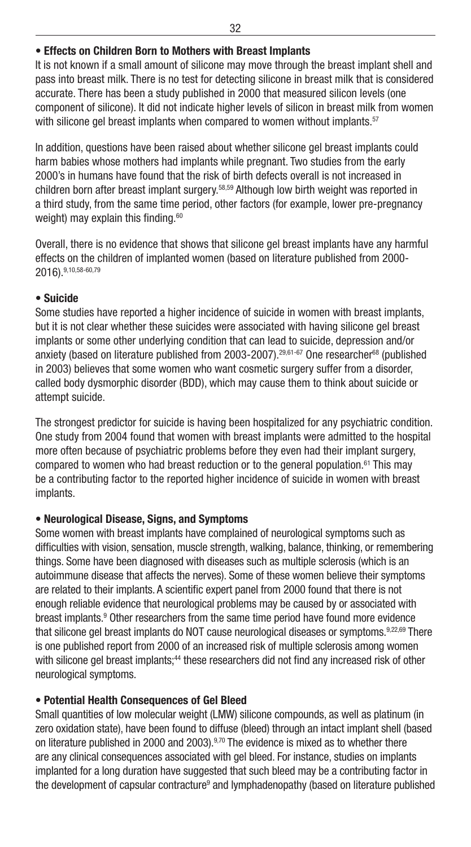#### • Effects on Children Born to Mothers with Breast Implants

It is not known if a small amount of silicone may move through the breast implant shell and pass into breast milk. There is no test for detecting silicone in breast milk that is considered accurate. There has been a study published in 2000 that measured silicon levels (one component of silicone). It did not indicate higher levels of silicon in breast milk from women with silicone gel breast implants when compared to women without implants.<sup>57</sup>

In addition, questions have been raised about whether silicone gel breast implants could harm babies whose mothers had implants while pregnant. Two studies from the early 2000's in humans have found that the risk of birth defects overall is not increased in children born after breast implant surgery.58,59 Although low birth weight was reported in a third study, from the same time period, other factors (for example, lower pre-pregnancy weight) may explain this finding. $60$ 

Overall, there is no evidence that shows that silicone gel breast implants have any harmful effects on the children of implanted women (based on literature published from 2000- 2016).9,10,58-60,79

#### • Suicide

Some studies have reported a higher incidence of suicide in women with breast implants, but it is not clear whether these suicides were associated with having silicone gel breast implants or some other underlying condition that can lead to suicide, depression and/or anxiety (based on literature published from 2003-2007).<sup>29,61-67</sup> One researcher<sup>68</sup> (published in 2003) believes that some women who want cosmetic surgery suffer from a disorder, called body dysmorphic disorder (BDD), which may cause them to think about suicide or attempt suicide.

The strongest predictor for suicide is having been hospitalized for any psychiatric condition. One study from 2004 found that women with breast implants were admitted to the hospital more often because of psychiatric problems before they even had their implant surgery, compared to women who had breast reduction or to the general population.<sup>61</sup> This may be a contributing factor to the reported higher incidence of suicide in women with breast implants.

#### • Neurological Disease, Signs, and Symptoms

Some women with breast implants have complained of neurological symptoms such as difficulties with vision, sensation, muscle strength, walking, balance, thinking, or remembering things. Some have been diagnosed with diseases such as multiple sclerosis (which is an autoimmune disease that affects the nerves). Some of these women believe their symptoms are related to their implants. A scientific expert panel from 2000 found that there is not enough reliable evidence that neurological problems may be caused by or associated with breast implants.<sup>9</sup> Other researchers from the same time period have found more evidence that silicone gel breast implants do NOT cause neurological diseases or symptoms. 9,22,69 There is one published report from 2000 of an increased risk of multiple sclerosis among women with silicone gel breast implants;<sup>44</sup> these researchers did not find any increased risk of other neurological symptoms.

#### • Potential Health Consequences of Gel Bleed

Small quantities of low molecular weight (LMW) silicone compounds, as well as platinum (in zero oxidation state), have been found to diffuse (bleed) through an intact implant shell (based on literature published in 2000 and 2003).<sup>9,70</sup> The evidence is mixed as to whether there are any clinical consequences associated with gel bleed. For instance, studies on implants implanted for a long duration have suggested that such bleed may be a contributing factor in the development of capsular contracture<sup>9</sup> and lymphadenopathy (based on literature published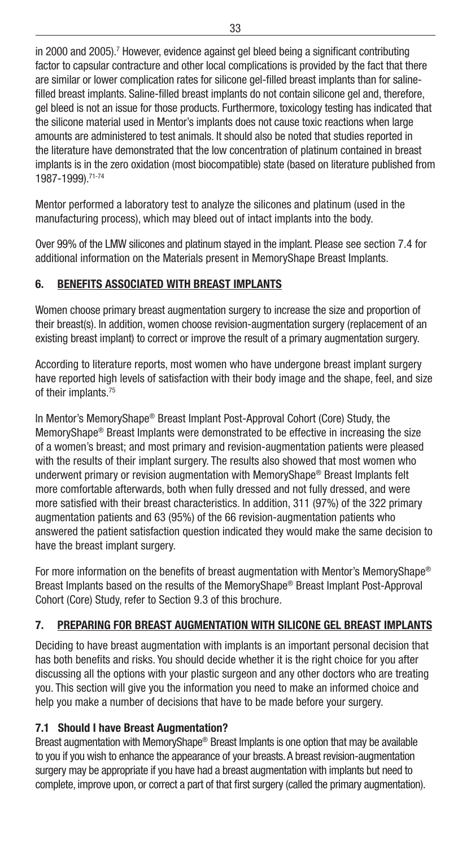in 2000 and 2005).<sup>7</sup> However, evidence against gel bleed being a significant contributing factor to capsular contracture and other local complications is provided by the fact that there are similar or lower complication rates for silicone gel-filled breast implants than for salinefilled breast implants. Saline-filled breast implants do not contain silicone gel and, therefore, gel bleed is not an issue for those products. Furthermore, toxicology testing has indicated that the silicone material used in Mentor's implants does not cause toxic reactions when large amounts are administered to test animals. It should also be noted that studies reported in the literature have demonstrated that the low concentration of platinum contained in breast implants is in the zero oxidation (most biocompatible) state (based on literature published from 1987-1999).71-74

Mentor performed a laboratory test to analyze the silicones and platinum (used in the manufacturing process), which may bleed out of intact implants into the body.

Over 99% of the LMW silicones and platinum stayed in the implant. Please see section 7.4 for additional information on the Materials present in MemoryShape Breast Implants.

## 6. BENEFITS ASSOCIATED WITH BREAST IMPLANTS

Women choose primary breast augmentation surgery to increase the size and proportion of their breast(s). In addition, women choose revision-augmentation surgery (replacement of an existing breast implant) to correct or improve the result of a primary augmentation surgery.

According to literature reports, most women who have undergone breast implant surgery have reported high levels of satisfaction with their body image and the shape, feel, and size of their implants.75

In Mentor's MemoryShape® Breast Implant Post-Approval Cohort (Core) Study, the MemoryShape® Breast Implants were demonstrated to be effective in increasing the size of a women's breast; and most primary and revision-augmentation patients were pleased with the results of their implant surgery. The results also showed that most women who underwent primary or revision augmentation with MemoryShape® Breast Implants felt more comfortable afterwards, both when fully dressed and not fully dressed, and were more satisfied with their breast characteristics. In addition, 311 (97%) of the 322 primary augmentation patients and 63 (95%) of the 66 revision-augmentation patients who answered the patient satisfaction question indicated they would make the same decision to have the breast implant surgery.

For more information on the benefits of breast augmentation with Mentor's MemoryShape® Breast Implants based on the results of the MemoryShape® Breast Implant Post-Approval Cohort (Core) Study, refer to Section 9.3 of this brochure.

## 7. PREPARING FOR BREAST AUGMENTATION WITH SILICONE GEL BREAST IMPLANTS

Deciding to have breast augmentation with implants is an important personal decision that has both benefits and risks. You should decide whether it is the right choice for you after discussing all the options with your plastic surgeon and any other doctors who are treating you. This section will give you the information you need to make an informed choice and help you make a number of decisions that have to be made before your surgery.

#### 7.1 Should I have Breast Augmentation?

Breast augmentation with MemoryShape® Breast Implants is one option that may be available to you if you wish to enhance the appearance of your breasts. A breast revision-augmentation surgery may be appropriate if you have had a breast augmentation with implants but need to complete, improve upon, or correct a part of that first surgery (called the primary augmentation).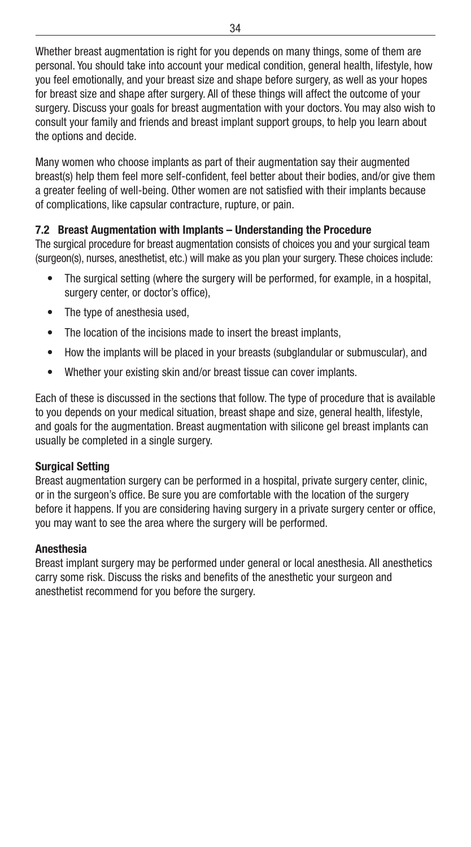Whether breast augmentation is right for you depends on many things, some of them are personal. You should take into account your medical condition, general health, lifestyle, how you feel emotionally, and your breast size and shape before surgery, as well as your hopes for breast size and shape after surgery. All of these things will affect the outcome of your surgery. Discuss your goals for breast augmentation with your doctors. You may also wish to consult your family and friends and breast implant support groups, to help you learn about the options and decide.

Many women who choose implants as part of their augmentation say their augmented breast(s) help them feel more self-confident, feel better about their bodies, and/or give them a greater feeling of well-being. Other women are not satisfied with their implants because of complications, like capsular contracture, rupture, or pain.

## 7.2 Breast Augmentation with Implants – Understanding the Procedure

The surgical procedure for breast augmentation consists of choices you and your surgical team (surgeon(s), nurses, anesthetist, etc.) will make as you plan your surgery. These choices include:

- The surgical setting (where the surgery will be performed, for example, in a hospital, surgery center, or doctor's office),
- The type of anesthesia used,
- The location of the incisions made to insert the breast implants,
- How the implants will be placed in your breasts (subglandular or submuscular), and
- Whether your existing skin and/or breast tissue can cover implants.

Each of these is discussed in the sections that follow. The type of procedure that is available to you depends on your medical situation, breast shape and size, general health, lifestyle, and goals for the augmentation. Breast augmentation with silicone gel breast implants can usually be completed in a single surgery.

#### Surgical Setting

Breast augmentation surgery can be performed in a hospital, private surgery center, clinic, or in the surgeon's office. Be sure you are comfortable with the location of the surgery before it happens. If you are considering having surgery in a private surgery center or office, you may want to see the area where the surgery will be performed.

#### Anesthesia

Breast implant surgery may be performed under general or local anesthesia. All anesthetics carry some risk. Discuss the risks and benefits of the anesthetic your surgeon and anesthetist recommend for you before the surgery.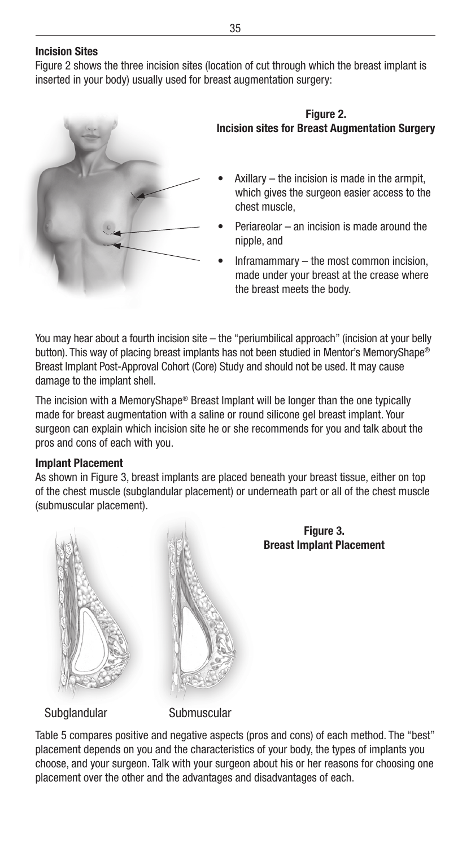#### Incision Sites

Figure 2 shows the three incision sites (location of cut through which the breast implant is inserted in your body) usually used for breast augmentation surgery:



#### Figure 2. Incision sites for Breast Augmentation Surgery

- Axillary  $-$  the incision is made in the armpit, which gives the surgeon easier access to the chest muscle,
- Periareolar an incision is made around the nipple, and
- Inframammary  $-$  the most common incision, made under your breast at the crease where the breast meets the body.

You may hear about a fourth incision site – the "periumbilical approach" (incision at your belly button). This way of placing breast implants has not been studied in Mentor's MemoryShape® Breast Implant Post-Approval Cohort (Core) Study and should not be used. It may cause damage to the implant shell.

The incision with a MemoryShape® Breast Implant will be longer than the one typically made for breast augmentation with a saline or round silicone gel breast implant. Your surgeon can explain which incision site he or she recommends for you and talk about the pros and cons of each with you.

#### Implant Placement

As shown in Figure 3, breast implants are placed beneath your breast tissue, either on top of the chest muscle (subglandular placement) or underneath part or all of the chest muscle (submuscular placement).





Figure 3. Breast Implant Placement

Subglandular Submuscular

Table 5 compares positive and negative aspects (pros and cons) of each method. The "best" placement depends on you and the characteristics of your body, the types of implants you choose, and your surgeon. Talk with your surgeon about his or her reasons for choosing one placement over the other and the advantages and disadvantages of each.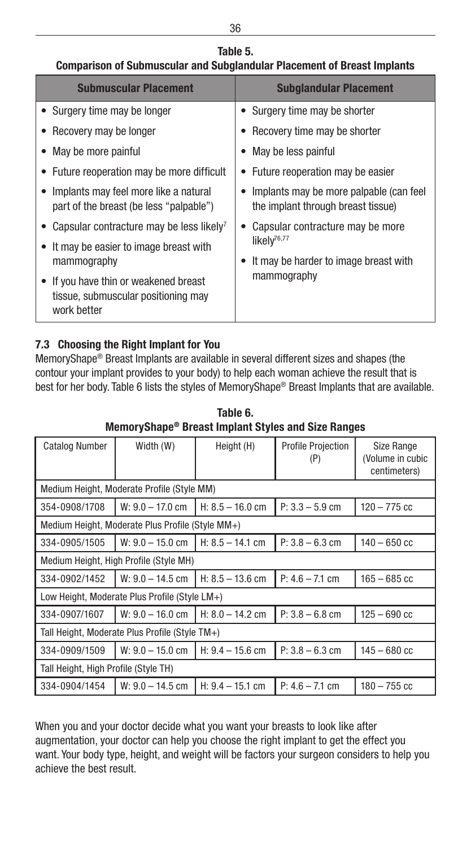#### Table 5.

## Comparison of Submuscular and Subglandular Placement of Breast Implants

| <b>Submuscular Placement</b>                                                                | <b>Subglandular Placement</b>                                                 |
|---------------------------------------------------------------------------------------------|-------------------------------------------------------------------------------|
| • Surgery time may be longer                                                                | • Surgery time may be shorter                                                 |
| • Recovery may be longer                                                                    | Recovery time may be shorter                                                  |
| • May be more painful                                                                       | May be less painful                                                           |
| • Future reoperation may be more difficult                                                  | • Future reoperation may be easier                                            |
| • Implants may feel more like a natural<br>part of the breast (be less "palpable")          | Implants may be more palpable (can feel<br>the implant through breast tissue) |
| Capsular contracture may be less likely <sup>7</sup>                                        | Capsular contracture may be more                                              |
| • It may be easier to image breast with                                                     | likel $V^{76,77}$                                                             |
| mammography                                                                                 | It may be harder to image breast with                                         |
| • If you have thin or weakened breast<br>tissue, submuscular positioning may<br>work better | mammography                                                                   |

# 7.3 Choosing the Right Implant for You

MemoryShape® Breast Implants are available in several different sizes and shapes (the contour your implant provides to your body) to help each woman achieve the result that is best for her body. Table 6 lists the styles of MemoryShape® Breast Implants that are available.

| <b>Catalog Number</b>                            | Width (W)                                        | Height (H)         | <b>Profile Projection</b><br>(P) | Size Range<br>(Volume in cubic<br>centimeters) |
|--------------------------------------------------|--------------------------------------------------|--------------------|----------------------------------|------------------------------------------------|
|                                                  | Medium Height, Moderate Profile (Style MM)       |                    |                                  |                                                |
| 354-0908/1708                                    | $W: 9.0 - 17.0$ cm                               | H: $8.5 - 16.0$ cm | $P: 3.3 - 5.9$ cm                | $120 - 775$ cc                                 |
|                                                  | Medium Height, Moderate Plus Profile (Style MM+) |                    |                                  |                                                |
| 334-0905/1505                                    | $W: 9.0 - 15.0$ cm                               | H: $8.5 - 14.1$ cm | $P: 3.8 - 6.3$ cm                | $140 - 650$ cc                                 |
| Medium Height, High Profile (Style MH)           |                                                  |                    |                                  |                                                |
| 334-0902/1452                                    | $W: 9.0 - 14.5$ cm                               | H: $8.5 - 13.6$ cm | $P: 4.6 - 7.1$ cm                | $165 - 685$ cc                                 |
| Low Height, Moderate Plus Profile (Style $LM+$ ) |                                                  |                    |                                  |                                                |
| 334-0907/1607                                    | $W: 9.0 - 16.0$ cm                               | H: $8.0 - 14.2$ cm | $P: 3.8 - 6.8$ cm                | 125 – 690 cc                                   |
|                                                  | Tall Height, Moderate Plus Profile (Style TM+)   |                    |                                  |                                                |
| 334-0909/1509                                    | $W: 9.0 - 15.0$ cm                               | $H: 9.4 - 15.6$ cm | $P: 3.8 - 6.3$ cm                | $145 - 680$ cc                                 |
| Tall Height, High Profile (Style TH)             |                                                  |                    |                                  |                                                |
| 334-0904/1454                                    | $W: 9.0 - 14.5$ cm                               | H: $9.4 - 15.1$ cm | $P: 4.6 - 7.1$ cm                | $180 - 755$ cc                                 |

Table 6. MemoryShape® Breast Implant Styles and Size Ranges

When you and your doctor decide what you want your breasts to look like after augmentation, your doctor can help you choose the right implant to get the effect you want. Your body type, height, and weight will be factors your surgeon considers to help you achieve the best result.

36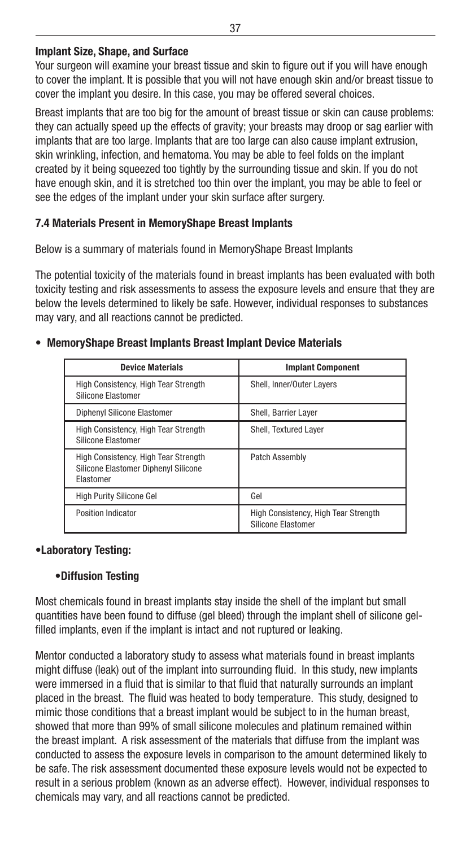### Implant Size, Shape, and Surface

Your surgeon will examine your breast tissue and skin to figure out if you will have enough to cover the implant. It is possible that you will not have enough skin and/or breast tissue to cover the implant you desire. In this case, you may be offered several choices.

Breast implants that are too big for the amount of breast tissue or skin can cause problems: they can actually speed up the effects of gravity; your breasts may droop or sag earlier with implants that are too large. Implants that are too large can also cause implant extrusion, skin wrinkling, infection, and hematoma. You may be able to feel folds on the implant created by it being squeezed too tightly by the surrounding tissue and skin. If you do not have enough skin, and it is stretched too thin over the implant, you may be able to feel or see the edges of the implant under your skin surface after surgery.

### 7.4 Materials Present in MemoryShape Breast Implants

Below is a summary of materials found in MemoryShape Breast Implants

The potential toxicity of the materials found in breast implants has been evaluated with both toxicity testing and risk assessments to assess the exposure levels and ensure that they are below the levels determined to likely be safe. However, individual responses to substances may vary, and all reactions cannot be predicted.

#### Device Materials **Implant Component** High Consistency, High Tear Strength Silicone Elastomer Shell, Inner/Outer Layers Diphenyl Silicone Elastomer Shell, Barrier Layer High Consistency, High Tear Strength Silicone Elastomer Shell, Textured Layer High Consistency, High Tear Strength Silicone Elastomer Diphenyl Silicone Elastomer Patch Assembly High Purity Silicone Gel **Gel** Gel Position Indicator **High Consistency, High Tear Strength** Silicone Elastomer

### • MemoryShape Breast Implants Breast Implant Device Materials

### •Laboratory Testing:

### •Diffusion Testing

Most chemicals found in breast implants stay inside the shell of the implant but small quantities have been found to diffuse (gel bleed) through the implant shell of silicone gelfilled implants, even if the implant is intact and not ruptured or leaking.

Mentor conducted a laboratory study to assess what materials found in breast implants might diffuse (leak) out of the implant into surrounding fluid. In this study, new implants were immersed in a fluid that is similar to that fluid that naturally surrounds an implant placed in the breast. The fluid was heated to body temperature. This study, designed to mimic those conditions that a breast implant would be subject to in the human breast, showed that more than 99% of small silicone molecules and platinum remained within the breast implant. A risk assessment of the materials that diffuse from the implant was conducted to assess the exposure levels in comparison to the amount determined likely to be safe. The risk assessment documented these exposure levels would not be expected to result in a serious problem (known as an adverse effect). However, individual responses to chemicals may vary, and all reactions cannot be predicted.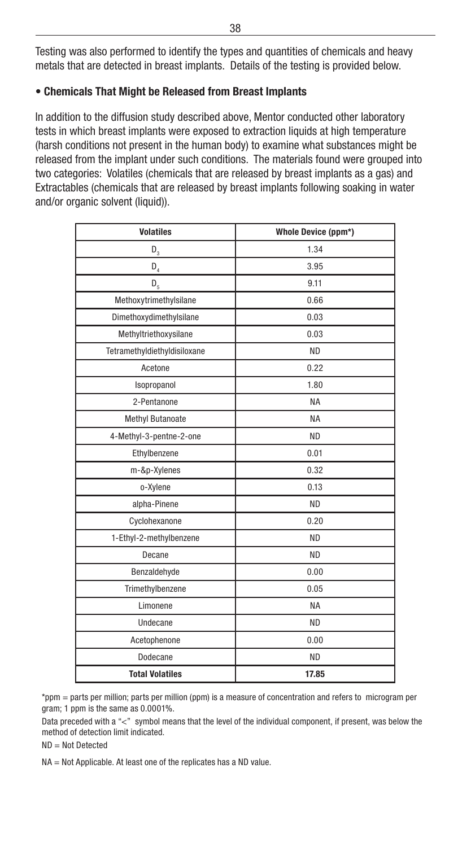Testing was also performed to identify the types and quantities of chemicals and heavy metals that are detected in breast implants. Details of the testing is provided below.

### • Chemicals That Might be Released from Breast Implants

In addition to the diffusion study described above, Mentor conducted other laboratory tests in which breast implants were exposed to extraction liquids at high temperature (harsh conditions not present in the human body) to examine what substances might be released from the implant under such conditions. The materials found were grouped into two categories: Volatiles (chemicals that are released by breast implants as a gas) and Extractables (chemicals that are released by breast implants following soaking in water and/or organic solvent (liquid)).

| <b>Volatiles</b>             | Whole Device (ppm*) |
|------------------------------|---------------------|
| $D_{3}$                      | 1.34                |
| $\mathsf{D}_4$               | 3.95                |
| $\mathsf{D}_\mathsf{s}$      | 9.11                |
| Methoxytrimethylsilane       | 0.66                |
| Dimethoxydimethylsilane      | 0.03                |
| Methyltriethoxysilane        | 0.03                |
| Tetramethyldiethyldisiloxane | <b>ND</b>           |
| Acetone                      | 0.22                |
| Isopropanol                  | 1.80                |
| 2-Pentanone                  | <b>NA</b>           |
| <b>Methyl Butanoate</b>      | <b>NA</b>           |
| 4-Methyl-3-pentne-2-one      | <b>ND</b>           |
| Ethylbenzene                 | 0.01                |
| m-&p-Xylenes                 | 0.32                |
| o-Xylene                     | 0.13                |
| alpha-Pinene                 | <b>ND</b>           |
| Cyclohexanone                | 0.20                |
| 1-Ethyl-2-methylbenzene      | <b>ND</b>           |
| Decane                       | <b>ND</b>           |
| Benzaldehyde                 | 0.00                |
| Trimethylbenzene             | 0.05                |
| Limonene                     | <b>NA</b>           |
| Undecane                     | <b>ND</b>           |
| Acetophenone                 | 0.00                |
| Dodecane                     | <b>ND</b>           |
| <b>Total Volatiles</b>       | 17.85               |

\*ppm = parts per million; parts per million (ppm) is a measure of concentration and refers to microgram per gram; 1 ppm is the same as 0.0001%.

Data preceded with a "<" symbol means that the level of the individual component, if present, was below the method of detection limit indicated.

ND = Not Detected

 $NA = Not$  Applicable. At least one of the replicates has a ND value.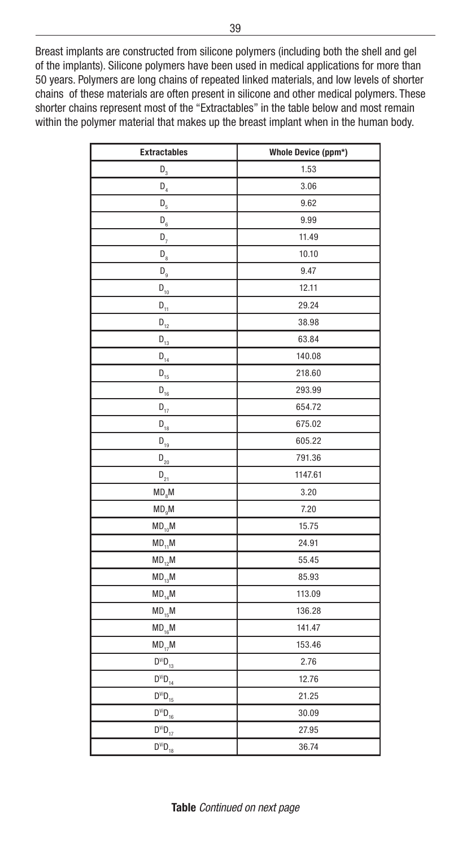Breast implants are constructed from silicone polymers (including both the shell and gel of the implants). Silicone polymers have been used in medical applications for more than 50 years. Polymers are long chains of repeated linked materials, and low levels of shorter chains of these materials are often present in silicone and other medical polymers. These shorter chains represent most of the "Extractables" in the table below and most remain within the polymer material that makes up the breast implant when in the human body.

| <b>Extractables</b>        | Whole Device (ppm*) |
|----------------------------|---------------------|
| $\mathsf{D}_3$             | 1.53                |
| $\mathsf{D}_4$             | 3.06                |
| $\mathsf{D}_5$             | 9.62                |
| $D_{6}$                    | 9.99                |
| $D_7$                      | 11.49               |
| $\mathsf{D}_8$             | 10.10               |
| $\mathsf{D}_{\mathsf{g}}$  | 9.47                |
| $D_{10}$                   | 12.11               |
| $D_{11}$                   | 29.24               |
| $D_{12}$                   | 38.98               |
| $D_{13}$                   | 63.84               |
| $D_{14}$                   | 140.08              |
| $\mathsf{D}_{\mathsf{15}}$ | 218.60              |
| $D_{16}$                   | 293.99              |
| $D_{17}$                   | 654.72              |
| $D_{18}$                   | 675.02              |
| $D_{19}$                   | 605.22              |
| $D_{20}$                   | 791.36              |
| $D_{21}$                   | 1147.61             |
| $MD_{8}M$                  | 3.20                |
| $MD_{9}M$                  | 7.20                |
| $MD_{10}M$                 | 15.75               |
| $MD_{11}M$                 | 24.91               |
| $MD_{12}M$                 | 55.45               |
| $MD_{13}M$                 | 85.93               |
| $MD_{14}M$                 | 113.09              |
| $MD_{15}M$                 | 136.28              |
| $MD_{16}M$                 | 141.47              |
| $MD_{17}M$                 | 153.46              |
| $D^{vi}D_{13}$             | 2.76                |
| $D^{Vi}D_{14}$             | 12.76               |
| $D^{VI}D_{15}$             | 21.25               |
| $D^{VI}D_{16}$             | 30.09               |
| $D^{Vi}D_{17}$             | 27.95               |
| $D^{vi}D_{18}$             | 36.74               |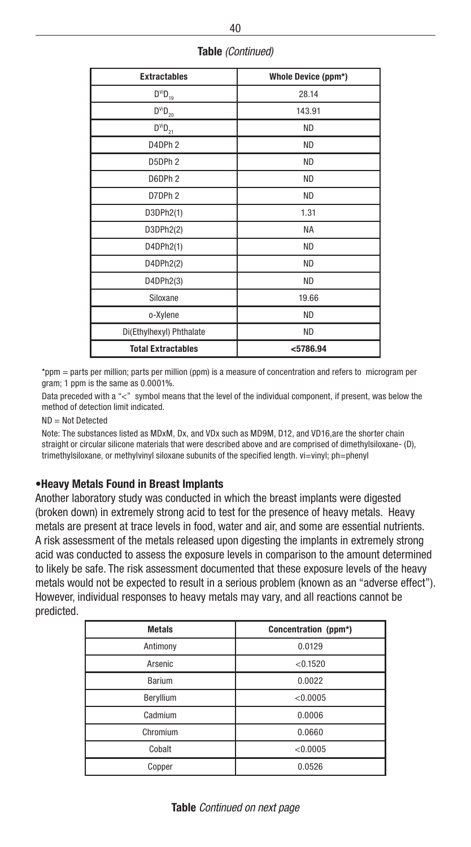| <b>Extractables</b>                                | Whole Device (ppm*) |  |  |
|----------------------------------------------------|---------------------|--|--|
| $D^{Vi}D_{19}$                                     | 28.14               |  |  |
| $\mathsf{D}^{\mathsf{Vi}}\mathsf{D}_{\mathsf{20}}$ | 143.91              |  |  |
| $D^{\vee i}D_{21}$                                 | <b>ND</b>           |  |  |
| D4DPh <sub>2</sub>                                 | <b>ND</b>           |  |  |
| D5DPh 2                                            | <b>ND</b>           |  |  |
| D6DPh 2                                            | <b>ND</b>           |  |  |
| D7DPh 2                                            | <b>ND</b>           |  |  |
| D3DPh2(1)                                          | 1.31                |  |  |
| D3DPh2(2)                                          | NA                  |  |  |
| D4DPh2(1)                                          | <b>ND</b>           |  |  |
| D4DPh2(2)                                          | ΝD                  |  |  |
| D4DPh2(3)                                          | <b>ND</b>           |  |  |
| Siloxane                                           | 19.66               |  |  |
| o-Xylene                                           | ND                  |  |  |
| Di(Ethylhexyl) Phthalate                           | <b>ND</b>           |  |  |
| <b>Total Extractables</b>                          | $<$ 5786.94         |  |  |

Table *(Continued)*

\*ppm = parts per million; parts per million (ppm) is a measure of concentration and refers to microgram per gram; 1 ppm is the same as 0.0001%.

Data preceded with a "<" symbol means that the level of the individual component, if present, was below the method of detection limit indicated.

ND = Not Detected

Note: The substances listed as MDxM, Dx, and VDx such as MD9M, D12, and VD16,are the shorter chain straight or circular silicone materials that were described above and are comprised of dimethylsiloxane- (D), trimethylsiloxane, or methylvinyl siloxane subunits of the specified length. vi=vinyl; ph=phenyl

#### •Heavy Metals Found in Breast Implants

Another laboratory study was conducted in which the breast implants were digested (broken down) in extremely strong acid to test for the presence of heavy metals. Heavy metals are present at trace levels in food, water and air, and some are essential nutrients. A risk assessment of the metals released upon digesting the implants in extremely strong acid was conducted to assess the exposure levels in comparison to the amount determined to likely be safe. The risk assessment documented that these exposure levels of the heavy metals would not be expected to result in a serious problem (known as an "adverse effect"). However, individual responses to heavy metals may vary, and all reactions cannot be predicted.

| <b>Metals</b> | Concentration (ppm*) |
|---------------|----------------------|
| Antimony      | 0.0129               |
| Arsenic       | < 0.1520             |
| <b>Barium</b> | 0.0022               |
| Beryllium     | < 0.0005             |
| Cadmium       | 0.0006               |
| Chromium      | 0.0660               |
| Cobalt        | < 0.0005             |
| Copper        | 0.0526               |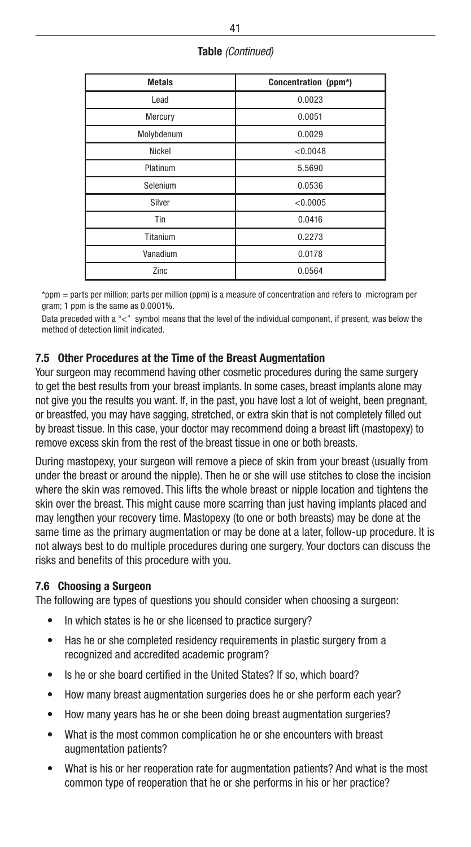| <b>Metals</b> | Concentration (ppm*) |
|---------------|----------------------|
| Lead          | 0.0023               |
| Mercury       | 0.0051               |
| Molybdenum    | 0.0029               |
| Nickel        | < 0.0048             |
| Platinum      | 5.5690               |
| Selenium      | 0.0536               |
| Silver        | < 0.0005             |
| Tin           | 0.0416               |
| Titanium      | 0.2273               |
| Vanadium      | 0.0178               |
| Zinc          | 0.0564               |

#### Table *(Continued)*

\*ppm = parts per million; parts per million (ppm) is a measure of concentration and refers to microgram per gram; 1 ppm is the same as 0.0001%.

Data preceded with a "<" symbol means that the level of the individual component, if present, was below the method of detection limit indicated.

#### 7.5 Other Procedures at the Time of the Breast Augmentation

Your surgeon may recommend having other cosmetic procedures during the same surgery to get the best results from your breast implants. In some cases, breast implants alone may not give you the results you want. If, in the past, you have lost a lot of weight, been pregnant, or breastfed, you may have sagging, stretched, or extra skin that is not completely filled out by breast tissue. In this case, your doctor may recommend doing a breast lift (mastopexy) to remove excess skin from the rest of the breast tissue in one or both breasts.

During mastopexy, your surgeon will remove a piece of skin from your breast (usually from under the breast or around the nipple). Then he or she will use stitches to close the incision where the skin was removed. This lifts the whole breast or nipple location and tightens the skin over the breast. This might cause more scarring than just having implants placed and may lengthen your recovery time. Mastopexy (to one or both breasts) may be done at the same time as the primary augmentation or may be done at a later, follow-up procedure. It is not always best to do multiple procedures during one surgery. Your doctors can discuss the risks and benefits of this procedure with you.

#### 7.6 Choosing a Surgeon

The following are types of questions you should consider when choosing a surgeon:

- In which states is he or she licensed to practice surgery?
- Has he or she completed residency requirements in plastic surgery from a recognized and accredited academic program?
- Is he or she board certified in the United States? If so, which board?
- How many breast augmentation surgeries does he or she perform each year?
- How many years has he or she been doing breast augmentation surgeries?
- What is the most common complication he or she encounters with breast augmentation patients?
- What is his or her reoperation rate for augmentation patients? And what is the most common type of reoperation that he or she performs in his or her practice?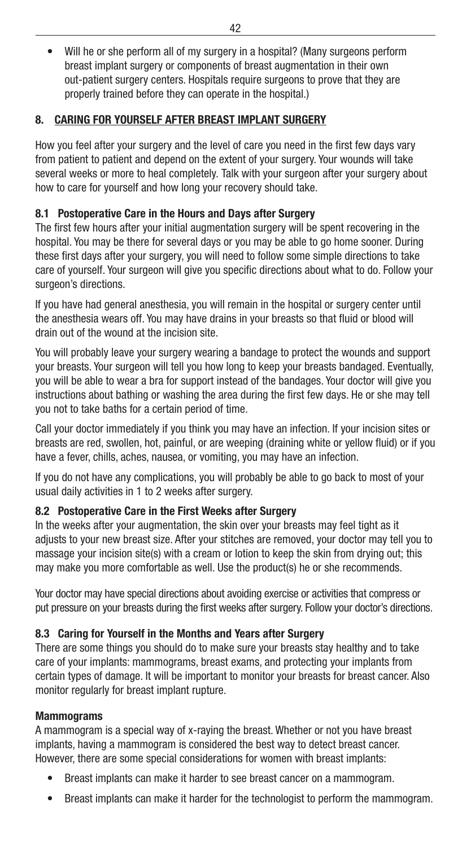Will he or she perform all of my surgery in a hospital? (Many surgeons perform breast implant surgery or components of breast augmentation in their own out-patient surgery centers. Hospitals require surgeons to prove that they are properly trained before they can operate in the hospital.)

# 8. CARING FOR YOURSELF AFTER BREAST IMPLANT SURGERY

How you feel after your surgery and the level of care you need in the first few days vary from patient to patient and depend on the extent of your surgery. Your wounds will take several weeks or more to heal completely. Talk with your surgeon after your surgery about how to care for yourself and how long your recovery should take.

# 8.1 Postoperative Care in the Hours and Days after Surgery

The first few hours after your initial augmentation surgery will be spent recovering in the hospital. You may be there for several days or you may be able to go home sooner. During these first days after your surgery, you will need to follow some simple directions to take care of yourself. Your surgeon will give you specific directions about what to do. Follow your surgeon's directions.

If you have had general anesthesia, you will remain in the hospital or surgery center until the anesthesia wears off. You may have drains in your breasts so that fluid or blood will drain out of the wound at the incision site.

You will probably leave your surgery wearing a bandage to protect the wounds and support your breasts. Your surgeon will tell you how long to keep your breasts bandaged. Eventually, you will be able to wear a bra for support instead of the bandages. Your doctor will give you instructions about bathing or washing the area during the first few days. He or she may tell you not to take baths for a certain period of time.

Call your doctor immediately if you think you may have an infection. If your incision sites or breasts are red, swollen, hot, painful, or are weeping (draining white or yellow fluid) or if you have a fever, chills, aches, nausea, or vomiting, you may have an infection.

If you do not have any complications, you will probably be able to go back to most of your usual daily activities in 1 to 2 weeks after surgery.

### 8.2 Postoperative Care in the First Weeks after Surgery

In the weeks after your augmentation, the skin over your breasts may feel tight as it adjusts to your new breast size. After your stitches are removed, your doctor may tell you to massage your incision site(s) with a cream or lotion to keep the skin from drying out; this may make you more comfortable as well. Use the product(s) he or she recommends.

Your doctor may have special directions about avoiding exercise or activities that compress or put pressure on your breasts during the first weeks after surgery. Follow your doctor's directions.

### 8.3 Caring for Yourself in the Months and Years after Surgery

There are some things you should do to make sure your breasts stay healthy and to take care of your implants: mammograms, breast exams, and protecting your implants from certain types of damage. It will be important to monitor your breasts for breast cancer. Also monitor regularly for breast implant rupture.

### Mammograms

A mammogram is a special way of x-raying the breast. Whether or not you have breast implants, having a mammogram is considered the best way to detect breast cancer. However, there are some special considerations for women with breast implants:

- Breast implants can make it harder to see breast cancer on a mammogram.
- Breast implants can make it harder for the technologist to perform the mammogram.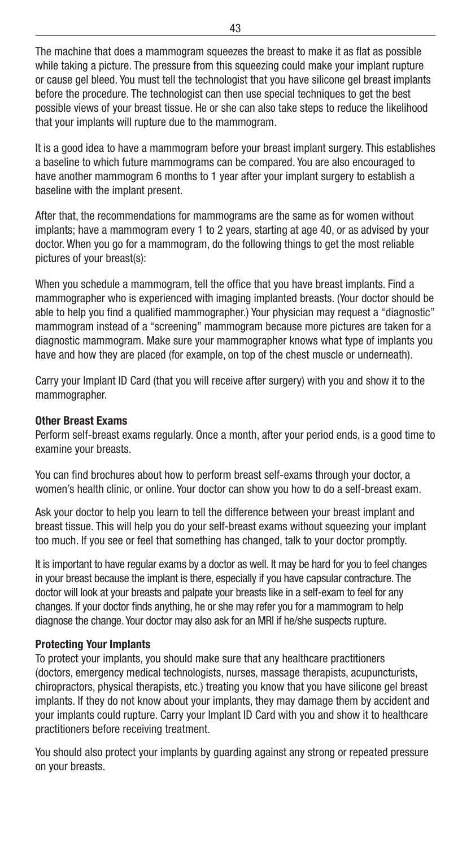The machine that does a mammogram squeezes the breast to make it as flat as possible while taking a picture. The pressure from this squeezing could make your implant rupture or cause gel bleed. You must tell the technologist that you have silicone gel breast implants before the procedure. The technologist can then use special techniques to get the best possible views of your breast tissue. He or she can also take steps to reduce the likelihood that your implants will rupture due to the mammogram.

It is a good idea to have a mammogram before your breast implant surgery. This establishes a baseline to which future mammograms can be compared. You are also encouraged to have another mammogram 6 months to 1 year after your implant surgery to establish a baseline with the implant present.

After that, the recommendations for mammograms are the same as for women without implants; have a mammogram every 1 to 2 years, starting at age 40, or as advised by your doctor. When you go for a mammogram, do the following things to get the most reliable pictures of your breast(s):

When you schedule a mammogram, tell the office that you have breast implants. Find a mammographer who is experienced with imaging implanted breasts. (Your doctor should be able to help you find a qualified mammographer.) Your physician may request a "diagnostic" mammogram instead of a "screening" mammogram because more pictures are taken for a diagnostic mammogram. Make sure your mammographer knows what type of implants you have and how they are placed (for example, on top of the chest muscle or underneath).

Carry your Implant ID Card (that you will receive after surgery) with you and show it to the mammographer.

#### Other Breast Exams

Perform self-breast exams regularly. Once a month, after your period ends, is a good time to examine your breasts.

You can find brochures about how to perform breast self-exams through your doctor, a women's health clinic, or online. Your doctor can show you how to do a self-breast exam.

Ask your doctor to help you learn to tell the difference between your breast implant and breast tissue. This will help you do your self-breast exams without squeezing your implant too much. If you see or feel that something has changed, talk to your doctor promptly.

It is important to have regular exams by a doctor as well. It may be hard for you to feel changes in your breast because the implant is there, especially if you have capsular contracture. The doctor will look at your breasts and palpate your breasts like in a self-exam to feel for any changes. If your doctor finds anything, he or she may refer you for a mammogram to help diagnose the change. Your doctor may also ask for an MRI if he/she suspects rupture.

#### Protecting Your Implants

To protect your implants, you should make sure that any healthcare practitioners (doctors, emergency medical technologists, nurses, massage therapists, acupuncturists, chiropractors, physical therapists, etc.) treating you know that you have silicone gel breast implants. If they do not know about your implants, they may damage them by accident and your implants could rupture. Carry your Implant ID Card with you and show it to healthcare practitioners before receiving treatment.

You should also protect your implants by guarding against any strong or repeated pressure on your breasts.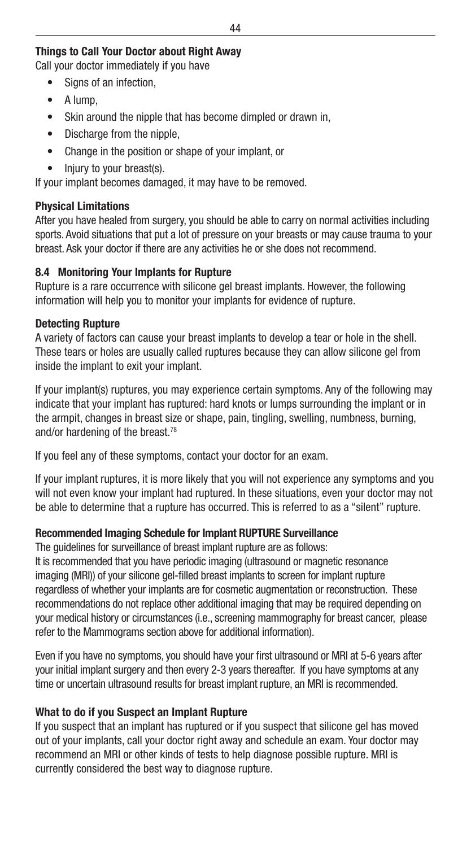# Things to Call Your Doctor about Right Away

Call your doctor immediately if you have

- Signs of an infection,
- A lump,
- Skin around the nipple that has become dimpled or drawn in,
- Discharge from the nipple,
- Change in the position or shape of your implant, or
- Injury to your breast(s).

If your implant becomes damaged, it may have to be removed.

### Physical Limitations

After you have healed from surgery, you should be able to carry on normal activities including sports. Avoid situations that put a lot of pressure on your breasts or may cause trauma to your breast. Ask your doctor if there are any activities he or she does not recommend.

# 8.4 Monitoring Your Implants for Rupture

Rupture is a rare occurrence with silicone gel breast implants. However, the following information will help you to monitor your implants for evidence of rupture.

### Detecting Rupture

A variety of factors can cause your breast implants to develop a tear or hole in the shell. These tears or holes are usually called ruptures because they can allow silicone gel from inside the implant to exit your implant.

If your implant(s) ruptures, you may experience certain symptoms. Any of the following may indicate that your implant has ruptured: hard knots or lumps surrounding the implant or in the armpit, changes in breast size or shape, pain, tingling, swelling, numbness, burning, and/or hardening of the breast.78

If you feel any of these symptoms, contact your doctor for an exam.

If your implant ruptures, it is more likely that you will not experience any symptoms and you will not even know your implant had ruptured. In these situations, even your doctor may not be able to determine that a rupture has occurred. This is referred to as a "silent" rupture.

# Recommended Imaging Schedule for Implant RUPTURE Surveillance

The guidelines for surveillance of breast implant rupture are as follows:

It is recommended that you have periodic imaging (ultrasound or magnetic resonance imaging (MRI)) of your silicone gel-filled breast implants to screen for implant rupture regardless of whether your implants are for cosmetic augmentation or reconstruction. These recommendations do not replace other additional imaging that may be required depending on your medical history or circumstances (i.e., screening mammography for breast cancer, please refer to the Mammograms section above for additional information).

Even if you have no symptoms, you should have your first ultrasound or MRI at 5-6 years after your initial implant surgery and then every 2-3 years thereafter. If you have symptoms at any time or uncertain ultrasound results for breast implant rupture, an MRI is recommended.

# What to do if you Suspect an Implant Rupture

If you suspect that an implant has ruptured or if you suspect that silicone gel has moved out of your implants, call your doctor right away and schedule an exam. Your doctor may recommend an MRI or other kinds of tests to help diagnose possible rupture. MRI is currently considered the best way to diagnose rupture.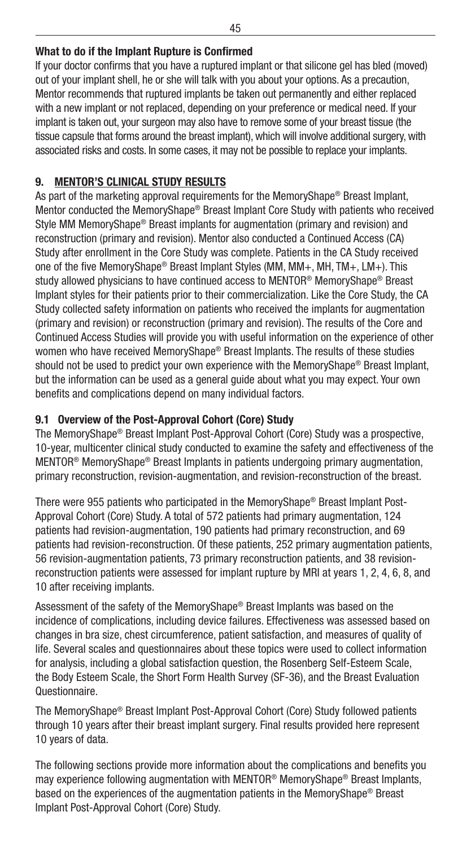# What to do if the Implant Rupture is Confirmed

If your doctor confirms that you have a ruptured implant or that silicone gel has bled (moved) out of your implant shell, he or she will talk with you about your options. As a precaution, Mentor recommends that ruptured implants be taken out permanently and either replaced with a new implant or not replaced, depending on your preference or medical need. If your implant is taken out, your surgeon may also have to remove some of your breast tissue (the tissue capsule that forms around the breast implant), which will involve additional surgery, with associated risks and costs. In some cases, it may not be possible to replace your implants.

# 9. MENTOR'S CLINICAL STUDY RESULTS

As part of the marketing approval requirements for the MemoryShape® Breast Implant, Mentor conducted the MemoryShape® Breast Implant Core Study with patients who received Style MM MemoryShape® Breast implants for augmentation (primary and revision) and reconstruction (primary and revision). Mentor also conducted a Continued Access (CA) Study after enrollment in the Core Study was complete. Patients in the CA Study received one of the five MemoryShape® Breast Implant Styles (MM, MM+, MH, TM+, LM+). This study allowed physicians to have continued access to MENTOR® MemoryShape® Breast Implant styles for their patients prior to their commercialization. Like the Core Study, the CA Study collected safety information on patients who received the implants for augmentation (primary and revision) or reconstruction (primary and revision). The results of the Core and Continued Access Studies will provide you with useful information on the experience of other women who have received MemoryShape® Breast Implants. The results of these studies should not be used to predict your own experience with the MemoryShape<sup>®</sup> Breast Implant, but the information can be used as a general guide about what you may expect. Your own benefits and complications depend on many individual factors.

# 9.1 Overview of the Post-Approval Cohort (Core) Study

The MemoryShape® Breast Implant Post-Approval Cohort (Core) Study was a prospective, 10-year, multicenter clinical study conducted to examine the safety and effectiveness of the MENTOR® MemoryShape® Breast Implants in patients undergoing primary augmentation, primary reconstruction, revision-augmentation, and revision-reconstruction of the breast.

There were 955 patients who participated in the MemoryShape® Breast Implant Post-Approval Cohort (Core) Study. A total of 572 patients had primary augmentation, 124 patients had revision-augmentation, 190 patients had primary reconstruction, and 69 patients had revision-reconstruction. Of these patients, 252 primary augmentation patients, 56 revision-augmentation patients, 73 primary reconstruction patients, and 38 revisionreconstruction patients were assessed for implant rupture by MRI at years 1, 2, 4, 6, 8, and 10 after receiving implants.

Assessment of the safety of the MemoryShape® Breast Implants was based on the incidence of complications, including device failures. Effectiveness was assessed based on changes in bra size, chest circumference, patient satisfaction, and measures of quality of life. Several scales and questionnaires about these topics were used to collect information for analysis, including a global satisfaction question, the Rosenberg Self-Esteem Scale, the Body Esteem Scale, the Short Form Health Survey (SF-36), and the Breast Evaluation Questionnaire.

The MemoryShape® Breast Implant Post-Approval Cohort (Core) Study followed patients through 10 years after their breast implant surgery. Final results provided here represent 10 years of data.

The following sections provide more information about the complications and benefits you may experience following augmentation with MENTOR® MemoryShape® Breast Implants, based on the experiences of the augmentation patients in the MemoryShape® Breast Implant Post-Approval Cohort (Core) Study.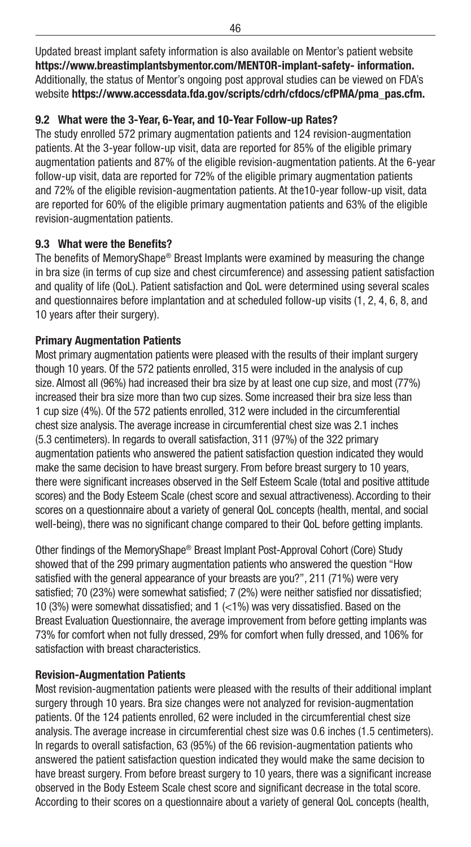Updated breast implant safety information is also available on Mentor's patient website https://www.breastimplantsbymentor.com/MENTOR-implant-safety- information. Additionally, the status of Mentor's ongoing post approval studies can be viewed on FDA's website https://www.accessdata.fda.gov/scripts/cdrh/cfdocs/cfPMA/pma\_pas.cfm.

# 9.2 What were the 3-Year, 6-Year, and 10-Year Follow-up Rates?

The study enrolled 572 primary augmentation patients and 124 revision-augmentation patients. At the 3-year follow-up visit, data are reported for 85% of the eligible primary augmentation patients and 87% of the eligible revision-augmentation patients. At the 6-year follow-up visit, data are reported for 72% of the eligible primary augmentation patients and 72% of the eligible revision-augmentation patients. At the10-year follow-up visit, data are reported for 60% of the eligible primary augmentation patients and 63% of the eligible revision-augmentation patients.

# 9.3 What were the Benefits?

The benefits of MemoryShape® Breast Implants were examined by measuring the change in bra size (in terms of cup size and chest circumference) and assessing patient satisfaction and quality of life (QoL). Patient satisfaction and QoL were determined using several scales and questionnaires before implantation and at scheduled follow-up visits (1, 2, 4, 6, 8, and 10 years after their surgery).

# Primary Augmentation Patients

Most primary augmentation patients were pleased with the results of their implant surgery though 10 years. Of the 572 patients enrolled, 315 were included in the analysis of cup size. Almost all (96%) had increased their bra size by at least one cup size, and most (77%) increased their bra size more than two cup sizes. Some increased their bra size less than 1 cup size (4%). Of the 572 patients enrolled, 312 were included in the circumferential chest size analysis. The average increase in circumferential chest size was 2.1 inches (5.3 centimeters). In regards to overall satisfaction, 311 (97%) of the 322 primary augmentation patients who answered the patient satisfaction question indicated they would make the same decision to have breast surgery. From before breast surgery to 10 years, there were significant increases observed in the Self Esteem Scale (total and positive attitude scores) and the Body Esteem Scale (chest score and sexual attractiveness). According to their scores on a questionnaire about a variety of general QoL concepts (health, mental, and social well-being), there was no significant change compared to their QoL before getting implants.

Other findings of the MemoryShape® Breast Implant Post-Approval Cohort (Core) Study showed that of the 299 primary augmentation patients who answered the question "How satisfied with the general appearance of your breasts are you?", 211 (71%) were very satisfied; 70 (23%) were somewhat satisfied; 7 (2%) were neither satisfied nor dissatisfied; 10 (3%) were somewhat dissatisfied; and 1 (<1%) was very dissatisfied. Based on the Breast Evaluation Questionnaire, the average improvement from before getting implants was 73% for comfort when not fully dressed, 29% for comfort when fully dressed, and 106% for satisfaction with breast characteristics.

# Revision-Augmentation Patients

Most revision-augmentation patients were pleased with the results of their additional implant surgery through 10 years. Bra size changes were not analyzed for revision-augmentation patients. Of the 124 patients enrolled, 62 were included in the circumferential chest size analysis. The average increase in circumferential chest size was 0.6 inches (1.5 centimeters). In regards to overall satisfaction, 63 (95%) of the 66 revision-augmentation patients who answered the patient satisfaction question indicated they would make the same decision to have breast surgery. From before breast surgery to 10 years, there was a significant increase observed in the Body Esteem Scale chest score and significant decrease in the total score. According to their scores on a questionnaire about a variety of general QoL concepts (health,

46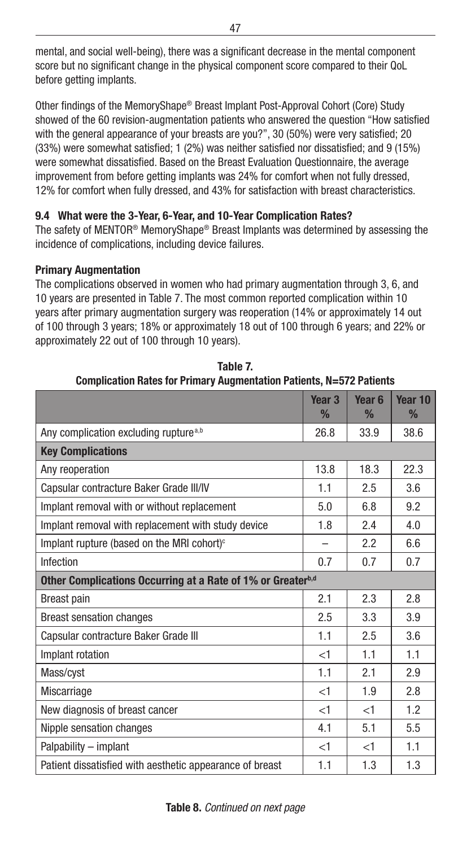mental, and social well-being), there was a significant decrease in the mental component score but no significant change in the physical component score compared to their QoL before getting implants.

Other findings of the MemoryShape® Breast Implant Post-Approval Cohort (Core) Study showed of the 60 revision-augmentation patients who answered the question "How satisfied with the general appearance of your breasts are you?", 30 (50%) were very satisfied; 20 (33%) were somewhat satisfied; 1 (2%) was neither satisfied nor dissatisfied; and 9 (15%) were somewhat dissatisfied. Based on the Breast Evaluation Questionnaire, the average improvement from before getting implants was 24% for comfort when not fully dressed, 12% for comfort when fully dressed, and 43% for satisfaction with breast characteristics.

# 9.4 What were the 3-Year, 6-Year, and 10-Year Complication Rates?

The safety of MENTOR® MemoryShape® Breast Implants was determined by assessing the incidence of complications, including device failures.

### Primary Augmentation

The complications observed in women who had primary augmentation through 3, 6, and 10 years are presented in Table 7. The most common reported complication within 10 years after primary augmentation surgery was reoperation (14% or approximately 14 out of 100 through 3 years; 18% or approximately 18 out of 100 through 6 years; and 22% or approximately 22 out of 100 through 10 years).

|                                                                         | Year <sub>3</sub><br>$\frac{0}{n}$ | Year <sub>6</sub><br>$\frac{0}{n}$ | Year 10<br>$\frac{0}{n}$ |
|-------------------------------------------------------------------------|------------------------------------|------------------------------------|--------------------------|
| Any complication excluding rupture <sup>a,b</sup>                       | 26.8                               | 33.9                               | 38.6                     |
| <b>Key Complications</b>                                                |                                    |                                    |                          |
| Any reoperation                                                         | 13.8                               | 18.3                               | 22.3                     |
| Capsular contracture Baker Grade III/IV                                 | 1.1                                | 2.5                                | 3.6                      |
| Implant removal with or without replacement                             | 5.0                                | 6.8                                | 9.2                      |
| Implant removal with replacement with study device                      | 1.8                                | 2.4                                | 4.0                      |
| Implant rupture (based on the MRI cohort) <sup>c</sup>                  |                                    | 2.2                                | 6.6                      |
| Infection                                                               |                                    | 0.7                                | 0.7                      |
| Other Complications Occurring at a Rate of 1% or Greater <sup>b,d</sup> |                                    |                                    |                          |
| <b>Breast pain</b>                                                      | 2.1                                | 2.3                                | 2.8                      |
| <b>Breast sensation changes</b>                                         | 2.5                                | 3.3                                | 3.9                      |
| Capsular contracture Baker Grade III                                    | 1.1                                | 2.5                                | 3.6                      |
| Implant rotation                                                        | $<$ 1                              | 1.1                                | 1.1                      |
| Mass/cyst                                                               | 1.1                                | 2.1                                | 2.9                      |
| Miscarriage                                                             | $<$ 1                              | 1.9                                | 2.8                      |
| New diagnosis of breast cancer                                          | $<$ 1                              | $<$ 1                              | 1.2                      |
| Nipple sensation changes                                                | 4.1                                | 5.1                                | 5.5                      |
| Palpability - implant                                                   | $<$ 1                              | $<$ 1                              | 1.1                      |
| Patient dissatisfied with aesthetic appearance of breast                | 1.1                                | 1.3                                | 1.3                      |

Table 7. Complication Rates for Primary Augmentation Patients, N=572 Patients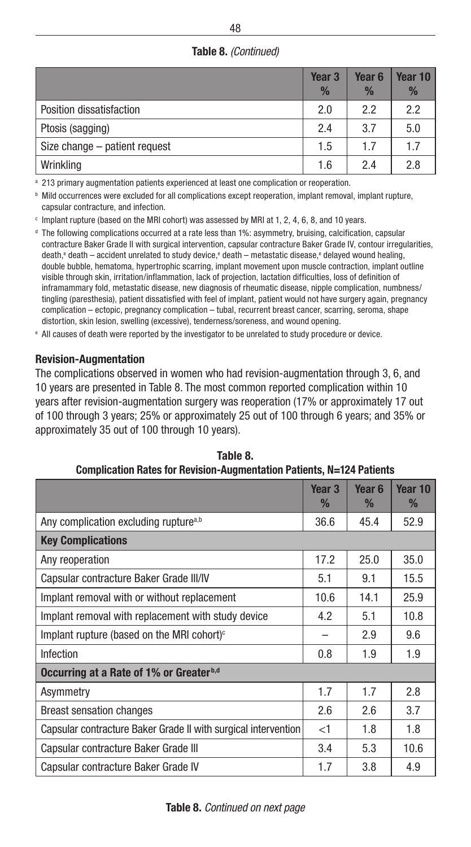### Table 8. *(Continued)*

|                               | Year <sub>3</sub><br>$\frac{0}{2}$ | Year 6<br>$\%$ | Year 10<br>$\%$ |
|-------------------------------|------------------------------------|----------------|-----------------|
| Position dissatisfaction      | 2.0                                | 2.2            | 2.2             |
| Ptosis (sagging)              | 2.4                                | 3.7            | 5.0             |
| Size change – patient request | 1.5                                | 1.7            | 1.7             |
| Wrinkling                     | 1.6                                | 2.4            | 2.8             |

<sup>a</sup> 213 primary augmentation patients experienced at least one complication or reoperation.

**b** Mild occurrences were excluded for all complications except reoperation, implant removal, implant rupture, capsular contracture, and infection.

 $\epsilon$  Implant rupture (based on the MRI cohort) was assessed by MRI at 1, 2, 4, 6, 8, and 10 years.

<sup>d</sup> The following complications occurred at a rate less than 1%: asymmetry, bruising, calcification, capsular contracture Baker Grade II with surgical intervention, capsular contracture Baker Grade IV, contour irregularities, death,<sup>e</sup> death – accident unrelated to study device,<sup>e</sup> death – metastatic disease,<sup>e</sup> delayed wound healing, double bubble, hematoma, hypertrophic scarring, implant movement upon muscle contraction, implant outline visible through skin, irritation/inflammation, lack of projection, lactation difficulties, loss of definition of inframammary fold, metastatic disease, new diagnosis of rheumatic disease, nipple complication, numbness/ tingling (paresthesia), patient dissatisfied with feel of implant, patient would not have surgery again, pregnancy complication – ectopic, pregnancy complication – tubal, recurrent breast cancer, scarring, seroma, shape distortion, skin lesion, swelling (excessive), tenderness/soreness, and wound opening.

<sup>e</sup> All causes of death were reported by the investigator to be unrelated to study procedure or device.

#### Revision-Augmentation

The complications observed in women who had revision-augmentation through 3, 6, and 10 years are presented in Table 8. The most common reported complication within 10 years after revision-augmentation surgery was reoperation (17% or approximately 17 out of 100 through 3 years; 25% or approximately 25 out of 100 through 6 years; and 35% or approximately 35 out of 100 through 10 years).

|                                                                | Year <sub>3</sub><br>$\%$ | Year <sub>6</sub><br>$\%$ | Year 10<br>$\%$ |
|----------------------------------------------------------------|---------------------------|---------------------------|-----------------|
| Any complication excluding rupture <sup>a,b</sup>              | 36.6                      | 45.4                      | 52.9            |
| <b>Key Complications</b>                                       |                           |                           |                 |
| Any reoperation                                                | 17.2                      | 25.0                      | 35.0            |
| Capsular contracture Baker Grade III/IV                        | 5.1                       | 9.1                       | 15.5            |
| Implant removal with or without replacement                    |                           | 14.1                      | 25.9            |
| Implant removal with replacement with study device             |                           | 5.1                       | 10.8            |
| Implant rupture (based on the MRI cohort) $c$                  |                           | 2.9                       | 9.6             |
| Infection                                                      |                           | 1.9                       | 1.9             |
| Occurring at a Rate of 1% or Greater <sup>b,d</sup>            |                           |                           |                 |
| Asymmetry                                                      | 1.7                       | 1.7                       | 2.8             |
| <b>Breast sensation changes</b>                                | 2.6                       | 2.6                       | 3.7             |
| Capsular contracture Baker Grade II with surgical intervention | $<$ 1                     | 1.8                       | 1.8             |
| Capsular contracture Baker Grade III                           | 3.4                       | 5.3                       | 10.6            |
| Capsular contracture Baker Grade IV                            | 1.7                       | 3.8                       | 4.9             |

Table 8. Complication Rates for Revision-Augmentation Patients, N=124 Patients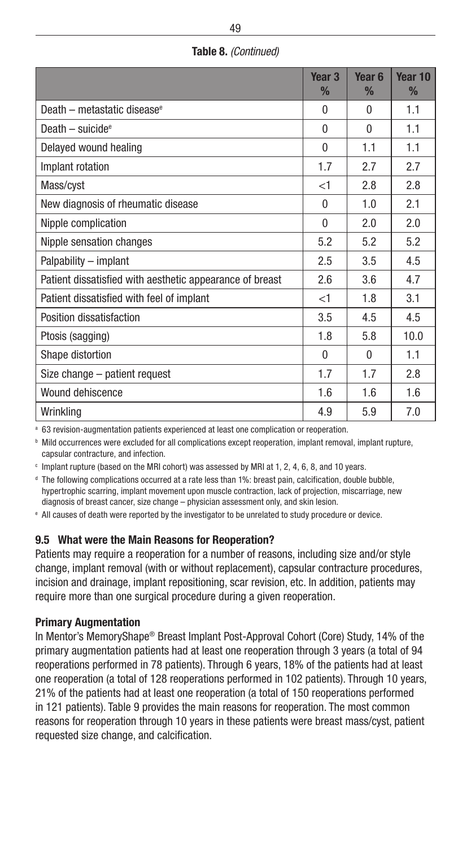### Table 8. *(Continued)*

|                                                          | Year <sub>3</sub><br>$\frac{0}{n}$ | Year <sub>6</sub><br>% | Year 10<br>% |
|----------------------------------------------------------|------------------------------------|------------------------|--------------|
| Death – metastatic disease <sup>e</sup>                  | 0                                  | 0                      | 1.1          |
| Death $-$ suicide <sup>e</sup>                           | $\Omega$                           | 0                      | 1.1          |
| Delayed wound healing                                    | $\Omega$                           | 1.1                    | 1.1          |
| Implant rotation                                         | 1.7                                | 2.7                    | 2.7          |
| Mass/cyst                                                | ا>                                 | 2.8                    | 2.8          |
| New diagnosis of rheumatic disease                       | $\Omega$                           | 1.0                    | 2.1          |
| Nipple complication                                      | $\Omega$                           | 2.0                    | 2.0          |
| Nipple sensation changes                                 | 5.2                                | 5.2                    | 5.2          |
| Palpability - implant                                    | 2.5                                | 3.5                    | 4.5          |
| Patient dissatisfied with aesthetic appearance of breast | 2.6                                | 3.6                    | 4.7          |
| Patient dissatisfied with feel of implant                | $<$ 1                              | 1.8                    | 3.1          |
| Position dissatisfaction                                 | 3.5                                | 4.5                    | 4.5          |
| Ptosis (sagging)                                         | 1.8                                | 5.8                    | 10.0         |
| Shape distortion                                         | $\Omega$                           | 0                      | 1.1          |
| Size change - patient request                            | 1.7                                | 1.7                    | 2.8          |
| Wound dehiscence                                         | 1.6                                | 1.6                    | 1.6          |
| Wrinkling                                                | 4.9                                | 5.9                    | 7.0          |

<sup>a</sup> 63 revision-augmentation patients experienced at least one complication or reoperation.

<sup>b</sup> Mild occurrences were excluded for all complications except reoperation, implant removal, implant rupture, capsular contracture, and infection.

<sup>c</sup> Implant rupture (based on the MRI cohort) was assessed by MRI at 1, 2, 4, 6, 8, and 10 years.

 $<sup>d</sup>$  The following complications occurred at a rate less than 1%; breast pain, calcification, double bubble,</sup> hypertrophic scarring, implant movement upon muscle contraction, lack of projection, miscarriage, new diagnosis of breast cancer, size change – physician assessment only, and skin lesion.

<sup>e</sup> All causes of death were reported by the investigator to be unrelated to study procedure or device.

#### 9.5 What were the Main Reasons for Reoperation?

Patients may require a reoperation for a number of reasons, including size and/or style change, implant removal (with or without replacement), capsular contracture procedures, incision and drainage, implant repositioning, scar revision, etc. In addition, patients may require more than one surgical procedure during a given reoperation.

#### Primary Augmentation

In Mentor's MemoryShape® Breast Implant Post-Approval Cohort (Core) Study, 14% of the primary augmentation patients had at least one reoperation through 3 years (a total of 94 reoperations performed in 78 patients). Through 6 years, 18% of the patients had at least one reoperation (a total of 128 reoperations performed in 102 patients). Through 10 years, 21% of the patients had at least one reoperation (a total of 150 reoperations performed in 121 patients). Table 9 provides the main reasons for reoperation. The most common reasons for reoperation through 10 years in these patients were breast mass/cyst, patient requested size change, and calcification.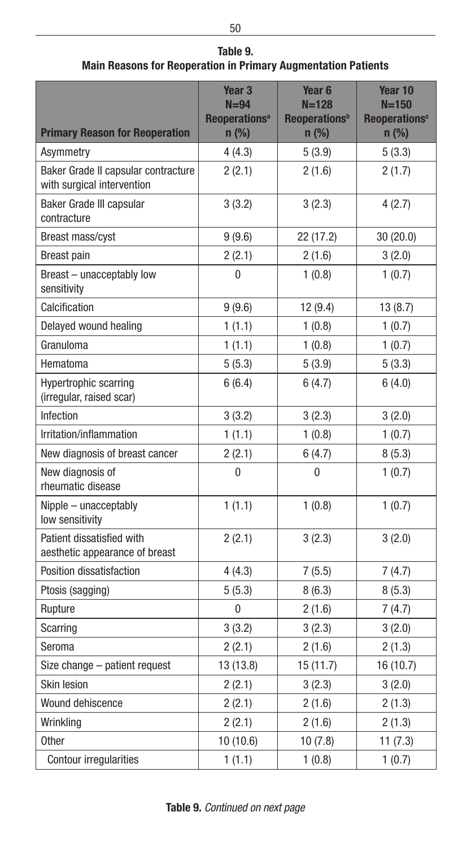| <b>Primary Reason for Reoperation</b>                             | Year <sub>3</sub><br>$N = 94$<br><b>Reoperations<sup>a</sup></b><br>$n$ (%) | Year <sub>6</sub><br>$N = 128$<br><b>Reoperations</b> <sup>b</sup><br>$n$ (%) | Year 10<br>$N = 150$<br><b>Reoperations<sup>c</sup></b><br>$n$ (%) |
|-------------------------------------------------------------------|-----------------------------------------------------------------------------|-------------------------------------------------------------------------------|--------------------------------------------------------------------|
| Asymmetry                                                         | 4(4.3)                                                                      | 5(3.9)                                                                        | 5(3.3)                                                             |
| Baker Grade II capsular contracture<br>with surgical intervention | 2(2.1)                                                                      | 2(1.6)                                                                        | 2(1.7)                                                             |
| Baker Grade III capsular<br>contracture                           | 3(3.2)                                                                      | 3(2.3)                                                                        | 4(2.7)                                                             |
| Breast mass/cyst                                                  | 9(9.6)                                                                      | 22 (17.2)                                                                     | 30(20.0)                                                           |
| Breast pain                                                       | 2(2.1)                                                                      | 2(1.6)                                                                        | 3(2.0)                                                             |
| Breast - unacceptably low<br>sensitivity                          | 0                                                                           | 1(0.8)                                                                        | 1(0.7)                                                             |
| Calcification                                                     | 9(9.6)                                                                      | 12(9.4)                                                                       | 13(8.7)                                                            |
| Delayed wound healing                                             | 1(1.1)                                                                      | 1(0.8)                                                                        | 1(0.7)                                                             |
| Granuloma                                                         | 1(1.1)                                                                      | 1(0.8)                                                                        | 1(0.7)                                                             |
| Hematoma                                                          | 5(5.3)                                                                      | 5(3.9)                                                                        | 5(3.3)                                                             |
| Hypertrophic scarring<br>(irregular, raised scar)                 | 6(6.4)                                                                      | 6(4.7)                                                                        | 6(4.0)                                                             |
| Infection                                                         | 3(3.2)                                                                      | 3(2.3)                                                                        | 3(2.0)                                                             |
| Irritation/inflammation                                           | 1(1.1)                                                                      | 1(0.8)                                                                        | 1(0.7)                                                             |
| New diagnosis of breast cancer                                    | 2(2.1)                                                                      | 6(4.7)                                                                        | 8(5.3)                                                             |
| New diagnosis of<br>rheumatic disease                             | 0                                                                           | 0                                                                             | 1(0.7)                                                             |
| Nipple - unacceptably<br>low sensitivity                          | 1(1.1)                                                                      | 1(0.8)                                                                        | 1(0.7)                                                             |
| Patient dissatisfied with<br>aesthetic appearance of breast       | 2(2.1)                                                                      | 3(2.3)                                                                        | 3(2.0)                                                             |
| Position dissatisfaction                                          | 4(4.3)                                                                      | 7(5.5)                                                                        | 7(4.7)                                                             |
| Ptosis (sagging)                                                  | 5(5.3)                                                                      | 8(6.3)                                                                        | 8(5.3)                                                             |
| Rupture                                                           | $\mathbf{0}$                                                                | 2(1.6)                                                                        | 7(4.7)                                                             |
| Scarring                                                          | 3(3.2)                                                                      | 3(2.3)                                                                        | 3(2.0)                                                             |
| Seroma                                                            | 2(2.1)                                                                      | 2(1.6)                                                                        | 2(1.3)                                                             |
| Size change - patient request                                     | 13 (13.8)                                                                   | 15 (11.7)                                                                     | 16 (10.7)                                                          |
| Skin lesion                                                       | 2(2.1)                                                                      | 3(2.3)                                                                        | 3(2.0)                                                             |
| Wound dehiscence                                                  | 2(2.1)                                                                      | 2(1.6)                                                                        | 2(1.3)                                                             |
| Wrinkling                                                         | 2(2.1)                                                                      | 2(1.6)                                                                        | 2(1.3)                                                             |
| <b>Other</b>                                                      | 10(10.6)                                                                    | 10(7.8)                                                                       | 11(7.3)                                                            |
| Contour irregularities                                            | 1(1.1)                                                                      | 1(0.8)                                                                        | 1(0.7)                                                             |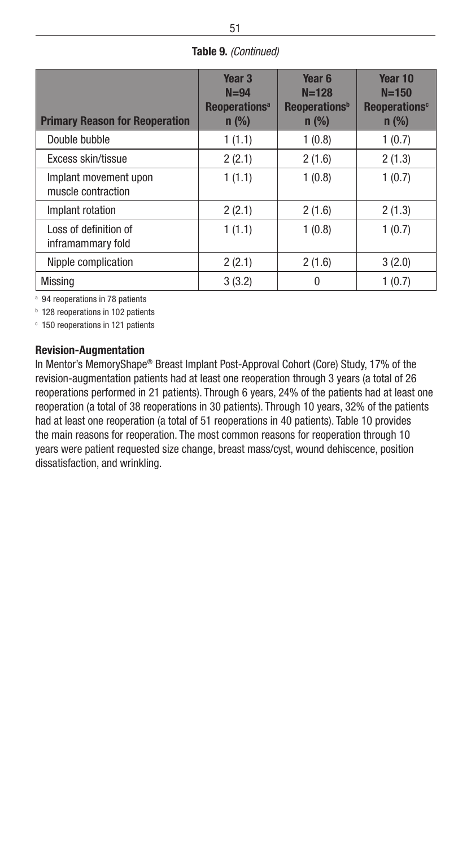| <b>Primary Reason for Reoperation</b>       | Year 3<br>$N = 94$<br><b>Reoperations<sup>a</sup></b><br>$n$ (%) | Year 6<br>$N = 128$<br><b>Reoperations</b> <sup>b</sup><br>$n$ (%) | Year 10<br>$N = 150$<br><b>Reoperations</b> <sup>c</sup><br>$n$ (%) |
|---------------------------------------------|------------------------------------------------------------------|--------------------------------------------------------------------|---------------------------------------------------------------------|
| Double bubble                               | 1(1.1)                                                           | 1(0.8)                                                             | 1(0.7)                                                              |
| Excess skin/tissue                          | 2(2.1)                                                           | 2(1.6)                                                             | 2(1.3)                                                              |
| Implant movement upon<br>muscle contraction | 1(1.1)                                                           | 1(0.8)                                                             | 1(0.7)                                                              |
| Implant rotation                            | 2(2.1)                                                           | 2(1.6)                                                             | 2(1.3)                                                              |
| Loss of definition of<br>inframammary fold  | 1(1.1)                                                           | 1(0.8)                                                             | 1(0.7)                                                              |
| Nipple complication                         | 2(2.1)                                                           | 2(1.6)                                                             | 3(2.0)                                                              |
| <b>Missing</b>                              | 3(3.2)                                                           | 0                                                                  | 1(0.7)                                                              |

#### Table 9. *(Continued)*

<sup>a</sup> 94 reoperations in 78 patients

**b** 128 reoperations in 102 patients

<sup>c</sup> 150 reoperations in 121 patients

#### Revision-Augmentation

In Mentor's MemoryShape® Breast Implant Post-Approval Cohort (Core) Study, 17% of the revision-augmentation patients had at least one reoperation through 3 years (a total of 26 reoperations performed in 21 patients). Through 6 years, 24% of the patients had at least one reoperation (a total of 38 reoperations in 30 patients). Through 10 years, 32% of the patients had at least one reoperation (a total of 51 reoperations in 40 patients). Table 10 provides the main reasons for reoperation. The most common reasons for reoperation through 10 years were patient requested size change, breast mass/cyst, wound dehiscence, position dissatisfaction, and wrinkling.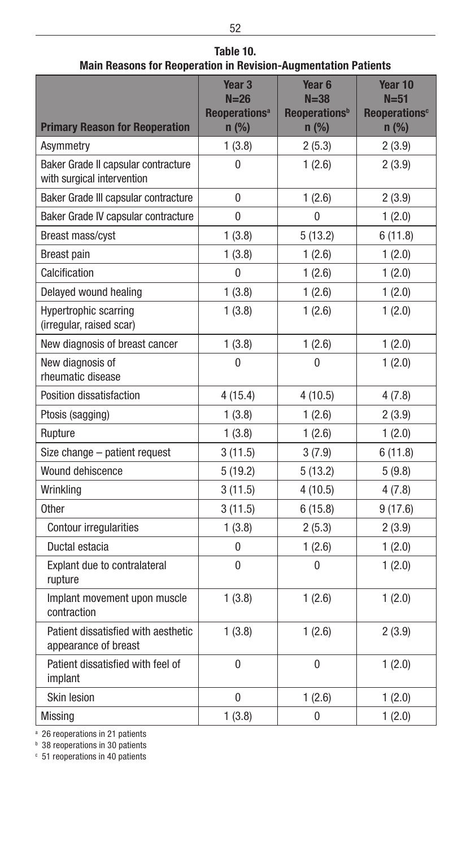| <b>Primary Reason for Reoperation</b>                             | Year <sub>3</sub><br>$N=26$<br><b>Reoperations<sup>a</sup></b> | Year 6<br>$N = 38$<br><b>Reoperations</b> <sup>b</sup> | Year 10<br>$N = 51$<br><b>Reoperations<sup>c</sup></b> |
|-------------------------------------------------------------------|----------------------------------------------------------------|--------------------------------------------------------|--------------------------------------------------------|
|                                                                   | $n$ (%)                                                        | n(%)                                                   | $n$ (%)                                                |
| Asymmetry                                                         | 1(3.8)                                                         | 2(5.3)                                                 | 2(3.9)                                                 |
| Baker Grade II capsular contracture<br>with surgical intervention | 0                                                              | 1(2.6)                                                 | 2(3.9)                                                 |
| Baker Grade III capsular contracture                              | 0                                                              | 1(2.6)                                                 | 2(3.9)                                                 |
| Baker Grade IV capsular contracture                               | $\Omega$                                                       | $\Omega$                                               | 1(2.0)                                                 |
| Breast mass/cyst                                                  | 1(3.8)                                                         | 5(13.2)                                                | 6(11.8)                                                |
| <b>Breast pain</b>                                                | 1(3.8)                                                         | 1(2.6)                                                 | 1(2.0)                                                 |
| Calcification                                                     | $\overline{0}$                                                 | 1(2.6)                                                 | 1(2.0)                                                 |
| Delayed wound healing                                             | 1(3.8)                                                         | 1(2.6)                                                 | 1(2.0)                                                 |
| Hypertrophic scarring<br>(irregular, raised scar)                 | 1(3.8)                                                         | 1(2.6)                                                 | 1(2.0)                                                 |
| New diagnosis of breast cancer                                    | 1(3.8)                                                         | 1(2.6)                                                 | 1(2.0)                                                 |
| New diagnosis of<br>rheumatic disease                             | 0                                                              | 0                                                      | 1(2.0)                                                 |
| Position dissatisfaction                                          | 4(15.4)                                                        | 4(10.5)                                                | 4(7.8)                                                 |
| Ptosis (sagging)                                                  | 1(3.8)                                                         | 1(2.6)                                                 | 2(3.9)                                                 |
| Rupture                                                           | 1(3.8)                                                         | 1(2.6)                                                 | 1(2.0)                                                 |
| Size change - patient request                                     | 3(11.5)                                                        | 3(7.9)                                                 | 6(11.8)                                                |
| Wound dehiscence                                                  | 5(19.2)                                                        | 5(13.2)                                                | 5(9.8)                                                 |
| Wrinkling                                                         | 3(11.5)                                                        | 4(10.5)                                                | 4(7.8)                                                 |
| <b>Other</b>                                                      | 3(11.5)                                                        | 6(15.8)                                                | 9(17.6)                                                |
| Contour irregularities                                            | 1(3.8)                                                         | 2(5.3)                                                 | 2(3.9)                                                 |
| Ductal estacia                                                    | $\overline{0}$                                                 | 1(2.6)                                                 | 1(2.0)                                                 |
| Explant due to contralateral<br>rupture                           | $\overline{0}$                                                 | 0                                                      | 1(2.0)                                                 |
| Implant movement upon muscle<br>contraction                       | 1(3.8)                                                         | 1(2.6)                                                 | 1(2.0)                                                 |
| Patient dissatisfied with aesthetic<br>appearance of breast       | 1(3.8)                                                         | 1(2.6)                                                 | 2(3.9)                                                 |
| Patient dissatisfied with feel of<br>implant                      | 0                                                              | 0                                                      | 1(2.0)                                                 |
| Skin lesion                                                       | 0                                                              | 1(2.6)                                                 | 1(2.0)                                                 |
| Missing                                                           | 1(3.8)                                                         | 0                                                      | 1(2.0)                                                 |

Table 10. Main Reasons for Reoperation in Revision-Augmentation Patients

<sup>a</sup> 26 reoperations in 21 patients

**b** 38 reoperations in 30 patients

 $\,^{\circ}$  51 reoperations in 40 patients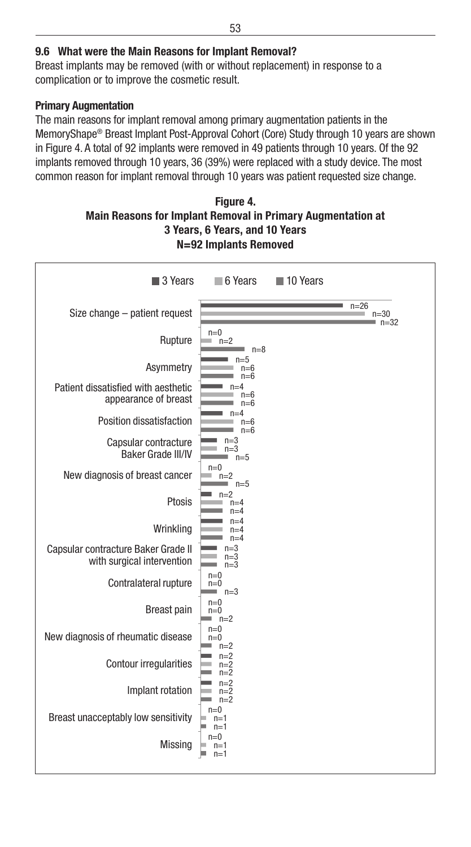### 9.6 What were the Main Reasons for Implant Removal?

Breast implants may be removed (with or without replacement) in response to a complication or to improve the cosmetic result.

#### Primary Augmentation

The main reasons for implant removal among primary augmentation patients in the MemoryShape® Breast Implant Post-Approval Cohort (Core) Study through 10 years are shown in Figure 4. A total of 92 implants were removed in 49 patients through 10 years. Of the 92 implants removed through 10 years, 36 (39%) were replaced with a study device. The most common reason for implant removal through 10 years was patient requested size change.

#### Figure 4. Main Reasons for Implant Removal in Primary Augmentation at 3 Years, 6 Years, and 10 Years N=92 Implants Removed

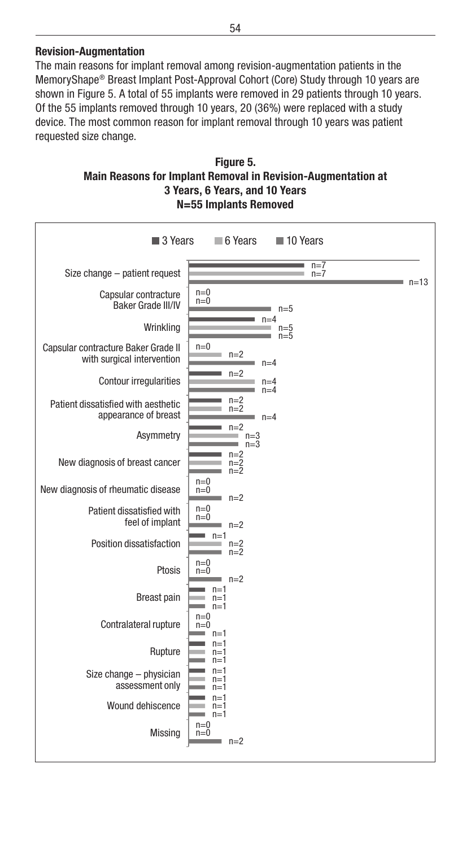### Revision-Augmentation

The main reasons for implant removal among revision-augmentation patients in the MemoryShape® Breast Implant Post-Approval Cohort (Core) Study through 10 years are shown in Figure 5. A total of 55 implants were removed in 29 patients through 10 years. Of the 55 implants removed through 10 years, 20 (36%) were replaced with a study device. The most common reason for implant removal through 10 years was patient requested size change.

#### Figure 5. Main Reasons for Implant Removal in Revision-Augmentation at 3 Years, 6 Years, and 10 Years N=55 Implants Removed

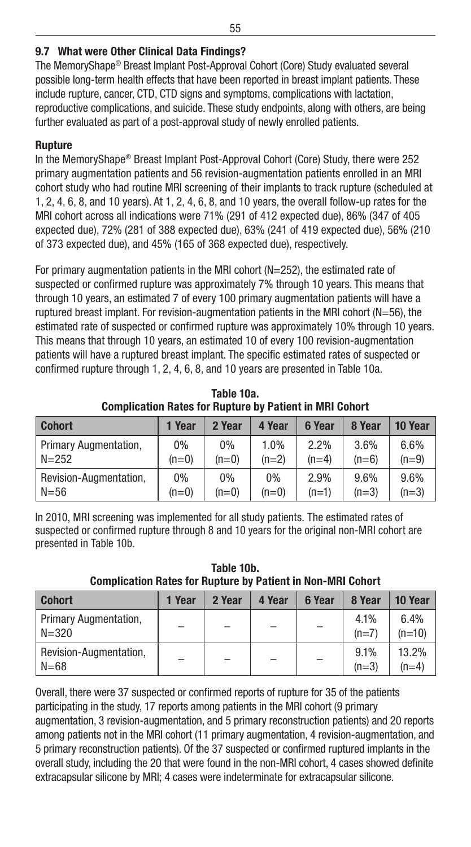# 9.7 What were Other Clinical Data Findings?

The MemoryShape® Breast Implant Post-Approval Cohort (Core) Study evaluated several possible long-term health effects that have been reported in breast implant patients. These include rupture, cancer, CTD, CTD signs and symptoms, complications with lactation, reproductive complications, and suicide. These study endpoints, along with others, are being further evaluated as part of a post-approval study of newly enrolled patients.

### Rupture

In the MemoryShape® Breast Implant Post-Approval Cohort (Core) Study, there were 252 primary augmentation patients and 56 revision-augmentation patients enrolled in an MRI cohort study who had routine MRI screening of their implants to track rupture (scheduled at 1, 2, 4, 6, 8, and 10 years). At 1, 2, 4, 6, 8, and 10 years, the overall follow-up rates for the MRI cohort across all indications were 71% (291 of 412 expected due), 86% (347 of 405 expected due), 72% (281 of 388 expected due), 63% (241 of 419 expected due), 56% (210 of 373 expected due), and 45% (165 of 368 expected due), respectively.

For primary augmentation patients in the MRI cohort (N=252), the estimated rate of suspected or confirmed rupture was approximately 7% through 10 years. This means that through 10 years, an estimated 7 of every 100 primary augmentation patients will have a ruptured breast implant. For revision-augmentation patients in the MRI cohort  $(N=56)$ , the estimated rate of suspected or confirmed rupture was approximately 10% through 10 years. This means that through 10 years, an estimated 10 of every 100 revision-augmentation patients will have a ruptured breast implant. The specific estimated rates of suspected or confirmed rupture through 1, 2, 4, 6, 8, and 10 years are presented in Table 10a.

| Table 10a.                                                     |  |  |  |  |  |
|----------------------------------------------------------------|--|--|--|--|--|
| <b>Complication Rates for Rupture by Patient in MRI Cohort</b> |  |  |  |  |  |
|                                                                |  |  |  |  |  |

| <b>Cohort</b>                | 1 Year  | 2 Year  | 4 Year  | 6 Year  | 8 Year  | 10 Year |
|------------------------------|---------|---------|---------|---------|---------|---------|
| <b>Primary Augmentation,</b> | $0\%$   | $0\%$   | 1.0%    | 2.2%    | 3.6%    | 6.6%    |
| $N = 252$                    | $(n=0)$ | $(n=0)$ | $(n=2)$ | $(n=4)$ | $(n=6)$ | $(n=9)$ |
| Revision-Augmentation,       | $0\%$   | 0%      | $0\%$   | 2.9%    | 9.6%    | 9.6%    |
| $N = 56$                     | $(n=0)$ | $(n=0)$ | $(n=0)$ | $(n=1)$ | $(n=3)$ | $(n=3)$ |

In 2010, MRI screening was implemented for all study patients. The estimated rates of suspected or confirmed rupture through 8 and 10 years for the original non-MRI cohort are presented in Table 10b.

Table 10b. Complication Rates for Rupture by Patient in Non-MRI Cohort

| <b>Cohort</b>                             | 1 Year | 2 Year | 4 Year | 6 Year | 8 Year          | 10 Year          |
|-------------------------------------------|--------|--------|--------|--------|-----------------|------------------|
| <b>Primary Augmentation,</b><br>$N = 320$ |        |        |        |        | 4.1%<br>$(n=7)$ | 6.4%<br>$(n=10)$ |
| Revision-Augmentation,<br>$N = 68$        |        |        |        |        | 9.1%<br>$(n=3)$ | 13.2%<br>$(n=4)$ |

Overall, there were 37 suspected or confirmed reports of rupture for 35 of the patients participating in the study, 17 reports among patients in the MRI cohort (9 primary augmentation, 3 revision-augmentation, and 5 primary reconstruction patients) and 20 reports among patients not in the MRI cohort (11 primary augmentation, 4 revision-augmentation, and 5 primary reconstruction patients). Of the 37 suspected or confirmed ruptured implants in the overall study, including the 20 that were found in the non-MRI cohort, 4 cases showed definite extracapsular silicone by MRI; 4 cases were indeterminate for extracapsular silicone.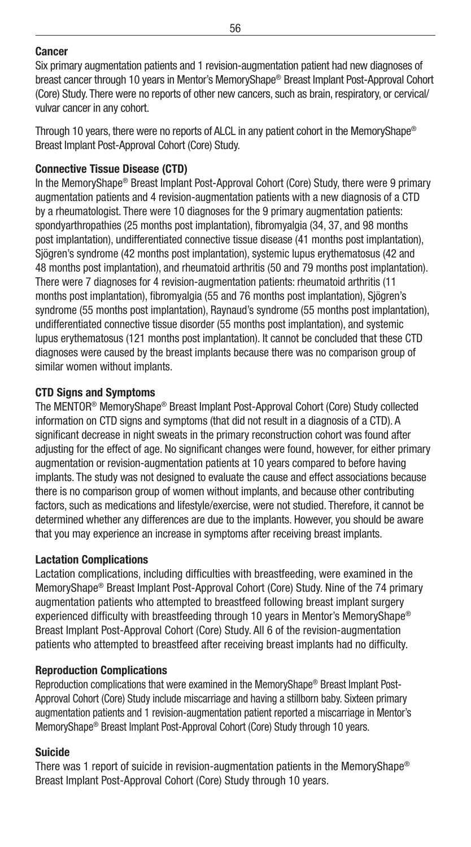### Cancer

Six primary augmentation patients and 1 revision-augmentation patient had new diagnoses of breast cancer through 10 years in Mentor's MemoryShape® Breast Implant Post-Approval Cohort (Core) Study. There were no reports of other new cancers, such as brain, respiratory, or cervical/ vulvar cancer in any cohort.

Through 10 years, there were no reports of ALCL in any patient cohort in the MemoryShape® Breast Implant Post-Approval Cohort (Core) Study.

#### Connective Tissue Disease (CTD)

In the MemoryShape® Breast Implant Post-Approval Cohort (Core) Study, there were 9 primary augmentation patients and 4 revision-augmentation patients with a new diagnosis of a CTD by a rheumatologist. There were 10 diagnoses for the 9 primary augmentation patients: spondyarthropathies (25 months post implantation), fibromyalgia (34, 37, and 98 months post implantation), undifferentiated connective tissue disease (41 months post implantation), Sjögren's syndrome (42 months post implantation), systemic lupus erythematosus (42 and 48 months post implantation), and rheumatoid arthritis (50 and 79 months post implantation). There were 7 diagnoses for 4 revision-augmentation patients: rheumatoid arthritis (11 months post implantation), fibromyalgia (55 and 76 months post implantation), Sjögren's syndrome (55 months post implantation), Raynaud's syndrome (55 months post implantation), undifferentiated connective tissue disorder (55 months post implantation), and systemic lupus erythematosus (121 months post implantation). It cannot be concluded that these CTD diagnoses were caused by the breast implants because there was no comparison group of similar women without implants.

### CTD Signs and Symptoms

The MENTOR® MemoryShape® Breast Implant Post-Approval Cohort (Core) Study collected information on CTD signs and symptoms (that did not result in a diagnosis of a CTD). A significant decrease in night sweats in the primary reconstruction cohort was found after adjusting for the effect of age. No significant changes were found, however, for either primary augmentation or revision-augmentation patients at 10 years compared to before having implants. The study was not designed to evaluate the cause and effect associations because there is no comparison group of women without implants, and because other contributing factors, such as medications and lifestyle/exercise, were not studied. Therefore, it cannot be determined whether any differences are due to the implants. However, you should be aware that you may experience an increase in symptoms after receiving breast implants.

#### Lactation Complications

Lactation complications, including difficulties with breastfeeding, were examined in the MemoryShape® Breast Implant Post-Approval Cohort (Core) Study. Nine of the 74 primary augmentation patients who attempted to breastfeed following breast implant surgery experienced difficulty with breastfeeding through 10 years in Mentor's MemoryShape® Breast Implant Post-Approval Cohort (Core) Study. All 6 of the revision-augmentation patients who attempted to breastfeed after receiving breast implants had no difficulty.

#### Reproduction Complications

Reproduction complications that were examined in the MemoryShape® Breast Implant Post-Approval Cohort (Core) Study include miscarriage and having a stillborn baby. Sixteen primary augmentation patients and 1 revision-augmentation patient reported a miscarriage in Mentor's MemoryShape® Breast Implant Post-Approval Cohort (Core) Study through 10 years.

#### Suicide

There was 1 report of suicide in revision-augmentation patients in the MemoryShape® Breast Implant Post-Approval Cohort (Core) Study through 10 years.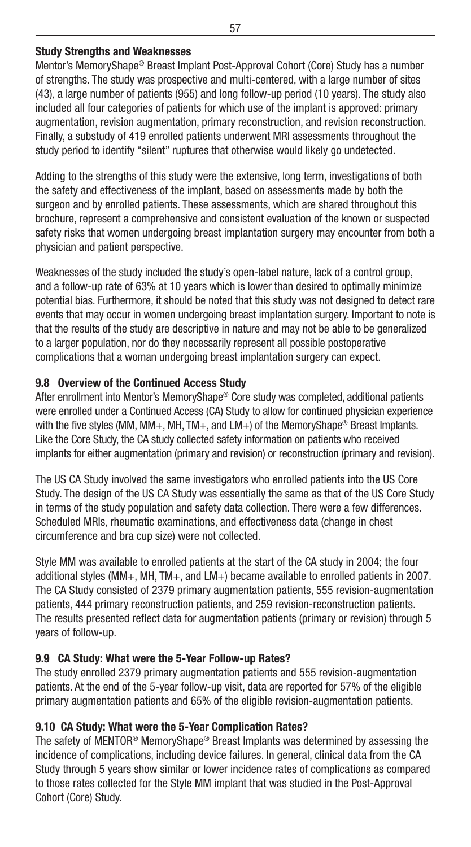### Study Strengths and Weaknesses

Mentor's MemoryShape® Breast Implant Post-Approval Cohort (Core) Study has a number of strengths. The study was prospective and multi-centered, with a large number of sites (43), a large number of patients (955) and long follow-up period (10 years). The study also included all four categories of patients for which use of the implant is approved: primary augmentation, revision augmentation, primary reconstruction, and revision reconstruction. Finally, a substudy of 419 enrolled patients underwent MRI assessments throughout the study period to identify "silent" ruptures that otherwise would likely go undetected.

Adding to the strengths of this study were the extensive, long term, investigations of both the safety and effectiveness of the implant, based on assessments made by both the surgeon and by enrolled patients. These assessments, which are shared throughout this brochure, represent a comprehensive and consistent evaluation of the known or suspected safety risks that women undergoing breast implantation surgery may encounter from both a physician and patient perspective.

Weaknesses of the study included the study's open-label nature, lack of a control group, and a follow-up rate of 63% at 10 years which is lower than desired to optimally minimize potential bias. Furthermore, it should be noted that this study was not designed to detect rare events that may occur in women undergoing breast implantation surgery. Important to note is that the results of the study are descriptive in nature and may not be able to be generalized to a larger population, nor do they necessarily represent all possible postoperative complications that a woman undergoing breast implantation surgery can expect.

### 9.8 Overview of the Continued Access Study

After enrollment into Mentor's MemoryShape® Core study was completed, additional patients were enrolled under a Continued Access (CA) Study to allow for continued physician experience with the five styles (MM, MM+, MH, TM+, and LM+) of the MemoryShape<sup>®</sup> Breast Implants. Like the Core Study, the CA study collected safety information on patients who received implants for either augmentation (primary and revision) or reconstruction (primary and revision).

The US CA Study involved the same investigators who enrolled patients into the US Core Study. The design of the US CA Study was essentially the same as that of the US Core Study in terms of the study population and safety data collection. There were a few differences. Scheduled MRIs, rheumatic examinations, and effectiveness data (change in chest circumference and bra cup size) were not collected.

Style MM was available to enrolled patients at the start of the CA study in 2004; the four additional styles (MM+, MH, TM+, and LM+) became available to enrolled patients in 2007. The CA Study consisted of 2379 primary augmentation patients, 555 revision-augmentation patients, 444 primary reconstruction patients, and 259 revision-reconstruction patients. The results presented reflect data for augmentation patients (primary or revision) through 5 years of follow-up.

# 9.9 CA Study: What were the 5-Year Follow-up Rates?

The study enrolled 2379 primary augmentation patients and 555 revision-augmentation patients. At the end of the 5-year follow-up visit, data are reported for 57% of the eligible primary augmentation patients and 65% of the eligible revision-augmentation patients.

# 9.10 CA Study: What were the 5-Year Complication Rates?

The safety of MENTOR® MemoryShape® Breast Implants was determined by assessing the incidence of complications, including device failures. In general, clinical data from the CA Study through 5 years show similar or lower incidence rates of complications as compared to those rates collected for the Style MM implant that was studied in the Post-Approval Cohort (Core) Study.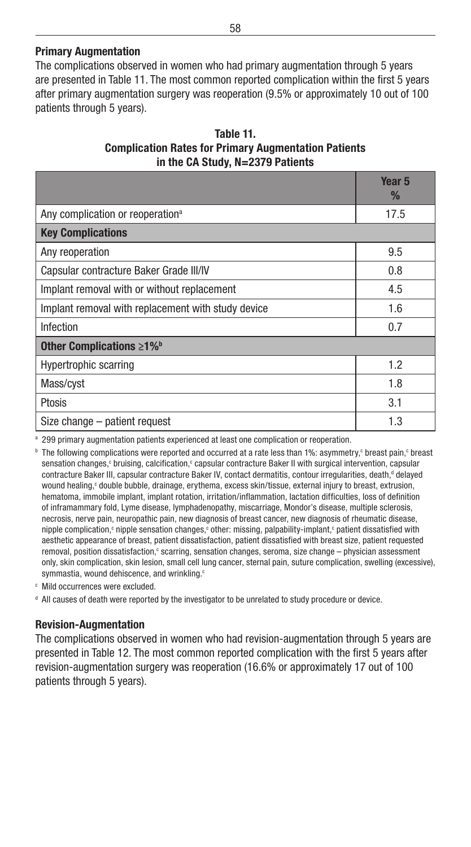#### Primary Augmentation

The complications observed in women who had primary augmentation through 5 years are presented in Table 11. The most common reported complication within the first 5 years after primary augmentation surgery was reoperation (9.5% or approximately 10 out of 100 patients through 5 years).

| $\frac{1}{111}$ the original state $\frac{1}{11}$ at $\frac{1}{11}$ |             |
|---------------------------------------------------------------------|-------------|
|                                                                     | Year 5<br>% |
| Any complication or reoperation <sup>a</sup>                        | 17.5        |
| <b>Key Complications</b>                                            |             |
| Any reoperation                                                     | 9.5         |
| Capsular contracture Baker Grade III/IV                             | 0.8         |
| Implant removal with or without replacement                         | 4.5         |
| Implant removal with replacement with study device                  | 1.6         |
| Infection                                                           | 0.7         |
| Other Complications $\geq 1\%$ <sup>b</sup>                         |             |
| Hypertrophic scarring                                               | 1.2         |
| Mass/cyst                                                           | 1.8         |
| Ptosis                                                              | 3.1         |
| Size change – patient request                                       | 1.3         |

Table 11. Complication Rates for Primary Augmentation Patients in the CA Study, N=2379 Patients

299 primary augmentation patients experienced at least one complication or reoperation.

 $^{\rm b}$  The following complications were reported and occurred at a rate less than 1%: asymmetry, $^{\rm c}$  breast pain, $^{\rm c}$  breast sensation changes, $^{\rm c}$  bruising, calcification, $^{\rm c}$  capsular contracture Baker II with surgical intervention, capsular contracture Baker III, capsular contracture Baker IV, contact dermatitis, contour irregularities, death,<sup>d</sup> delayed wound healing,<sup>c</sup> double bubble, drainage, erythema, excess skin/tissue, external injury to breast, extrusion, hematoma, immobile implant, implant rotation, irritation/inflammation, lactation difficulties, loss of definition of inframammary fold, Lyme disease, lymphadenopathy, miscarriage, Mondor's disease, multiple sclerosis, necrosis, nerve pain, neuropathic pain, new diagnosis of breast cancer, new diagnosis of rheumatic disease, nipple complication,<sup>c</sup> nipple sensation changes,<sup>c</sup> other: missing, palpability-implant,<sup>c</sup> patient dissatisfied with aesthetic appearance of breast, patient dissatisfaction, patient dissatisfied with breast size, patient requested removal, position dissatisfaction,<sup>c</sup> scarring, sensation changes, seroma, size change – physician assessment only, skin complication, skin lesion, small cell lung cancer, sternal pain, suture complication, swelling (excessive), symmastia, wound dehiscence, and wrinkling.<sup>c</sup>

<sup>c</sup> Mild occurrences were excluded.

<sup>d</sup> All causes of death were reported by the investigator to be unrelated to study procedure or device.

#### Revision-Augmentation

The complications observed in women who had revision-augmentation through 5 years are presented in Table 12. The most common reported complication with the first 5 years after revision-augmentation surgery was reoperation (16.6% or approximately 17 out of 100 patients through 5 years).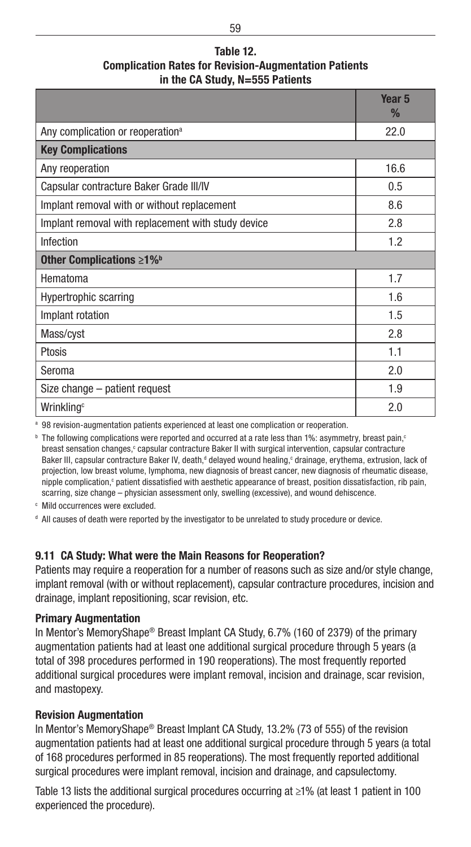#### Table 12. Complication Rates for Revision-Augmentation Patients in the CA Study, N=555 Patients

|                                                    | Year <sub>5</sub><br>$\%$ |
|----------------------------------------------------|---------------------------|
| Any complication or reoperation <sup>a</sup>       | 22.0                      |
| <b>Key Complications</b>                           |                           |
| Any reoperation                                    | 16.6                      |
| Capsular contracture Baker Grade III/IV            | 0.5                       |
| Implant removal with or without replacement        | 8.6                       |
| Implant removal with replacement with study device | 2.8                       |
| Infection                                          | 1.2                       |
| Other Complications $\geq 1\%$ <sup>b</sup>        |                           |
| Hematoma                                           | 1.7                       |
| Hypertrophic scarring                              | 1.6                       |
| Implant rotation                                   | 1.5                       |
| Mass/cyst                                          | 2.8                       |
| Ptosis                                             | 1.1                       |
| Seroma                                             | 2.0                       |
| Size change – patient request                      | 1.9                       |
| Wrinkling <sup>c</sup>                             | 2.0                       |

<sup>a</sup> 98 revision-augmentation patients experienced at least one complication or reoperation.

 $\overline{b}$  The following complications were reported and occurred at a rate less than 1%: asymmetry, breast pain, breast sensation changes,<sup>c</sup> capsular contracture Baker II with surgical intervention, capsular contracture Baker III, capsular contracture Baker IV, death,<sup>d</sup> delayed wound healing,<sup>c</sup> drainage, erythema, extrusion, lack of projection, low breast volume, lymphoma, new diagnosis of breast cancer, new diagnosis of rheumatic disease, nipple complication,<sup>c</sup> patient dissatisfied with aesthetic appearance of breast, position dissatisfaction, rib pain, scarring, size change – physician assessment only, swelling (excessive), and wound dehiscence.

<sup>c</sup> Mild occurrences were excluded.

<sup>d</sup> All causes of death were reported by the investigator to be unrelated to study procedure or device.

### 9.11 CA Study: What were the Main Reasons for Reoperation?

Patients may require a reoperation for a number of reasons such as size and/or style change, implant removal (with or without replacement), capsular contracture procedures, incision and drainage, implant repositioning, scar revision, etc.

#### Primary Augmentation

In Mentor's MemoryShape® Breast Implant CA Study, 6.7% (160 of 2379) of the primary augmentation patients had at least one additional surgical procedure through 5 years (a total of 398 procedures performed in 190 reoperations). The most frequently reported additional surgical procedures were implant removal, incision and drainage, scar revision, and mastopexy.

#### Revision Augmentation

In Mentor's MemoryShape® Breast Implant CA Study, 13.2% (73 of 555) of the revision augmentation patients had at least one additional surgical procedure through 5 years (a total of 168 procedures performed in 85 reoperations). The most frequently reported additional surgical procedures were implant removal, incision and drainage, and capsulectomy.

Table 13 lists the additional surgical procedures occurring at ≥1% (at least 1 patient in 100 experienced the procedure).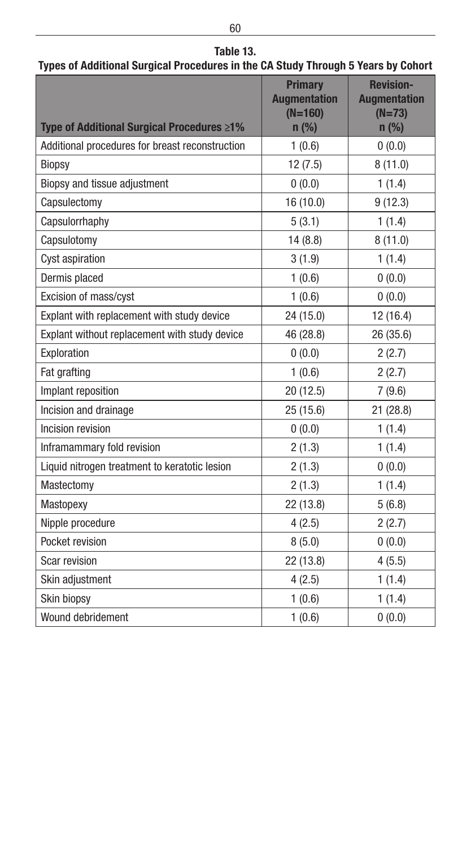| Type of Additional Surgical Procedures ≥1%      | <b>Primary</b><br><b>Augmentation</b><br>$(N=160)$<br>$n$ (%) | <b>Revision-</b><br><b>Augmentation</b><br>$(N=73)$<br>$n$ (%) |
|-------------------------------------------------|---------------------------------------------------------------|----------------------------------------------------------------|
| Additional procedures for breast reconstruction | 1(0.6)                                                        | 0(0.0)                                                         |
| <b>Biopsy</b>                                   | 12(7.5)                                                       | 8(11.0)                                                        |
| Biopsy and tissue adjustment                    | 0(0.0)                                                        | 1(1.4)                                                         |
| Capsulectomy                                    | 16 (10.0)                                                     | 9(12.3)                                                        |
| Capsulorrhaphy                                  | 5(3.1)                                                        | 1(1.4)                                                         |
| Capsulotomy                                     | 14(8.8)                                                       | 8(11.0)                                                        |
| Cyst aspiration                                 | 3(1.9)                                                        | 1(1.4)                                                         |
| Dermis placed                                   | 1(0.6)                                                        | 0(0.0)                                                         |
| Excision of mass/cyst                           | 1(0.6)                                                        | 0(0.0)                                                         |
| Explant with replacement with study device      | 24 (15.0)                                                     | 12 (16.4)                                                      |
| Explant without replacement with study device   | 46 (28.8)                                                     | 26 (35.6)                                                      |
| Exploration                                     | 0(0.0)                                                        | 2(2.7)                                                         |
| Fat grafting                                    | 1(0.6)                                                        | 2(2.7)                                                         |
| Implant reposition                              | 20 (12.5)                                                     | 7(9.6)                                                         |
| Incision and drainage                           | 25(15.6)                                                      | 21 (28.8)                                                      |
| Incision revision                               | 0(0.0)                                                        | 1(1.4)                                                         |
| Inframammary fold revision                      | 2(1.3)                                                        | 1(1.4)                                                         |
| Liquid nitrogen treatment to keratotic lesion   | 2(1.3)                                                        | 0(0.0)                                                         |
| Mastectomy                                      | 2(1.3)                                                        | 1(1.4)                                                         |
| Mastopexy                                       | 22 (13.8)                                                     | 5(6.8)                                                         |
| Nipple procedure                                | 4(2.5)                                                        | 2(2.7)                                                         |
| Pocket revision                                 | 8(5.0)                                                        | 0(0.0)                                                         |
| <b>Scar revision</b>                            | 22 (13.8)                                                     | 4(5.5)                                                         |
| Skin adjustment                                 | 4(2.5)                                                        | 1(1.4)                                                         |
| Skin biopsy                                     | 1(0.6)                                                        | 1(1.4)                                                         |
| Wound debridement                               | 1(0.6)                                                        | 0(0.0)                                                         |

Table 13. Types of Additional Surgical Procedures in the CA Study Through 5 Years by Cohort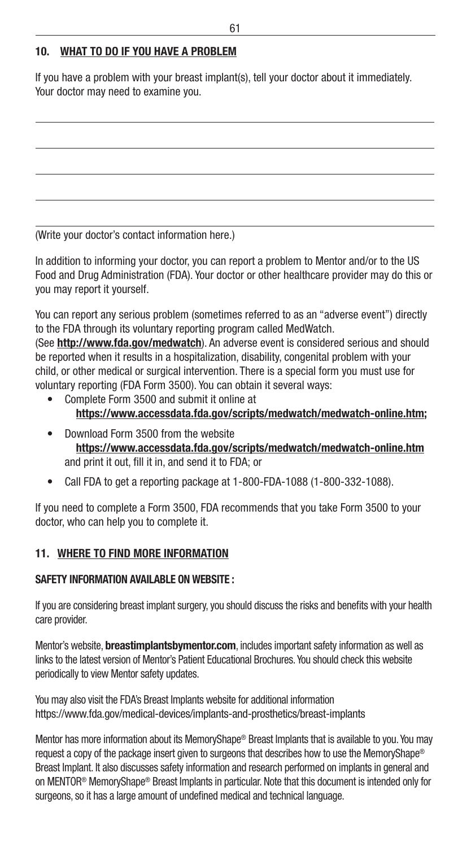# 10. WHAT TO DO IF YOU HAVE A PROBLEM

If you have a problem with your breast implant(s), tell your doctor about it immediately. Your doctor may need to examine you.

(Write your doctor's contact information here.)

In addition to informing your doctor, you can report a problem to Mentor and/or to the US Food and Drug Administration (FDA). Your doctor or other healthcare provider may do this or you may report it yourself.

You can report any serious problem (sometimes referred to as an "adverse event") directly to the FDA through its voluntary reporting program called MedWatch.

(See http://www.fda.gov/medwatch). An adverse event is considered serious and should be reported when it results in a hospitalization, disability, congenital problem with your child, or other medical or surgical intervention. There is a special form you must use for voluntary reporting (FDA Form 3500). You can obtain it several ways:

- Complete Form 3500 and submit it online at https://www.accessdata.fda.gov/scripts/medwatch/medwatch-online.htm;
- Download Form 3500 from the website https://www.accessdata.fda.gov/scripts/medwatch/medwatch-online.htm and print it out, fill it in, and send it to FDA; or
- Call FDA to get a reporting package at 1-800-FDA-1088 (1-800-332-1088).

If you need to complete a Form 3500, FDA recommends that you take Form 3500 to your doctor, who can help you to complete it.

# 11. WHERE TO FIND MORE INFORMATION

# SAFETY INFORMATION AVAILABLE ON WEBSITE :

If you are considering breast implant surgery, you should discuss the risks and benefits with your health care provider.

Mentor's website, **breastimplantsbymentor.com**, includes important safety information as well as links to the latest version of Mentor's Patient Educational Brochures. You should check this website periodically to view Mentor safety updates.

You may also visit the FDA's Breast Implants website for additional information https://www.fda.gov/medical-devices/implants-and-prosthetics/breast-implants

Mentor has more information about its MemoryShape® Breast Implants that is available to you. You may request a copy of the package insert given to surgeons that describes how to use the MemoryShape® Breast Implant. It also discusses safety information and research performed on implants in general and on MENTOR® MemoryShape® Breast Implants in particular. Note that this document is intended only for surgeons, so it has a large amount of undefined medical and technical language.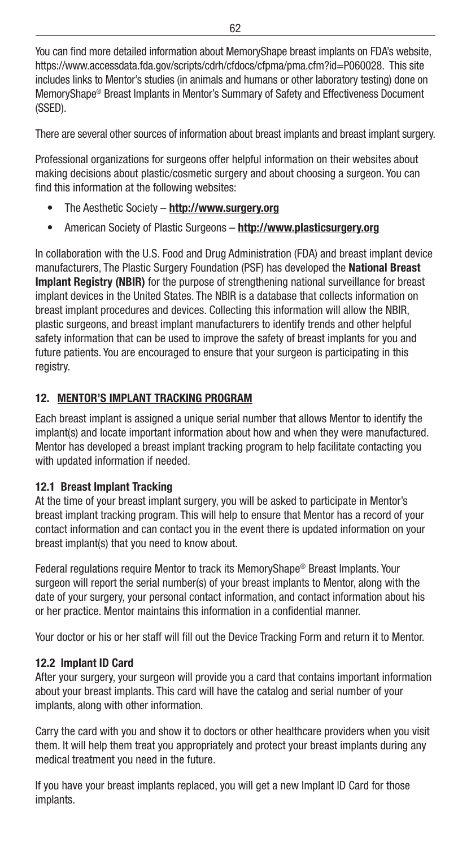You can find more detailed information about MemoryShape breast implants on FDA's website, https://www.accessdata.fda.gov/scripts/cdrh/cfdocs/cfpma/pma.cfm?id=P060028. This site includes links to Mentor's studies (in animals and humans or other laboratory testing) done on MemoryShape® Breast Implants in Mentor's Summary of Safety and Effectiveness Document (SSED).

There are several other sources of information about breast implants and breast implant surgery.

Professional organizations for surgeons offer helpful information on their websites about making decisions about plastic/cosmetic surgery and about choosing a surgeon. You can find this information at the following websites:

- The Aesthetic Society http://www.surgery.org
- American Society of Plastic Surgeons http://www.plasticsurgery.org

In collaboration with the U.S. Food and Drug Administration (FDA) and breast implant device manufacturers, The Plastic Surgery Foundation (PSF) has developed the **National Breast** Implant Registry (NBIR) for the purpose of strengthening national surveillance for breast implant devices in the United States. The NBIR is a database that collects information on breast implant procedures and devices. Collecting this information will allow the NBIR, plastic surgeons, and breast implant manufacturers to identify trends and other helpful safety information that can be used to improve the safety of breast implants for you and future patients. You are encouraged to ensure that your surgeon is participating in this registry.

# 12. MENTOR'S IMPLANT TRACKING PROGRAM

Each breast implant is assigned a unique serial number that allows Mentor to identify the implant(s) and locate important information about how and when they were manufactured. Mentor has developed a breast implant tracking program to help facilitate contacting you with updated information if needed.

# 12.1 Breast Implant Tracking

At the time of your breast implant surgery, you will be asked to participate in Mentor's breast implant tracking program. This will help to ensure that Mentor has a record of your contact information and can contact you in the event there is updated information on your breast implant(s) that you need to know about.

Federal regulations require Mentor to track its MemoryShape® Breast Implants. Your surgeon will report the serial number(s) of your breast implants to Mentor, along with the date of your surgery, your personal contact information, and contact information about his or her practice. Mentor maintains this information in a confidential manner.

Your doctor or his or her staff will fill out the Device Tracking Form and return it to Mentor.

# 12.2 Implant ID Card

After your surgery, your surgeon will provide you a card that contains important information about your breast implants. This card will have the catalog and serial number of your implants, along with other information.

Carry the card with you and show it to doctors or other healthcare providers when you visit them. It will help them treat you appropriately and protect your breast implants during any medical treatment you need in the future.

If you have your breast implants replaced, you will get a new Implant ID Card for those implants.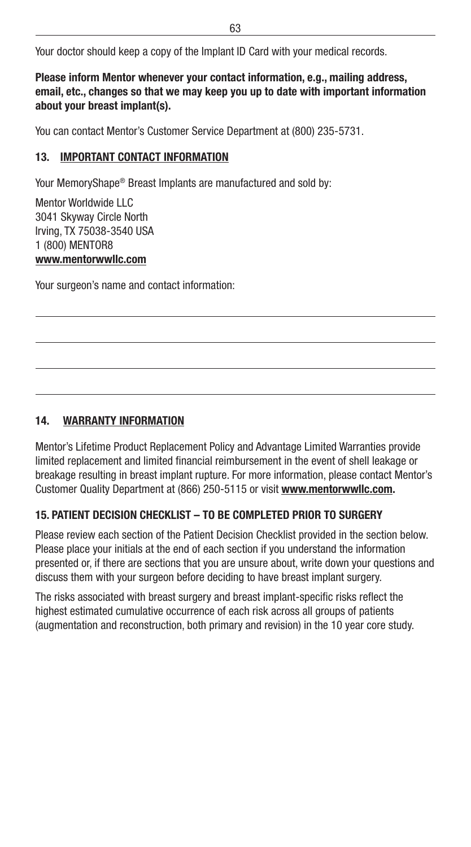Your doctor should keep a copy of the Implant ID Card with your medical records.

Please inform Mentor whenever your contact information, e.g., mailing address, email, etc., changes so that we may keep you up to date with important information about your breast implant(s).

You can contact Mentor's Customer Service Department at (800) 235-5731.

### 13. IMPORTANT CONTACT INFORMATION

Your MemoryShape<sup>®</sup> Breast Implants are manufactured and sold by:

Mentor Worldwide LLC 3041 Skyway Circle North Irving, TX 75038-3540 USA 1 (800) MENTOR8 www.mentorwwllc.com

Your surgeon's name and contact information:

### 14. WARRANTY INFORMATION

Mentor's Lifetime Product Replacement Policy and Advantage Limited Warranties provide limited replacement and limited financial reimbursement in the event of shell leakage or breakage resulting in breast implant rupture. For more information, please contact Mentor's Customer Quality Department at (866) 250-5115 or visit www.mentorwwllc.com.

# 15. PATIENT DECISION CHECKLIST – TO BE COMPLETED PRIOR TO SURGERY

Please review each section of the Patient Decision Checklist provided in the section below. Please place your initials at the end of each section if you understand the information presented or, if there are sections that you are unsure about, write down your questions and discuss them with your surgeon before deciding to have breast implant surgery.

The risks associated with breast surgery and breast implant-specific risks reflect the highest estimated cumulative occurrence of each risk across all groups of patients (augmentation and reconstruction, both primary and revision) in the 10 year core study.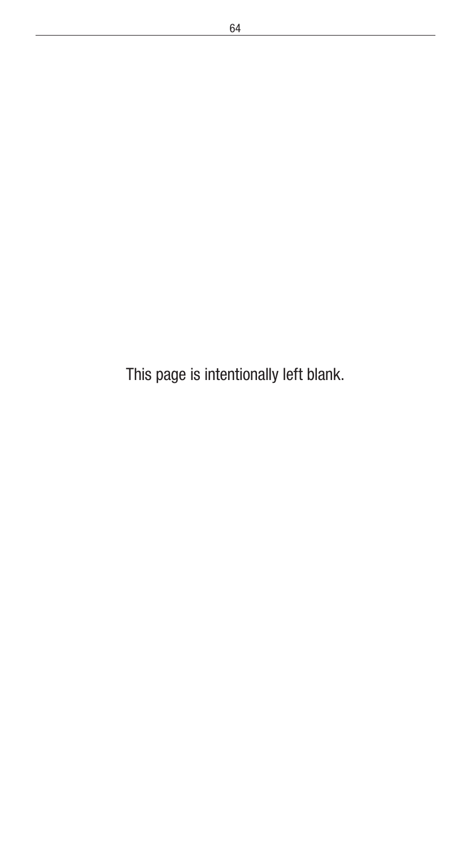This page is intentionally left blank.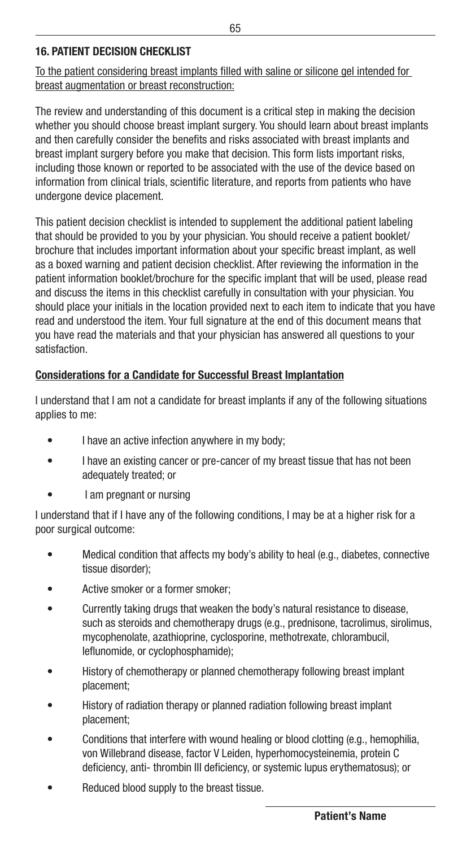# 16. PATIENT DECISION CHECKLIST

To the patient considering breast implants filled with saline or silicone gel intended for breast augmentation or breast reconstruction:

The review and understanding of this document is a critical step in making the decision whether you should choose breast implant surgery. You should learn about breast implants and then carefully consider the benefits and risks associated with breast implants and breast implant surgery before you make that decision. This form lists important risks, including those known or reported to be associated with the use of the device based on information from clinical trials, scientific literature, and reports from patients who have undergone device placement.

This patient decision checklist is intended to supplement the additional patient labeling that should be provided to you by your physician. You should receive a patient booklet/ brochure that includes important information about your specific breast implant, as well as a boxed warning and patient decision checklist. After reviewing the information in the patient information booklet/brochure for the specific implant that will be used, please read and discuss the items in this checklist carefully in consultation with your physician. You should place your initials in the location provided next to each item to indicate that you have read and understood the item. Your full signature at the end of this document means that you have read the materials and that your physician has answered all questions to your satisfaction.

# Considerations for a Candidate for Successful Breast Implantation

I understand that I am not a candidate for breast implants if any of the following situations applies to me:

- I have an active infection anywhere in my body;
- I have an existing cancer or pre-cancer of my breast tissue that has not been adequately treated; or
- I am pregnant or nursing

I understand that if I have any of the following conditions, I may be at a higher risk for a poor surgical outcome:

- Medical condition that affects my body's ability to heal (e.g., diabetes, connective tissue disorder);
- Active smoker or a former smoker:
- Currently taking drugs that weaken the body's natural resistance to disease, such as steroids and chemotherapy drugs (e.g., prednisone, tacrolimus, sirolimus, mycophenolate, azathioprine, cyclosporine, methotrexate, chlorambucil, leflunomide, or cyclophosphamide);
- History of chemotherapy or planned chemotherapy following breast implant placement;
- History of radiation therapy or planned radiation following breast implant placement;
- Conditions that interfere with wound healing or blood clotting (e.g., hemophilia, von Willebrand disease, factor V Leiden, hyperhomocysteinemia, protein C deficiency, anti- thrombin III deficiency, or systemic lupus erythematosus); or

 $\overline{a}$ 

• Reduced blood supply to the breast tissue.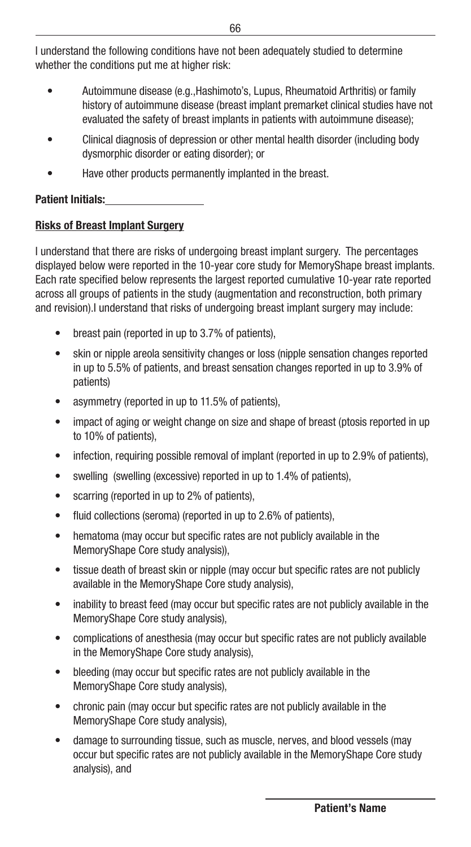I understand the following conditions have not been adequately studied to determine whether the conditions put me at higher risk:

- Autoimmune disease (e.g.,Hashimoto's, Lupus, Rheumatoid Arthritis) or family history of autoimmune disease (breast implant premarket clinical studies have not evaluated the safety of breast implants in patients with autoimmune disease);
- Clinical diagnosis of depression or other mental health disorder (including body dysmorphic disorder or eating disorder); or
- Have other products permanently implanted in the breast.

# Patient Initials:

### Risks of Breast Implant Surgery

I understand that there are risks of undergoing breast implant surgery. The percentages displayed below were reported in the 10-year core study for MemoryShape breast implants. Each rate specified below represents the largest reported cumulative 10-year rate reported across all groups of patients in the study (augmentation and reconstruction, both primary and revision).I understand that risks of undergoing breast implant surgery may include:

- breast pain (reported in up to 3.7% of patients),
- skin or nipple areola sensitivity changes or loss (nipple sensation changes reported in up to 5.5% of patients, and breast sensation changes reported in up to 3.9% of patients)
- asymmetry (reported in up to 11.5% of patients),
- impact of aging or weight change on size and shape of breast (ptosis reported in up to 10% of patients),
- infection, requiring possible removal of implant (reported in up to 2.9% of patients),
- swelling (swelling (excessive) reported in up to 1.4% of patients),
- scarring (reported in up to 2% of patients),
- fluid collections (seroma) (reported in up to 2.6% of patients),
- hematoma (may occur but specific rates are not publicly available in the MemoryShape Core study analysis)),
- tissue death of breast skin or nipple (may occur but specific rates are not publicly available in the MemoryShape Core study analysis),
- inability to breast feed (may occur but specific rates are not publicly available in the MemoryShape Core study analysis),
- complications of anesthesia (may occur but specific rates are not publicly available in the MemoryShape Core study analysis),
- bleeding (may occur but specific rates are not publicly available in the MemoryShape Core study analysis),
- chronic pain (may occur but specific rates are not publicly available in the MemoryShape Core study analysis),
- damage to surrounding tissue, such as muscle, nerves, and blood vessels (may occur but specific rates are not publicly available in the MemoryShape Core study analysis), and

 $\overline{a}$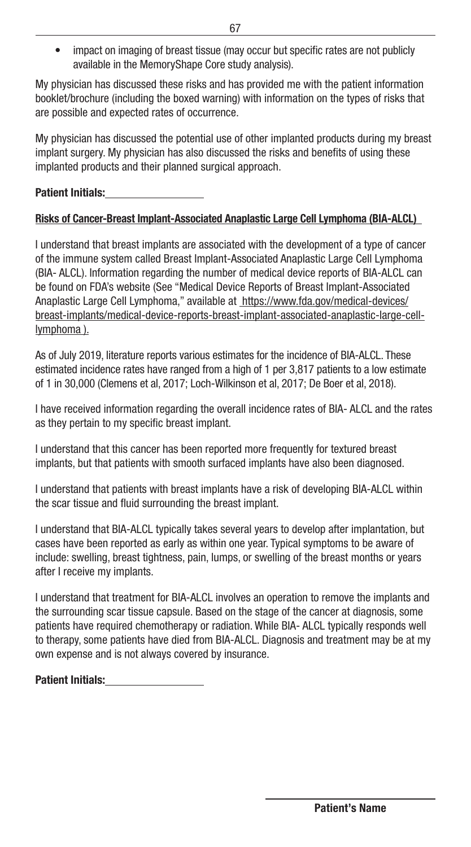• impact on imaging of breast tissue (may occur but specific rates are not publicly available in the MemoryShape Core study analysis).

My physician has discussed these risks and has provided me with the patient information booklet/brochure (including the boxed warning) with information on the types of risks that are possible and expected rates of occurrence.

My physician has discussed the potential use of other implanted products during my breast implant surgery. My physician has also discussed the risks and benefits of using these implanted products and their planned surgical approach.

# Patient Initials:

# Risks of Cancer-Breast Implant-Associated Anaplastic Large Cell Lymphoma (BIA-ALCL)

I understand that breast implants are associated with the development of a type of cancer of the immune system called Breast Implant-Associated Anaplastic Large Cell Lymphoma (BIA- ALCL). Information regarding the number of medical device reports of BIA-ALCL can be found on FDA's website (See "Medical Device Reports of Breast Implant-Associated Anaplastic Large Cell Lymphoma," available at https://www.fda.gov/medical-devices/ breast-implants/medical-device-reports-breast-implant-associated-anaplastic-large-celllymphoma ).

As of July 2019, literature reports various estimates for the incidence of BIA-ALCL. These estimated incidence rates have ranged from a high of 1 per 3,817 patients to a low estimate of 1 in 30,000 (Clemens et al, 2017; Loch-Wilkinson et al, 2017; De Boer et al, 2018).

I have received information regarding the overall incidence rates of BIA- ALCL and the rates as they pertain to my specific breast implant.

I understand that this cancer has been reported more frequently for textured breast implants, but that patients with smooth surfaced implants have also been diagnosed.

I understand that patients with breast implants have a risk of developing BIA-ALCL within the scar tissue and fluid surrounding the breast implant.

I understand that BIA-ALCL typically takes several years to develop after implantation, but cases have been reported as early as within one year. Typical symptoms to be aware of include: swelling, breast tightness, pain, lumps, or swelling of the breast months or years after I receive my implants.

I understand that treatment for BIA-ALCL involves an operation to remove the implants and the surrounding scar tissue capsule. Based on the stage of the cancer at diagnosis, some patients have required chemotherapy or radiation. While BIA- ALCL typically responds well to therapy, some patients have died from BIA-ALCL. Diagnosis and treatment may be at my own expense and is not always covered by insurance.

 $\overline{a}$ 

Patient Initials: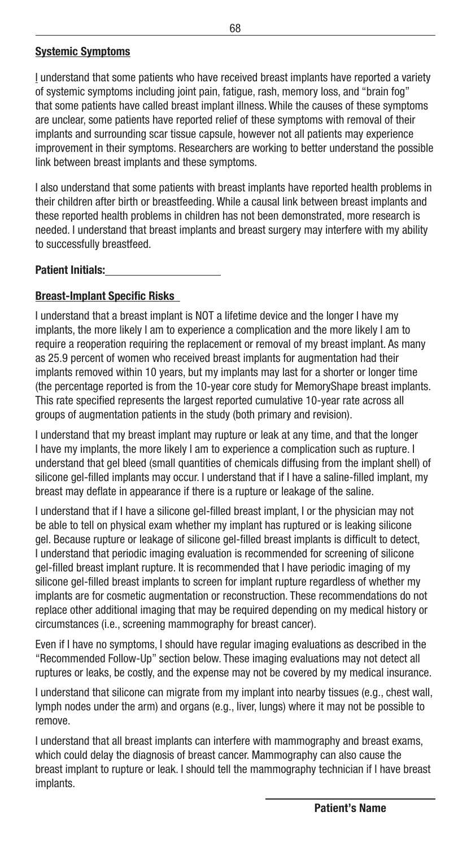### Systemic Symptoms

I understand that some patients who have received breast implants have reported a variety of systemic symptoms including joint pain, fatigue, rash, memory loss, and "brain fog" that some patients have called breast implant illness. While the causes of these symptoms are unclear, some patients have reported relief of these symptoms with removal of their implants and surrounding scar tissue capsule, however not all patients may experience improvement in their symptoms. Researchers are working to better understand the possible link between breast implants and these symptoms.

I also understand that some patients with breast implants have reported health problems in their children after birth or breastfeeding. While a causal link between breast implants and these reported health problems in children has not been demonstrated, more research is needed. I understand that breast implants and breast surgery may interfere with my ability to successfully breastfeed.

# Patient Initials:

# Breast-Implant Specific Risks

I understand that a breast implant is NOT a lifetime device and the longer I have my implants, the more likely I am to experience a complication and the more likely I am to require a reoperation requiring the replacement or removal of my breast implant. As many as 25.9 percent of women who received breast implants for augmentation had their implants removed within 10 years, but my implants may last for a shorter or longer time (the percentage reported is from the 10-year core study for MemoryShape breast implants. This rate specified represents the largest reported cumulative 10-year rate across all groups of augmentation patients in the study (both primary and revision).

I understand that my breast implant may rupture or leak at any time, and that the longer I have my implants, the more likely I am to experience a complication such as rupture. I understand that gel bleed (small quantities of chemicals diffusing from the implant shell) of silicone gel-filled implants may occur. I understand that if I have a saline-filled implant, my breast may deflate in appearance if there is a rupture or leakage of the saline.

I understand that if I have a silicone gel-filled breast implant, I or the physician may not be able to tell on physical exam whether my implant has ruptured or is leaking silicone gel. Because rupture or leakage of silicone gel-filled breast implants is difficult to detect, I understand that periodic imaging evaluation is recommended for screening of silicone gel-filled breast implant rupture. It is recommended that I have periodic imaging of my silicone gel-filled breast implants to screen for implant rupture regardless of whether my implants are for cosmetic augmentation or reconstruction. These recommendations do not replace other additional imaging that may be required depending on my medical history or circumstances (i.e., screening mammography for breast cancer).

Even if I have no symptoms, I should have regular imaging evaluations as described in the "Recommended Follow-Up" section below. These imaging evaluations may not detect all ruptures or leaks, be costly, and the expense may not be covered by my medical insurance.

I understand that silicone can migrate from my implant into nearby tissues (e.g., chest wall, lymph nodes under the arm) and organs (e.g., liver, lungs) where it may not be possible to remove.

I understand that all breast implants can interfere with mammography and breast exams, which could delay the diagnosis of breast cancer. Mammography can also cause the breast implant to rupture or leak. I should tell the mammography technician if I have breast implants.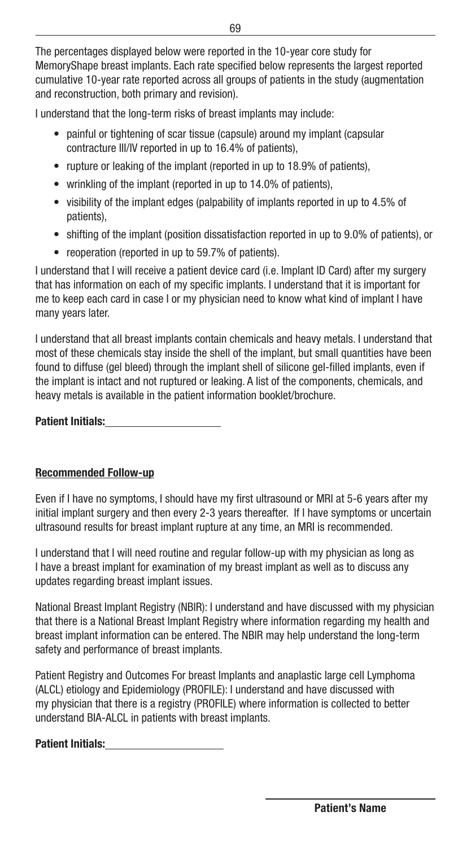I understand that the long-term risks of breast implants may include:

- painful or tightening of scar tissue (capsule) around my implant (capsular contracture III/IV reported in up to 16.4% of patients),
- rupture or leaking of the implant (reported in up to 18.9% of patients),
- wrinkling of the implant (reported in up to 14.0% of patients),
- visibility of the implant edges (palpability of implants reported in up to 4.5% of patients),
- shifting of the implant (position dissatisfaction reported in up to 9.0% of patients), or
- reoperation (reported in up to 59.7% of patients).

I understand that I will receive a patient device card (i.e. Implant ID Card) after my surgery that has information on each of my specific implants. I understand that it is important for me to keep each card in case I or my physician need to know what kind of implant I have many years later.

I understand that all breast implants contain chemicals and heavy metals. I understand that most of these chemicals stay inside the shell of the implant, but small quantities have been found to diffuse (gel bleed) through the implant shell of silicone gel-filled implants, even if the implant is intact and not ruptured or leaking. A list of the components, chemicals, and heavy metals is available in the patient information booklet/brochure.

| <b>Patient Initials:</b> |  |
|--------------------------|--|
|                          |  |

# Recommended Follow-up

Even if I have no symptoms, I should have my first ultrasound or MRI at 5-6 years after my initial implant surgery and then every 2-3 years thereafter. If I have symptoms or uncertain ultrasound results for breast implant rupture at any time, an MRI is recommended.

I understand that I will need routine and regular follow-up with my physician as long as I have a breast implant for examination of my breast implant as well as to discuss any updates regarding breast implant issues.

National Breast Implant Registry (NBIR): I understand and have discussed with my physician that there is a National Breast Implant Registry where information regarding my health and breast implant information can be entered. The NBIR may help understand the long-term safety and performance of breast implants.

Patient Registry and Outcomes For breast Implants and anaplastic large cell Lymphoma (ALCL) etiology and Epidemiology (PROFILE): I understand and have discussed with my physician that there is a registry (PROFILE) where information is collected to better understand BIA-ALCL in patients with breast implants.

 $\overline{a}$ 

Patient Initials: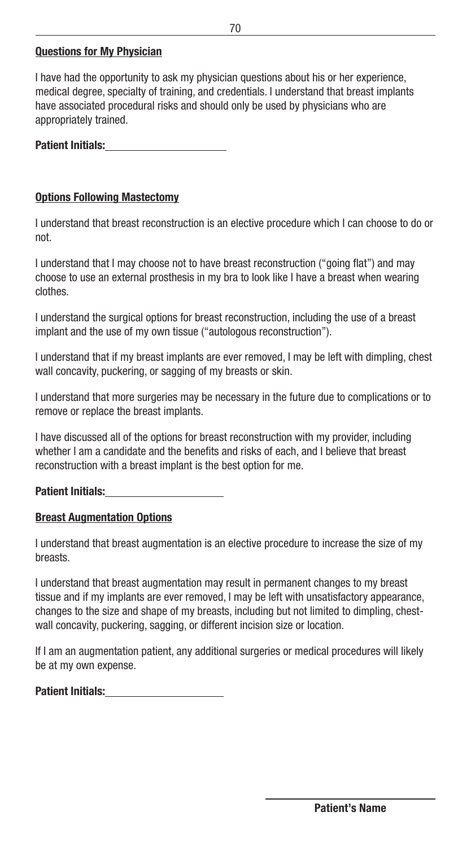### Questions for My Physician

I have had the opportunity to ask my physician questions about his or her experience, medical degree, specialty of training, and credentials. I understand that breast implants have associated procedural risks and should only be used by physicians who are appropriately trained.

Patient Initials:

#### Options Following Mastectomy

I understand that breast reconstruction is an elective procedure which I can choose to do or not.

I understand that I may choose not to have breast reconstruction ("going flat") and may choose to use an external prosthesis in my bra to look like I have a breast when wearing clothes.

I understand the surgical options for breast reconstruction, including the use of a breast implant and the use of my own tissue ("autologous reconstruction").

I understand that if my breast implants are ever removed, I may be left with dimpling, chest wall concavity, puckering, or sagging of my breasts or skin.

I understand that more surgeries may be necessary in the future due to complications or to remove or replace the breast implants.

I have discussed all of the options for breast reconstruction with my provider, including whether I am a candidate and the benefits and risks of each, and I believe that breast reconstruction with a breast implant is the best option for me.

### Patient Initials:

### Breast Augmentation Options

I understand that breast augmentation is an elective procedure to increase the size of my breasts.

I understand that breast augmentation may result in permanent changes to my breast tissue and if my implants are ever removed, I may be left with unsatisfactory appearance, changes to the size and shape of my breasts, including but not limited to dimpling, chestwall concavity, puckering, sagging, or different incision size or location.

If I am an augmentation patient, any additional surgeries or medical procedures will likely be at my own expense.

 $\overline{a}$ 

Patient Initials: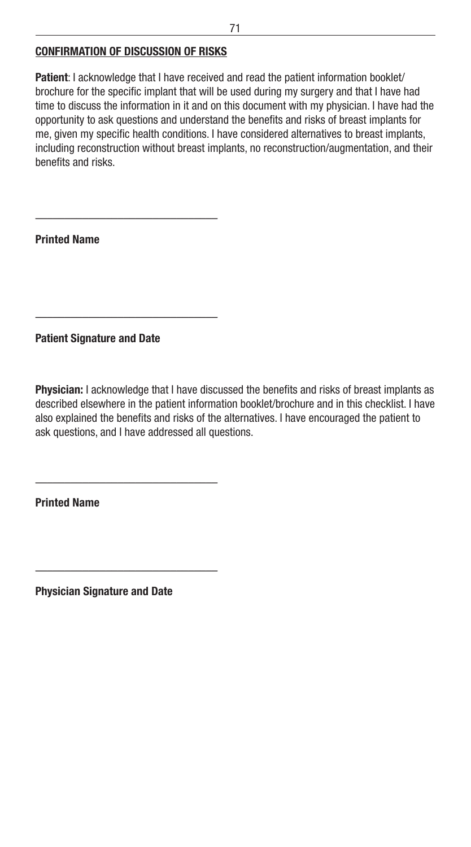## CONFIRMATION OF DISCUSSION OF RISKS

\_\_\_\_\_\_\_\_\_\_\_\_\_\_\_\_\_\_\_\_\_\_\_\_\_\_\_\_\_\_\_

\_\_\_\_\_\_\_\_\_\_\_\_\_\_\_\_\_\_\_\_\_\_\_\_\_\_\_\_\_\_\_

\_\_\_\_\_\_\_\_\_\_\_\_\_\_\_\_\_\_\_\_\_\_\_\_\_\_\_\_\_\_\_

\_\_\_\_\_\_\_\_\_\_\_\_\_\_\_\_\_\_\_\_\_\_\_\_\_\_\_\_\_\_\_

Patient: I acknowledge that I have received and read the patient information booklet/ brochure for the specific implant that will be used during my surgery and that I have had time to discuss the information in it and on this document with my physician. I have had the opportunity to ask questions and understand the benefits and risks of breast implants for me, given my specific health conditions. I have considered alternatives to breast implants, including reconstruction without breast implants, no reconstruction/augmentation, and their benefits and risks.

Printed Name

Patient Signature and Date

**Physician:** I acknowledge that I have discussed the benefits and risks of breast implants as described elsewhere in the patient information booklet/brochure and in this checklist. I have also explained the benefits and risks of the alternatives. I have encouraged the patient to ask questions, and I have addressed all questions.

Printed Name

Physician Signature and Date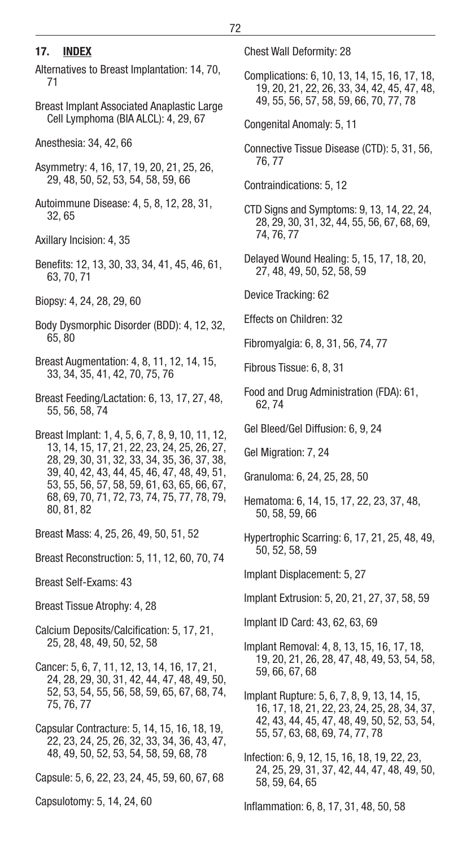|--|

- Alternatives to Breast Implantation: 14, 70, 71
- Breast Implant Associated Anaplastic Large Cell Lymphoma (BIA ALCL): 4, 29, 67
- Anesthesia: 34, 42, 66
- Asymmetry: 4, 16, 17, 19, 20, 21, 25, 26, 29, 48, 50, 52, 53, 54, 58, 59, 66
- Autoimmune Disease: 4, 5, 8, 12, 28, 31, 32, 65
- Axillary Incision: 4, 35
- Benefits: 12, 13, 30, 33, 34, 41, 45, 46, 61, 63, 70, 71
- Biopsy: 4, 24, 28, 29, 60
- Body Dysmorphic Disorder (BDD): 4, 12, 32, 65, 80
- Breast Augmentation: 4, 8, 11, 12, 14, 15, 33, 34, 35, 41, 42, 70, 75, 76
- Breast Feeding/Lactation: 6, 13, 17, 27, 48, 55, 56, 58, 74
- Breast Implant: 1, 4, 5, 6, 7, 8, 9, 10, 11, 12, 13, 14, 15, 17, 21, 22, 23, 24, 25, 26, 27, 28, 29, 30, 31, 32, 33, 34, 35, 36, 37, 38, 39, 40, 42, 43, 44, 45, 46, 47, 48, 49, 51, 53, 55, 56, 57, 58, 59, 61, 63, 65, 66, 67, 68, 69, 70, 71, 72, 73, 74, 75, 77, 78, 79, 80, 81, 82
- Breast Mass: 4, 25, 26, 49, 50, 51, 52
- Breast Reconstruction: 5, 11, 12, 60, 70, 74
- Breast Self-Exams: 43
- Breast Tissue Atrophy: 4, 28
- Calcium Deposits/Calcification: 5, 17, 21, 25, 28, 48, 49, 50, 52, 58
- Cancer: 5, 6, 7, 11, 12, 13, 14, 16, 17, 21, 24, 28, 29, 30, 31, 42, 44, 47, 48, 49, 50, 52, 53, 54, 55, 56, 58, 59, 65, 67, 68, 74, 75, 76, 77
- Capsular Contracture: 5, 14, 15, 16, 18, 19, 22, 23, 24, 25, 26, 32, 33, 34, 36, 43, 47, 48, 49, 50, 52, 53, 54, 58, 59, 68, 78
- Capsule: 5, 6, 22, 23, 24, 45, 59, 60, 67, 68
- Capsulotomy: 5, 14, 24, 60

Chest Wall Deformity: 28

- Complications: 6, 10, 13, 14, 15, 16, 17, 18, 19, 20, 21, 22, 26, 33, 34, 42, 45, 47, 48, 49, 55, 56, 57, 58, 59, 66, 70, 77, 78
- Congenital Anomaly: 5, 11
- Connective Tissue Disease (CTD): 5, 31, 56, 76, 77
- Contraindications: 5, 12
- CTD Signs and Symptoms: 9, 13, 14, 22, 24, 28, 29, 30, 31, 32, 44, 55, 56, 67, 68, 69, 74, 76, 77
- Delayed Wound Healing: 5, 15, 17, 18, 20, 27, 48, 49, 50, 52, 58, 59
- Device Tracking: 62
- Effects on Children: 32
- Fibromyalgia: 6, 8, 31, 56, 74, 77
- Fibrous Tissue: 6, 8, 31
- Food and Drug Administration (FDA): 61, 62, 74
- Gel Bleed/Gel Diffusion: 6, 9, 24
- Gel Migration: 7, 24
- Granuloma: 6, 24, 25, 28, 50
- Hematoma: 6, 14, 15, 17, 22, 23, 37, 48, 50, 58, 59, 66
- Hypertrophic Scarring: 6, 17, 21, 25, 48, 49, 50, 52, 58, 59

Implant Displacement: 5, 27

- Implant Extrusion: 5, 20, 21, 27, 37, 58, 59
- Implant ID Card: 43, 62, 63, 69
- Implant Removal: 4, 8, 13, 15, 16, 17, 18, 19, 20, 21, 26, 28, 47, 48, 49, 53, 54, 58, 59, 66, 67, 68
- Implant Rupture: 5, 6, 7, 8, 9, 13, 14, 15, 16, 17, 18, 21, 22, 23, 24, 25, 28, 34, 37, 42, 43, 44, 45, 47, 48, 49, 50, 52, 53, 54, 55, 57, 63, 68, 69, 74, 77, 78
- Infection: 6, 9, 12, 15, 16, 18, 19, 22, 23, 24, 25, 29, 31, 37, 42, 44, 47, 48, 49, 50, 58, 59, 64, 65

Inflammation: 6, 8, 17, 31, 48, 50, 58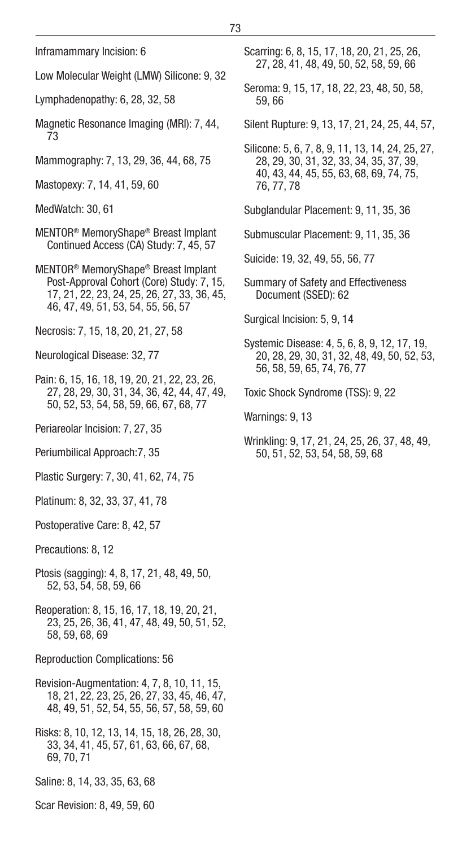Low Molecular Weight (LMW) Silicone: 9, 32

Lymphadenopathy: 6, 28, 32, 58

- Magnetic Resonance Imaging (MRI): 7, 44, 73
- Mammography: 7, 13, 29, 36, 44, 68, 75
- Mastopexy: 7, 14, 41, 59, 60
- MedWatch: 30, 61
- MENTOR® MemoryShape® Breast Implant Continued Access (CA) Study: 7, 45, 57
- MENTOR® MemoryShape® Breast Implant Post-Approval Cohort (Core) Study: 7, 15, 17, 21, 22, 23, 24, 25, 26, 27, 33, 36, 45, 46, 47, 49, 51, 53, 54, 55, 56, 57
- Necrosis: 7, 15, 18, 20, 21, 27, 58
- Neurological Disease: 32, 77
- Pain: 6, 15, 16, 18, 19, 20, 21, 22, 23, 26, 27, 28, 29, 30, 31, 34, 36, 42, 44, 47, 49, 50, 52, 53, 54, 58, 59, 66, 67, 68, 77
- Periareolar Incision: 7, 27, 35
- Periumbilical Approach:7, 35
- Plastic Surgery: 7, 30, 41, 62, 74, 75
- Platinum: 8, 32, 33, 37, 41, 78
- Postoperative Care: 8, 42, 57
- Precautions: 8, 12
- Ptosis (sagging): 4, 8, 17, 21, 48, 49, 50, 52, 53, 54, 58, 59, 66
- Reoperation: 8, 15, 16, 17, 18, 19, 20, 21, 23, 25, 26, 36, 41, 47, 48, 49, 50, 51, 52, 58, 59, 68, 69
- Reproduction Complications: 56
- Revision-Augmentation: 4, 7, 8, 10, 11, 15, 18, 21, 22, 23, 25, 26, 27, 33, 45, 46, 47, 48, 49, 51, 52, 54, 55, 56, 57, 58, 59, 60
- Risks: 8, 10, 12, 13, 14, 15, 18, 26, 28, 30, 33, 34, 41, 45, 57, 61, 63, 66, 67, 68, 69, 70, 71
- Saline: 8, 14, 33, 35, 63, 68
- Scar Revision: 8, 49, 59, 60
- Scarring: 6, 8, 15, 17, 18, 20, 21, 25, 26, 27, 28, 41, 48, 49, 50, 52, 58, 59, 66
- Seroma: 9, 15, 17, 18, 22, 23, 48, 50, 58, 59, 66
- Silent Rupture: 9, 13, 17, 21, 24, 25, 44, 57,
- Silicone: 5, 6, 7, 8, 9, 11, 13, 14, 24, 25, 27, 28, 29, 30, 31, 32, 33, 34, 35, 37, 39, 40, 43, 44, 45, 55, 63, 68, 69, 74, 75, 76, 77, 78
- Subglandular Placement: 9, 11, 35, 36
- Submuscular Placement: 9, 11, 35, 36
- Suicide: 19, 32, 49, 55, 56, 77
- Summary of Safety and Effectiveness Document (SSED): 62
- Surgical Incision: 5, 9, 14
- Systemic Disease: 4, 5, 6, 8, 9, 12, 17, 19, 20, 28, 29, 30, 31, 32, 48, 49, 50, 52, 53, 56, 58, 59, 65, 74, 76, 77
- Toxic Shock Syndrome (TSS): 9, 22
- Warnings: 9, 13
- Wrinkling: 9, 17, 21, 24, 25, 26, 37, 48, 49, 50, 51, 52, 53, 54, 58, 59, 68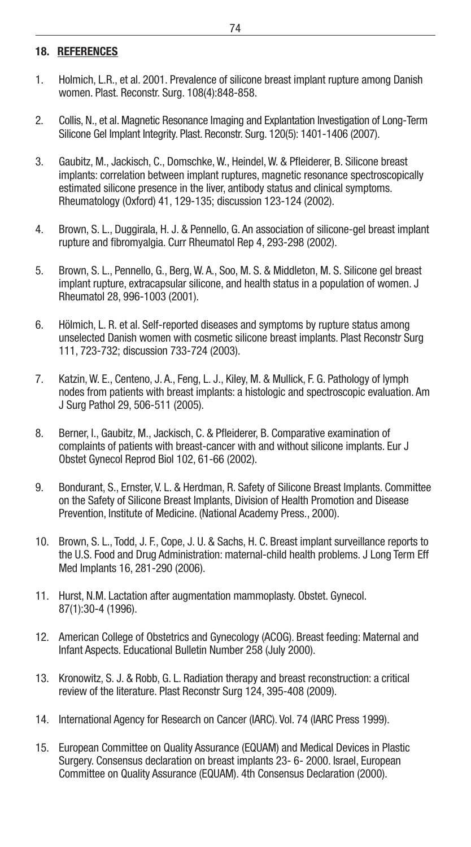## 18. REFERENCES

- 1. Holmich, L.R., et al. 2001. Prevalence of silicone breast implant rupture among Danish women. Plast. Reconstr. Surg. 108(4):848-858.
- 2. Collis, N., et al. Magnetic Resonance Imaging and Explantation Investigation of Long-Term Silicone Gel Implant Integrity. Plast. Reconstr. Surg. 120(5): 1401-1406 (2007).
- 3. Gaubitz, M., Jackisch, C., Domschke, W., Heindel, W. & Pfleiderer, B. Silicone breast implants: correlation between implant ruptures, magnetic resonance spectroscopically estimated silicone presence in the liver, antibody status and clinical symptoms. Rheumatology (Oxford) 41, 129-135; discussion 123-124 (2002).
- 4. Brown, S. L., Duggirala, H. J. & Pennello, G. An association of silicone-gel breast implant rupture and fibromyalgia. Curr Rheumatol Rep 4, 293-298 (2002).
- 5. Brown, S. L., Pennello, G., Berg, W. A., Soo, M. S. & Middleton, M. S. Silicone gel breast implant rupture, extracapsular silicone, and health status in a population of women. J Rheumatol 28, 996-1003 (2001).
- 6. Hölmich, L. R. et al. Self-reported diseases and symptoms by rupture status among unselected Danish women with cosmetic silicone breast implants. Plast Reconstr Surg 111, 723-732; discussion 733-724 (2003).
- 7. Katzin, W. E., Centeno, J. A., Feng, L. J., Kiley, M. & Mullick, F. G. Pathology of lymph nodes from patients with breast implants: a histologic and spectroscopic evaluation. Am J Surg Pathol 29, 506-511 (2005).
- 8. Berner, I., Gaubitz, M., Jackisch, C. & Pfleiderer, B. Comparative examination of complaints of patients with breast-cancer with and without silicone implants. Eur J Obstet Gynecol Reprod Biol 102, 61-66 (2002).
- 9. Bondurant, S., Ernster, V. L. & Herdman, R. Safety of Silicone Breast Implants. Committee on the Safety of Silicone Breast Implants, Division of Health Promotion and Disease Prevention, Institute of Medicine. (National Academy Press., 2000).
- 10. Brown, S. L., Todd, J. F., Cope, J. U. & Sachs, H. C. Breast implant surveillance reports to the U.S. Food and Drug Administration: maternal-child health problems. J Long Term Eff Med Implants 16, 281-290 (2006).
- 11. Hurst, N.M. Lactation after augmentation mammoplasty. Obstet. Gynecol. 87(1):30-4 (1996).
- 12. American College of Obstetrics and Gynecology (ACOG). Breast feeding: Maternal and Infant Aspects. Educational Bulletin Number 258 (July 2000).
- 13. Kronowitz, S. J. & Robb, G. L. Radiation therapy and breast reconstruction: a critical review of the literature. Plast Reconstr Surg 124, 395-408 (2009).
- 14. International Agency for Research on Cancer (IARC). Vol. 74 (IARC Press 1999).
- 15. European Committee on Quality Assurance (EQUAM) and Medical Devices in Plastic Surgery. Consensus declaration on breast implants 23- 6- 2000. Israel, European Committee on Quality Assurance (EQUAM). 4th Consensus Declaration (2000).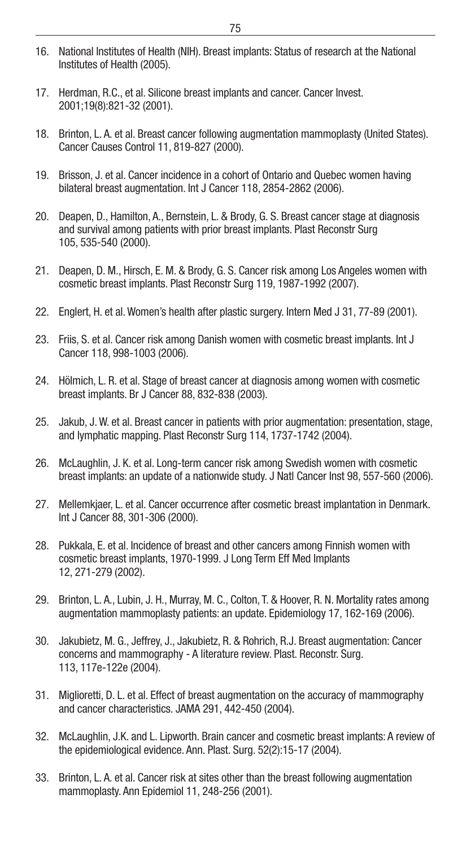- 16. National Institutes of Health (NIH). Breast implants: Status of research at the National Institutes of Health (2005).
- 17. Herdman, R.C., et al. Silicone breast implants and cancer. Cancer Invest. 2001;19(8):821-32 (2001).
- 18. Brinton, L. A. et al. Breast cancer following augmentation mammoplasty (United States). Cancer Causes Control 11, 819-827 (2000).
- 19. Brisson, J. et al. Cancer incidence in a cohort of Ontario and Quebec women having bilateral breast augmentation. Int J Cancer 118, 2854-2862 (2006).
- 20. Deapen, D., Hamilton, A., Bernstein, L. & Brody, G. S. Breast cancer stage at diagnosis and survival among patients with prior breast implants. Plast Reconstr Surg 105, 535-540 (2000).
- 21. Deapen, D. M., Hirsch, E. M. & Brody, G. S. Cancer risk among Los Angeles women with cosmetic breast implants. Plast Reconstr Surg 119, 1987-1992 (2007).
- 22. Englert, H. et al. Women's health after plastic surgery. Intern Med J 31, 77-89 (2001).
- 23. Friis, S. et al. Cancer risk among Danish women with cosmetic breast implants. Int J Cancer 118, 998-1003 (2006).
- 24. Hölmich, L. R. et al. Stage of breast cancer at diagnosis among women with cosmetic breast implants. Br J Cancer 88, 832-838 (2003).
- 25. Jakub, J. W. et al. Breast cancer in patients with prior augmentation: presentation, stage, and lymphatic mapping. Plast Reconstr Surg 114, 1737-1742 (2004).
- 26. McLaughlin, J. K. et al. Long-term cancer risk among Swedish women with cosmetic breast implants: an update of a nationwide study. J Natl Cancer Inst 98, 557-560 (2006).
- 27. Mellemkjaer, L. et al. Cancer occurrence after cosmetic breast implantation in Denmark. Int J Cancer 88, 301-306 (2000).
- 28. Pukkala, E. et al. Incidence of breast and other cancers among Finnish women with cosmetic breast implants, 1970-1999. J Long Term Eff Med Implants 12, 271-279 (2002).
- 29. Brinton, L. A., Lubin, J. H., Murray, M. C., Colton, T. & Hoover, R. N. Mortality rates among augmentation mammoplasty patients: an update. Epidemiology 17, 162-169 (2006).
- 30. Jakubietz, M. G., Jeffrey, J., Jakubietz, R. & Rohrich, R.J. Breast augmentation: Cancer concerns and mammography - A literature review. Plast. Reconstr. Surg. 113, 117e-122e (2004).
- 31. Miglioretti, D. L. et al. Effect of breast augmentation on the accuracy of mammography and cancer characteristics. JAMA 291, 442-450 (2004).
- 32. McLaughlin, J.K. and L. Lipworth. Brain cancer and cosmetic breast implants: A review of the epidemiological evidence. Ann. Plast. Surg. 52(2):15-17 (2004).
- 33. Brinton, L. A. et al. Cancer risk at sites other than the breast following augmentation mammoplasty. Ann Epidemiol 11, 248-256 (2001).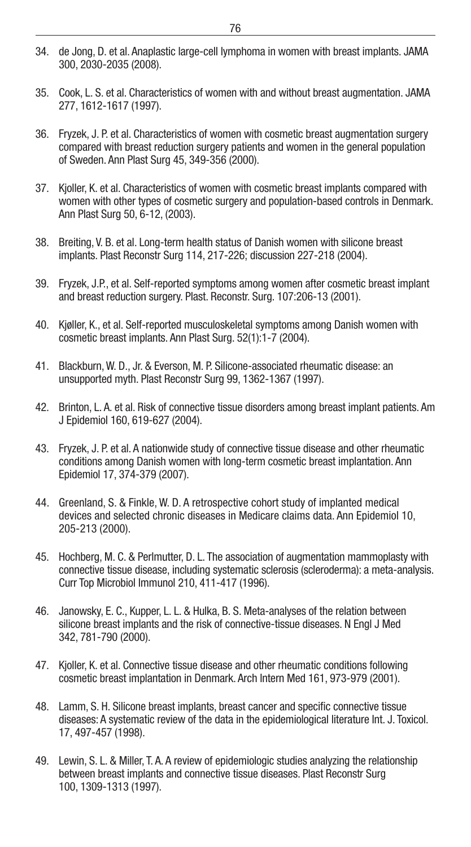- 34. de Jong, D. et al. Anaplastic large-cell lymphoma in women with breast implants. JAMA 300, 2030-2035 (2008).
- 35. Cook, L. S. et al. Characteristics of women with and without breast augmentation. JAMA 277, 1612-1617 (1997).
- 36. Fryzek, J. P. et al. Characteristics of women with cosmetic breast augmentation surgery compared with breast reduction surgery patients and women in the general population of Sweden. Ann Plast Surg 45, 349-356 (2000).
- 37. Kjoller, K. et al. Characteristics of women with cosmetic breast implants compared with women with other types of cosmetic surgery and population-based controls in Denmark. Ann Plast Surg 50, 6-12, (2003).
- 38. Breiting, V. B. et al. Long-term health status of Danish women with silicone breast implants. Plast Reconstr Surg 114, 217-226; discussion 227-218 (2004).
- 39. Fryzek, J.P., et al. Self-reported symptoms among women after cosmetic breast implant and breast reduction surgery. Plast. Reconstr. Surg. 107:206-13 (2001).
- 40. Kjøller, K., et al. Self-reported musculoskeletal symptoms among Danish women with cosmetic breast implants. Ann Plast Surg. 52(1):1-7 (2004).
- 41. Blackburn, W. D., Jr. & Everson, M. P. Silicone-associated rheumatic disease: an unsupported myth. Plast Reconstr Surg 99, 1362-1367 (1997).
- 42. Brinton, L. A. et al. Risk of connective tissue disorders among breast implant patients. Am J Epidemiol 160, 619-627 (2004).
- 43. Fryzek, J. P. et al. A nationwide study of connective tissue disease and other rheumatic conditions among Danish women with long-term cosmetic breast implantation. Ann Epidemiol 17, 374-379 (2007).
- 44. Greenland, S. & Finkle, W. D. A retrospective cohort study of implanted medical devices and selected chronic diseases in Medicare claims data. Ann Epidemiol 10, 205-213 (2000).
- 45. Hochberg, M. C. & Perlmutter, D. L. The association of augmentation mammoplasty with connective tissue disease, including systematic sclerosis (scleroderma): a meta-analysis. Curr Top Microbiol Immunol 210, 411-417 (1996).
- 46. Janowsky, E. C., Kupper, L. L. & Hulka, B. S. Meta-analyses of the relation between silicone breast implants and the risk of connective-tissue diseases. N Engl J Med 342, 781-790 (2000).
- 47. Kjoller, K. et al. Connective tissue disease and other rheumatic conditions following cosmetic breast implantation in Denmark. Arch Intern Med 161, 973-979 (2001).
- 48. Lamm, S. H. Silicone breast implants, breast cancer and specific connective tissue diseases: A systematic review of the data in the epidemiological literature Int. J. Toxicol. 17, 497-457 (1998).
- 49. Lewin, S. L. & Miller, T. A. A review of epidemiologic studies analyzing the relationship between breast implants and connective tissue diseases. Plast Reconstr Surg 100, 1309-1313 (1997).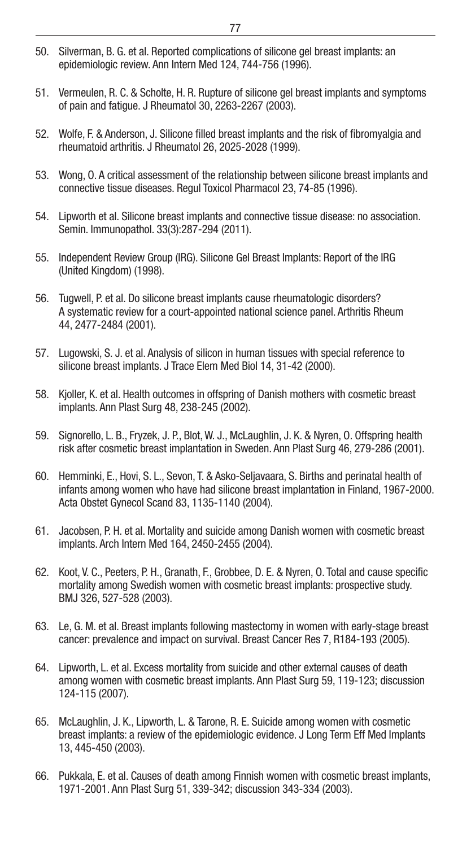- 50. Silverman, B. G. et al. Reported complications of silicone gel breast implants: an epidemiologic review. Ann Intern Med 124, 744-756 (1996).
- 51. Vermeulen, R. C. & Scholte, H. R. Rupture of silicone gel breast implants and symptoms of pain and fatigue. J Rheumatol 30, 2263-2267 (2003).
- 52. Wolfe, F. & Anderson, J. Silicone filled breast implants and the risk of fibromyalgia and rheumatoid arthritis. J Rheumatol 26, 2025-2028 (1999).
- 53. Wong, O. A critical assessment of the relationship between silicone breast implants and connective tissue diseases. Regul Toxicol Pharmacol 23, 74-85 (1996).
- 54. Lipworth et al. Silicone breast implants and connective tissue disease: no association. Semin. Immunopathol. 33(3):287-294 (2011).
- 55. Independent Review Group (IRG). Silicone Gel Breast Implants: Report of the IRG (United Kingdom) (1998).
- 56. Tugwell, P. et al. Do silicone breast implants cause rheumatologic disorders? A systematic review for a court-appointed national science panel. Arthritis Rheum 44, 2477-2484 (2001).
- 57. Lugowski, S. J. et al. Analysis of silicon in human tissues with special reference to silicone breast implants. J Trace Elem Med Biol 14, 31-42 (2000).
- 58. Kjoller, K. et al. Health outcomes in offspring of Danish mothers with cosmetic breast implants. Ann Plast Surg 48, 238-245 (2002).
- 59. Signorello, L. B., Fryzek, J. P., Blot, W. J., McLaughlin, J. K. & Nyren, O. Offspring health risk after cosmetic breast implantation in Sweden. Ann Plast Surg 46, 279-286 (2001).
- 60. Hemminki, E., Hovi, S. L., Sevon, T. & Asko-Seljavaara, S. Births and perinatal health of infants among women who have had silicone breast implantation in Finland, 1967-2000. Acta Obstet Gynecol Scand 83, 1135-1140 (2004).
- 61. Jacobsen, P. H. et al. Mortality and suicide among Danish women with cosmetic breast implants. Arch Intern Med 164, 2450-2455 (2004).
- 62. Koot, V. C., Peeters, P. H., Granath, F., Grobbee, D. E. & Nyren, O. Total and cause specific mortality among Swedish women with cosmetic breast implants: prospective study. BMJ 326, 527-528 (2003).
- 63. Le, G. M. et al. Breast implants following mastectomy in women with early-stage breast cancer: prevalence and impact on survival. Breast Cancer Res 7, R184-193 (2005).
- 64. Lipworth, L. et al. Excess mortality from suicide and other external causes of death among women with cosmetic breast implants. Ann Plast Surg 59, 119-123; discussion 124-115 (2007).
- 65. McLaughlin, J. K., Lipworth, L. & Tarone, R. E. Suicide among women with cosmetic breast implants: a review of the epidemiologic evidence. J Long Term Eff Med Implants 13, 445-450 (2003).
- 66. Pukkala, E. et al. Causes of death among Finnish women with cosmetic breast implants, 1971-2001. Ann Plast Surg 51, 339-342; discussion 343-334 (2003).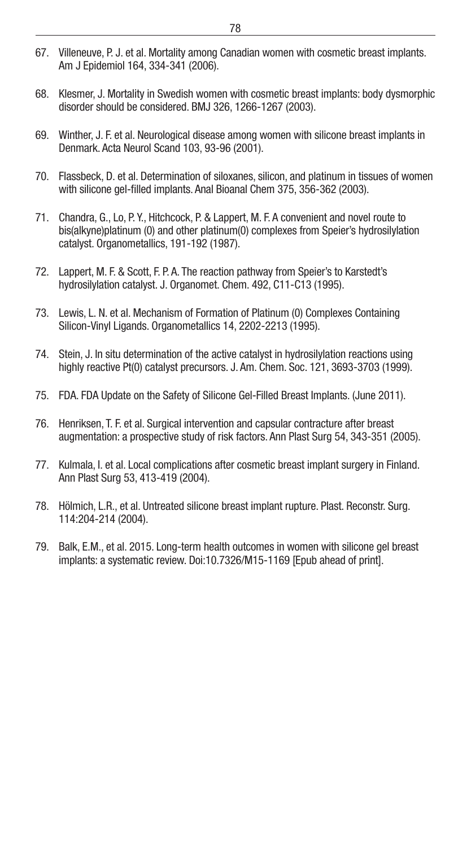- 67. Villeneuve, P. J. et al. Mortality among Canadian women with cosmetic breast implants. Am J Epidemiol 164, 334-341 (2006).
- 68. Klesmer, J. Mortality in Swedish women with cosmetic breast implants: body dysmorphic disorder should be considered. BMJ 326, 1266-1267 (2003).
- 69. Winther, J. F. et al. Neurological disease among women with silicone breast implants in Denmark. Acta Neurol Scand 103, 93-96 (2001).
- 70. Flassbeck, D. et al. Determination of siloxanes, silicon, and platinum in tissues of women with silicone gel-filled implants. Anal Bioanal Chem 375, 356-362 (2003).
- 71. Chandra, G., Lo, P. Y., Hitchcock, P. & Lappert, M. F. A convenient and novel route to bis(alkyne)platinum (0) and other platinum(0) complexes from Speier's hydrosilylation catalyst. Organometallics, 191-192 (1987).
- 72. Lappert, M. F. & Scott, F. P. A. The reaction pathway from Speier's to Karstedt's hydrosilylation catalyst. J. Organomet. Chem. 492, C11-C13 (1995).
- 73. Lewis, L. N. et al. Mechanism of Formation of Platinum (0) Complexes Containing Silicon-Vinyl Ligands. Organometallics 14, 2202-2213 (1995).
- 74. Stein, J. In situ determination of the active catalyst in hydrosilylation reactions using highly reactive Pt(0) catalyst precursors. J. Am. Chem. Soc. 121, 3693-3703 (1999).
- 75. FDA. FDA Update on the Safety of Silicone Gel-Filled Breast Implants. (June 2011).
- 76. Henriksen, T. F. et al. Surgical intervention and capsular contracture after breast augmentation: a prospective study of risk factors. Ann Plast Surg 54, 343-351 (2005).
- 77. Kulmala, I. et al. Local complications after cosmetic breast implant surgery in Finland. Ann Plast Surg 53, 413-419 (2004).
- 78. Hölmich, L.R., et al. Untreated silicone breast implant rupture. Plast. Reconstr. Surg. 114:204-214 (2004).
- 79. Balk, E.M., et al. 2015. Long-term health outcomes in women with silicone gel breast implants: a systematic review. Doi:10.7326/M15-1169 [Epub ahead of print].